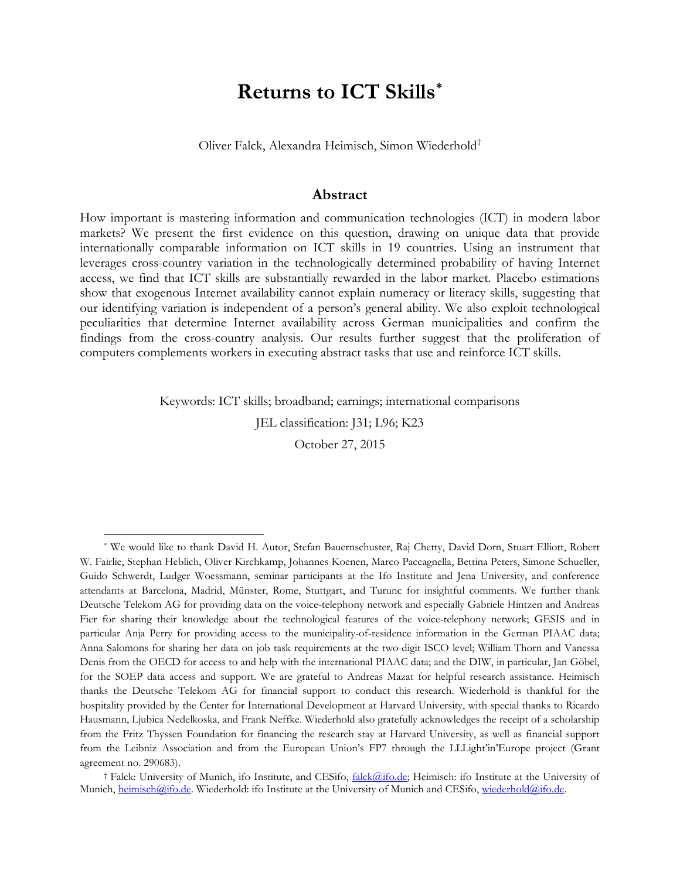# **Returns to ICT Skills[\\*](#page-0-0)**

Oliver Falck, Alexandra Heimisch, Simon Wiederhold[†](#page-0-1)

## **Abstract**

How important is mastering information and communication technologies (ICT) in modern labor markets? We present the first evidence on this question, drawing on unique data that provide internationally comparable information on ICT skills in 19 countries. Using an instrument that leverages cross-country variation in the technologically determined probability of having Internet access, we find that ICT skills are substantially rewarded in the labor market. Placebo estimations show that exogenous Internet availability cannot explain numeracy or literacy skills, suggesting that our identifying variation is independent of a person's general ability. We also exploit technological peculiarities that determine Internet availability across German municipalities and confirm the findings from the cross-country analysis. Our results further suggest that the proliferation of computers complements workers in executing abstract tasks that use and reinforce ICT skills.

Keywords: ICT skills; broadband; earnings; international comparisons

JEL classification: J31; L96; K23

October 27, 2015

<span id="page-0-0"></span> \* We would like to thank David H. Autor, Stefan Bauernschuster, Raj Chetty, David Dorn, Stuart Elliott, Robert W. Fairlie, Stephan Heblich, Oliver Kirchkamp, Johannes Koenen, Marco Paccagnella, Bettina Peters, Simone Schueller, Guido Schwerdt, Ludger Woessmann, seminar participants at the Ifo Institute and Jena University, and conference attendants at Barcelona, Madrid, Münster, Rome, Stuttgart, and Turunc for insightful comments. We further thank Deutsche Telekom AG for providing data on the voice-telephony network and especially Gabriele Hintzen and Andreas Fier for sharing their knowledge about the technological features of the voice-telephony network; GESIS and in particular Anja Perry for providing access to the municipality-of-residence information in the German PIAAC data; Anna Salomons for sharing her data on job task requirements at the two-digit ISCO level; William Thorn and Vanessa Denis from the OECD for access to and help with the international PIAAC data; and the DIW, in particular, Jan Göbel, for the SOEP data access and support. We are grateful to Andreas Mazat for helpful research assistance. Heimisch thanks the Deutsche Telekom AG for financial support to conduct this research. Wiederhold is thankful for the hospitality provided by the Center for International Development at Harvard University, with special thanks to Ricardo Hausmann, Ljubica Nedelkoska, and Frank Neffke. Wiederhold also gratefully acknowledges the receipt of a scholarship from the Fritz Thyssen Foundation for financing the research stay at Harvard University, as well as financial support from the Leibniz Association and from the European Union's FP7 through the LLLight'in'Europe project (Grant agreement no. 290683).

<span id="page-0-1"></span><sup>†</sup> Falck: University of Munich, ifo Institute, and CESifo, [falck@ifo.de;](mailto:falck@ifo.de) Heimisch: ifo Institute at the University of Munich, [heimisch@ifo.de.](mailto:heimisch@ifo.de) Wiederhold: ifo Institute at the University of Munich and CESifo, wiederhold@ifo.de.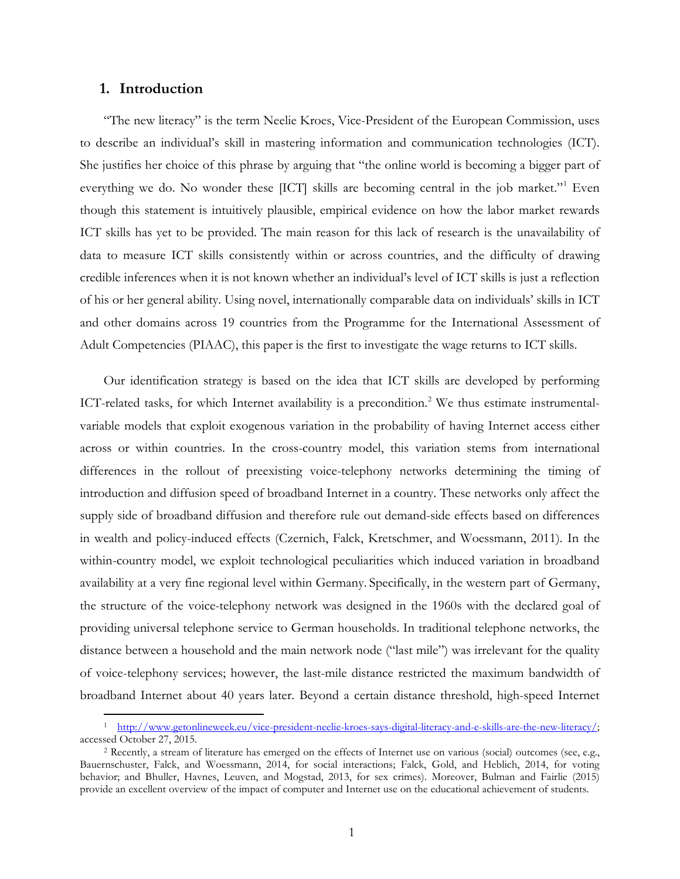# **1. Introduction**

"The new literacy" is the term Neelie Kroes, Vice-President of the European Commission, uses to describe an individual's skill in mastering information and communication technologies (ICT). She justifies her choice of this phrase by arguing that "the online world is becoming a bigger part of everything we do. No wonder these [ICT] skills are becoming central in the job market."<sup>[1](#page-1-0)</sup> Even though this statement is intuitively plausible, empirical evidence on how the labor market rewards ICT skills has yet to be provided. The main reason for this lack of research is the unavailability of data to measure ICT skills consistently within or across countries, and the difficulty of drawing credible inferences when it is not known whether an individual's level of ICT skills is just a reflection of his or her general ability. Using novel, internationally comparable data on individuals' skills in ICT and other domains across 19 countries from the Programme for the International Assessment of Adult Competencies (PIAAC), this paper is the first to investigate the wage returns to ICT skills.

Our identification strategy is based on the idea that ICT skills are developed by performing ICT-related tasks, for which Internet availability is a precondition.<sup>[2](#page-1-1)</sup> We thus estimate instrumentalvariable models that exploit exogenous variation in the probability of having Internet access either across or within countries. In the cross-country model, this variation stems from international differences in the rollout of preexisting voice-telephony networks determining the timing of introduction and diffusion speed of broadband Internet in a country. These networks only affect the supply side of broadband diffusion and therefore rule out demand-side effects based on differences in wealth and policy-induced effects (Czernich, Falck, Kretschmer, and Woessmann, 2011). In the within-country model, we exploit technological peculiarities which induced variation in broadband availability at a very fine regional level within Germany. Specifically, in the western part of Germany, the structure of the voice-telephony network was designed in the 1960s with the declared goal of providing universal telephone service to German households. In traditional telephone networks, the distance between a household and the main network node ("last mile") was irrelevant for the quality of voice-telephony services; however, the last-mile distance restricted the maximum bandwidth of broadband Internet about 40 years later. Beyond a certain distance threshold, high-speed Internet

<span id="page-1-0"></span> <sup>1</sup> [http://www.getonlineweek.eu/vice-president-neelie-kroes-says-digital-literacy-and-e-skills-are-the-new-literacy/;](http://www.getonlineweek.eu/vice-president-neelie-kroes-says-digital-literacy-and-e-skills-are-the-new-literacy/) accessed October 27, 2015.

<span id="page-1-1"></span><sup>2</sup> Recently, a stream of literature has emerged on the effects of Internet use on various (social) outcomes (see, e.g., Bauernschuster, Falck, and Woessmann, 2014, for social interactions; Falck, Gold, and Heblich, 2014, for voting behavior; and Bhuller, Havnes, Leuven, and Mogstad, 2013, for sex crimes). Moreover, Bulman and Fairlie (2015) provide an excellent overview of the impact of computer and Internet use on the educational achievement of students.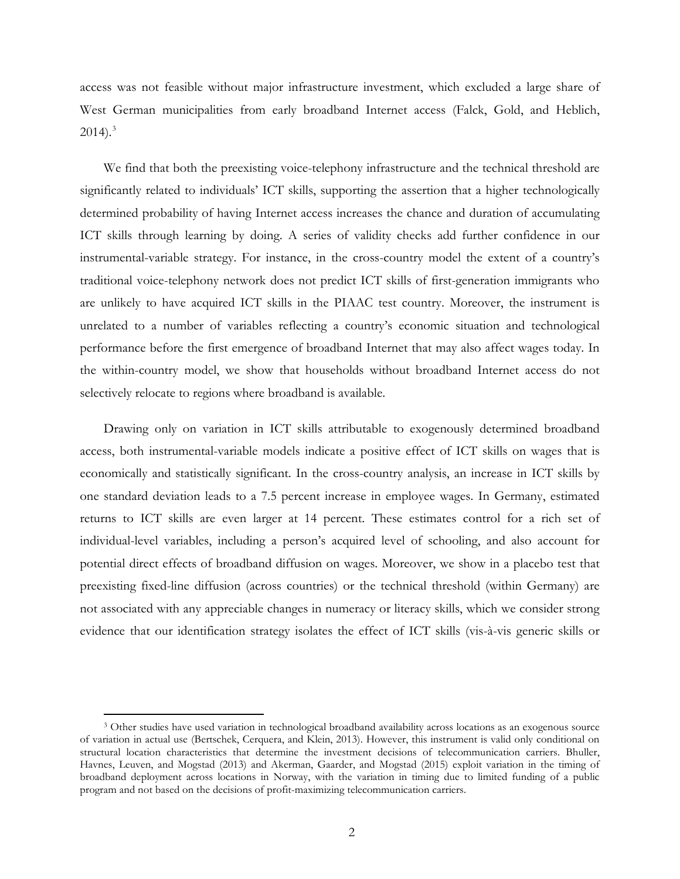access was not feasible without major infrastructure investment, which excluded a large share of West German municipalities from early broadband Internet access (Falck, Gold, and Heblich,  $2014$ ).<sup>[3](#page-2-0)</sup>

We find that both the preexisting voice-telephony infrastructure and the technical threshold are significantly related to individuals' ICT skills, supporting the assertion that a higher technologically determined probability of having Internet access increases the chance and duration of accumulating ICT skills through learning by doing. A series of validity checks add further confidence in our instrumental-variable strategy. For instance, in the cross-country model the extent of a country's traditional voice-telephony network does not predict ICT skills of first-generation immigrants who are unlikely to have acquired ICT skills in the PIAAC test country. Moreover, the instrument is unrelated to a number of variables reflecting a country's economic situation and technological performance before the first emergence of broadband Internet that may also affect wages today. In the within-country model, we show that households without broadband Internet access do not selectively relocate to regions where broadband is available.

Drawing only on variation in ICT skills attributable to exogenously determined broadband access, both instrumental-variable models indicate a positive effect of ICT skills on wages that is economically and statistically significant. In the cross-country analysis, an increase in ICT skills by one standard deviation leads to a 7.5 percent increase in employee wages. In Germany, estimated returns to ICT skills are even larger at 14 percent. These estimates control for a rich set of individual-level variables, including a person's acquired level of schooling, and also account for potential direct effects of broadband diffusion on wages. Moreover, we show in a placebo test that preexisting fixed-line diffusion (across countries) or the technical threshold (within Germany) are not associated with any appreciable changes in numeracy or literacy skills, which we consider strong evidence that our identification strategy isolates the effect of ICT skills (vis-à-vis generic skills or

<span id="page-2-0"></span> <sup>3</sup> Other studies have used variation in technological broadband availability across locations as an exogenous source of variation in actual use (Bertschek, Cerquera, and Klein, 2013). However, this instrument is valid only conditional on structural location characteristics that determine the investment decisions of telecommunication carriers. Bhuller, Havnes, Leuven, and Mogstad (2013) and Akerman, Gaarder, and Mogstad (2015) exploit variation in the timing of broadband deployment across locations in Norway, with the variation in timing due to limited funding of a public program and not based on the decisions of profit-maximizing telecommunication carriers.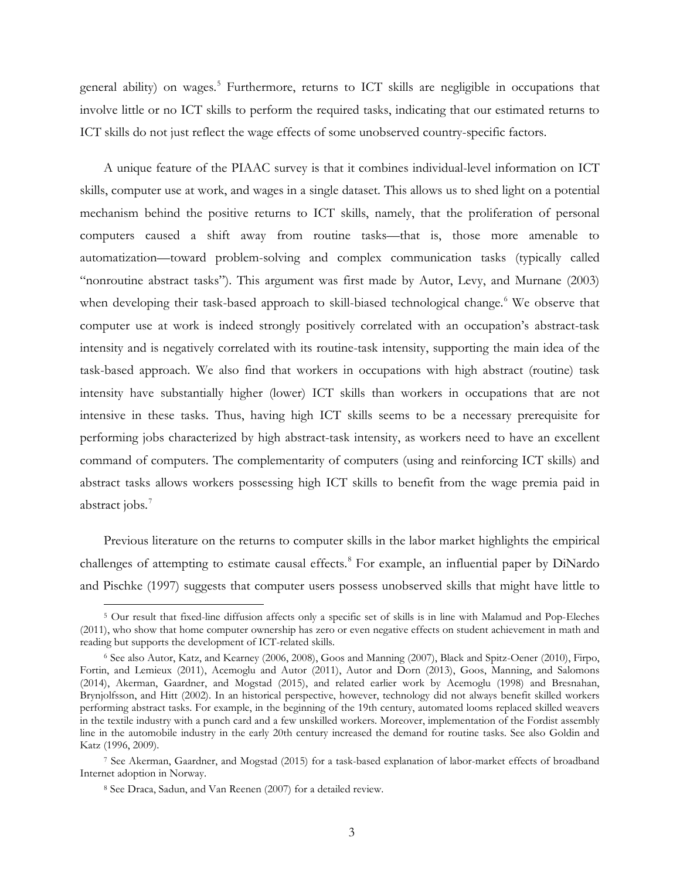general ability) on wages.<sup>[5](#page-3-0)</sup> Furthermore, returns to ICT skills are negligible in occupations that involve little or no ICT skills to perform the required tasks, indicating that our estimated returns to ICT skills do not just reflect the wage effects of some unobserved country-specific factors.

A unique feature of the PIAAC survey is that it combines individual-level information on ICT skills, computer use at work, and wages in a single dataset. This allows us to shed light on a potential mechanism behind the positive returns to ICT skills, namely, that the proliferation of personal computers caused a shift away from routine tasks—that is, those more amenable to automatization—toward problem-solving and complex communication tasks (typically called "nonroutine abstract tasks"). This argument was first made by Autor, Levy, and Murnane (2003) when developing their task-based approach to skill-biased technological change.<sup>[6](#page-4-0)</sup> We observe that computer use at work is indeed strongly positively correlated with an occupation's abstract-task intensity and is negatively correlated with its routine-task intensity, supporting the main idea of the task-based approach. We also find that workers in occupations with high abstract (routine) task intensity have substantially higher (lower) ICT skills than workers in occupations that are not intensive in these tasks. Thus, having high ICT skills seems to be a necessary prerequisite for performing jobs characterized by high abstract-task intensity, as workers need to have an excellent command of computers. The complementarity of computers (using and reinforcing ICT skills) and abstract tasks allows workers possessing high ICT skills to benefit from the wage premia paid in abstract jobs.<sup>[7](#page-4-1)</sup>

Previous literature on the returns to computer skills in the labor market highlights the empirical challenges of attempting to estimate causal effects.<sup>[8](#page-4-2)</sup> For example, an influential paper by DiNardo and Pischke (1997) suggests that computer users possess unobserved skills that might have little to

 <sup>5</sup> Our result that fixed-line diffusion affects only a specific set of skills is in line with Malamud and Pop-Eleches (2011), who show that home computer ownership has zero or even negative effects on student achievement in math and reading but supports the development of ICT-related skills.

<sup>6</sup> See also Autor, Katz, and Kearney (2006, 2008), Goos and Manning (2007), Black and Spitz-Oener (2010), Firpo, Fortin, and Lemieux (2011), Acemoglu and Autor (2011), Autor and Dorn (2013), Goos, Manning, and Salomons (2014), Akerman, Gaardner, and Mogstad (2015), and related earlier work by Acemoglu (1998) and Bresnahan, Brynjolfsson, and Hitt (2002). In an historical perspective, however, technology did not always benefit skilled workers performing abstract tasks. For example, in the beginning of the 19th century, automated looms replaced skilled weavers in the textile industry with a punch card and a few unskilled workers. Moreover, implementation of the Fordist assembly line in the automobile industry in the early 20th century increased the demand for routine tasks. See also Goldin and Katz (1996, 2009).

<span id="page-3-0"></span><sup>7</sup> See Akerman, Gaardner, and Mogstad (2015) for a task-based explanation of labor-market effects of broadband Internet adoption in Norway.

<sup>8</sup> See Draca, Sadun, and Van Reenen (2007) for a detailed review.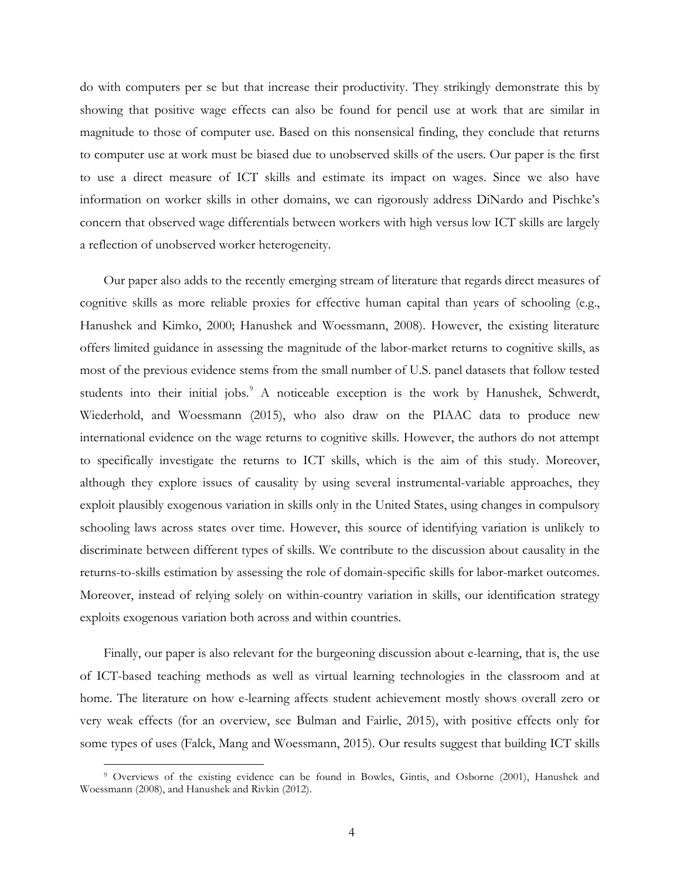do with computers per se but that increase their productivity. They strikingly demonstrate this by showing that positive wage effects can also be found for pencil use at work that are similar in magnitude to those of computer use. Based on this nonsensical finding, they conclude that returns to computer use at work must be biased due to unobserved skills of the users. Our paper is the first to use a direct measure of ICT skills and estimate its impact on wages. Since we also have information on worker skills in other domains, we can rigorously address DiNardo and Pischke's concern that observed wage differentials between workers with high versus low ICT skills are largely a reflection of unobserved worker heterogeneity.

Our paper also adds to the recently emerging stream of literature that regards direct measures of cognitive skills as more reliable proxies for effective human capital than years of schooling (e.g., Hanushek and Kimko, 2000; Hanushek and Woessmann, 2008). However, the existing literature offers limited guidance in assessing the magnitude of the labor-market returns to cognitive skills, as most of the previous evidence stems from the small number of U.S. panel datasets that follow tested students into their initial jobs.<sup>[9](#page-5-0)</sup> A noticeable exception is the work by Hanushek, Schwerdt, Wiederhold, and Woessmann (2015), who also draw on the PIAAC data to produce new international evidence on the wage returns to cognitive skills. However, the authors do not attempt to specifically investigate the returns to ICT skills, which is the aim of this study. Moreover, although they explore issues of causality by using several instrumental-variable approaches, they exploit plausibly exogenous variation in skills only in the United States, using changes in compulsory schooling laws across states over time. However, this source of identifying variation is unlikely to discriminate between different types of skills. We contribute to the discussion about causality in the returns-to-skills estimation by assessing the role of domain-specific skills for labor-market outcomes. Moreover, instead of relying solely on within-country variation in skills, our identification strategy exploits exogenous variation both across and within countries.

<span id="page-4-0"></span>Finally, our paper is also relevant for the burgeoning discussion about e-learning, that is, the use of ICT-based teaching methods as well as virtual learning technologies in the classroom and at home. The literature on how e-learning affects student achievement mostly shows overall zero or very weak effects (for an overview, see Bulman and Fairlie, 2015), with positive effects only for some types of uses (Falck, Mang and Woessmann, 2015). Our results suggest that building ICT skills

<span id="page-4-2"></span><span id="page-4-1"></span> <sup>9</sup> Overviews of the existing evidence can be found in Bowles, Gintis, and Osborne (2001), Hanushek and Woessmann (2008), and Hanushek and Rivkin (2012).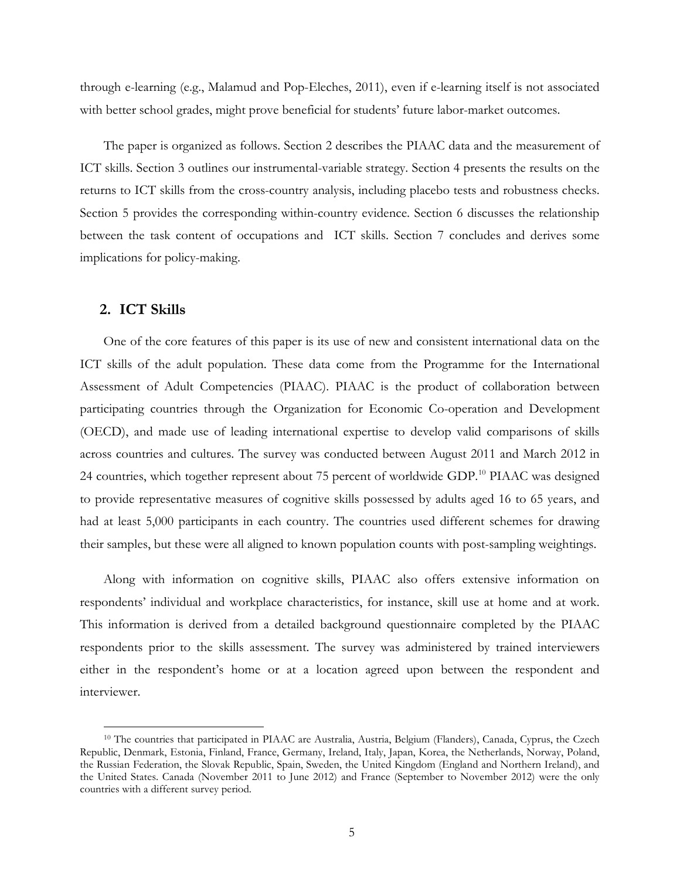through e-learning (e.g., Malamud and Pop-Eleches, 2011), even if e-learning itself is not associated with better school grades, might prove beneficial for students' future labor-market outcomes.

The paper is organized as follows. Section 2 describes the PIAAC data and the measurement of ICT skills. Section 3 outlines our instrumental-variable strategy. Section 4 presents the results on the returns to ICT skills from the cross-country analysis, including placebo tests and robustness checks. Section 5 provides the corresponding within-country evidence. Section 6 discusses the relationship between the task content of occupations and ICT skills. Section 7 concludes and derives some implications for policy-making.

# **2. ICT Skills**

One of the core features of this paper is its use of new and consistent international data on the ICT skills of the adult population. These data come from the Programme for the International Assessment of Adult Competencies (PIAAC). PIAAC is the product of collaboration between participating countries through the Organization for Economic Co-operation and Development (OECD), and made use of leading international expertise to develop valid comparisons of skills across countries and cultures. The survey was conducted between August 2011 and March 2012 in 24 countries, which together represent about 75 percent of worldwide GDP.<sup>[10](#page-6-0)</sup> PIAAC was designed to provide representative measures of cognitive skills possessed by adults aged 16 to 65 years, and had at least 5,000 participants in each country. The countries used different schemes for drawing their samples, but these were all aligned to known population counts with post-sampling weightings.

Along with information on cognitive skills, PIAAC also offers extensive information on respondents' individual and workplace characteristics, for instance, skill use at home and at work. This information is derived from a detailed background questionnaire completed by the PIAAC respondents prior to the skills assessment. The survey was administered by trained interviewers either in the respondent's home or at a location agreed upon between the respondent and interviewer.

<span id="page-5-0"></span> <sup>10</sup> The countries that participated in PIAAC are Australia, Austria, Belgium (Flanders), Canada, Cyprus, the Czech Republic, Denmark, Estonia, Finland, France, Germany, Ireland, Italy, Japan, Korea, the Netherlands, Norway, Poland, the Russian Federation, the Slovak Republic, Spain, Sweden, the United Kingdom (England and Northern Ireland), and the United States. Canada (November 2011 to June 2012) and France (September to November 2012) were the only countries with a different survey period.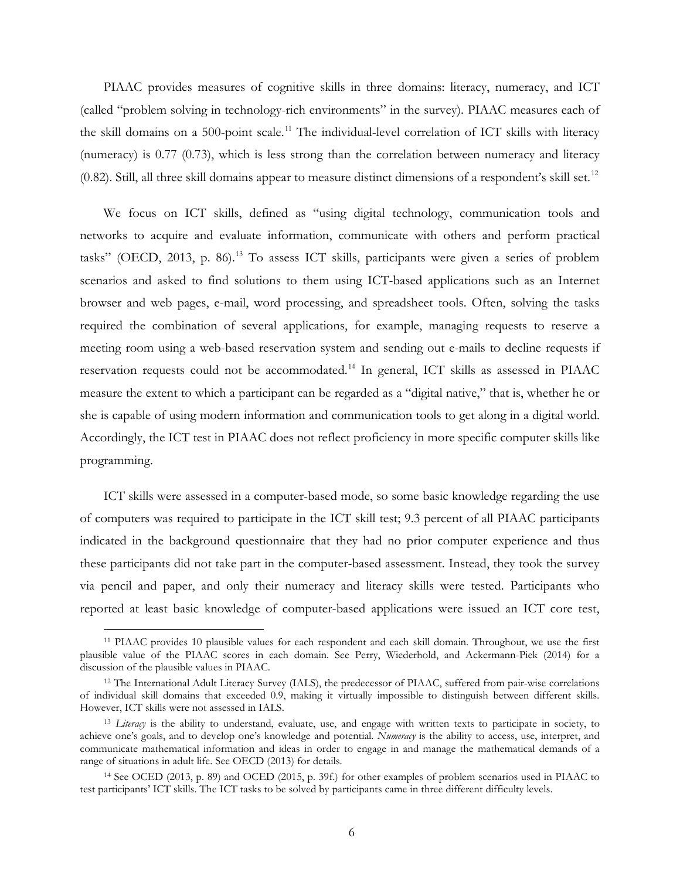PIAAC provides measures of cognitive skills in three domains: literacy, numeracy, and ICT (called "problem solving in technology-rich environments" in the survey). PIAAC measures each of the skill domains on a 500-point scale.<sup>[11](#page-6-1)</sup> The individual-level correlation of ICT skills with literacy (numeracy) is 0.77 (0.73), which is less strong than the correlation between numeracy and literacy (0.82). Still, all three skill domains appear to measure distinct dimensions of a respondent's skill set.<sup>[12](#page-7-0)</sup>

We focus on ICT skills, defined as "using digital technology, communication tools and networks to acquire and evaluate information, communicate with others and perform practical tasks" (OECD, 20[13](#page-7-1), p. 86).<sup>13</sup> To assess ICT skills, participants were given a series of problem scenarios and asked to find solutions to them using ICT-based applications such as an Internet browser and web pages, e-mail, word processing, and spreadsheet tools. Often, solving the tasks required the combination of several applications, for example, managing requests to reserve a meeting room using a web-based reservation system and sending out e-mails to decline requests if reservation requests could not be accommodated.[14](#page-7-2) In general, ICT skills as assessed in PIAAC measure the extent to which a participant can be regarded as a "digital native," that is, whether he or she is capable of using modern information and communication tools to get along in a digital world. Accordingly, the ICT test in PIAAC does not reflect proficiency in more specific computer skills like programming.

ICT skills were assessed in a computer-based mode, so some basic knowledge regarding the use of computers was required to participate in the ICT skill test; 9.3 percent of all PIAAC participants indicated in the background questionnaire that they had no prior computer experience and thus these participants did not take part in the computer-based assessment. Instead, they took the survey via pencil and paper, and only their numeracy and literacy skills were tested. Participants who reported at least basic knowledge of computer-based applications were issued an ICT core test,

 <sup>11</sup> PIAAC provides 10 plausible values for each respondent and each skill domain. Throughout, we use the first plausible value of the PIAAC scores in each domain. See Perry, Wiederhold, and Ackermann-Piek (2014) for a discussion of the plausible values in PIAAC.

<span id="page-6-0"></span><sup>&</sup>lt;sup>12</sup> The International Adult Literacy Survey (IALS), the predecessor of PIAAC, suffered from pair-wise correlations of individual skill domains that exceeded 0.9, making it virtually impossible to distinguish between different skills. However, ICT skills were not assessed in IALS.

<sup>13</sup> *Literacy* is the ability to understand, evaluate, use, and engage with written texts to participate in society, to achieve one's goals, and to develop one's knowledge and potential. *Numeracy* is the ability to access, use, interpret, and communicate mathematical information and ideas in order to engage in and manage the mathematical demands of a range of situations in adult life. See OECD (2013) for details.

<span id="page-6-1"></span><sup>14</sup> See OCED (2013, p. 89) and OCED (2015, p. 39f.) for other examples of problem scenarios used in PIAAC to test participants' ICT skills. The ICT tasks to be solved by participants came in three different difficulty levels.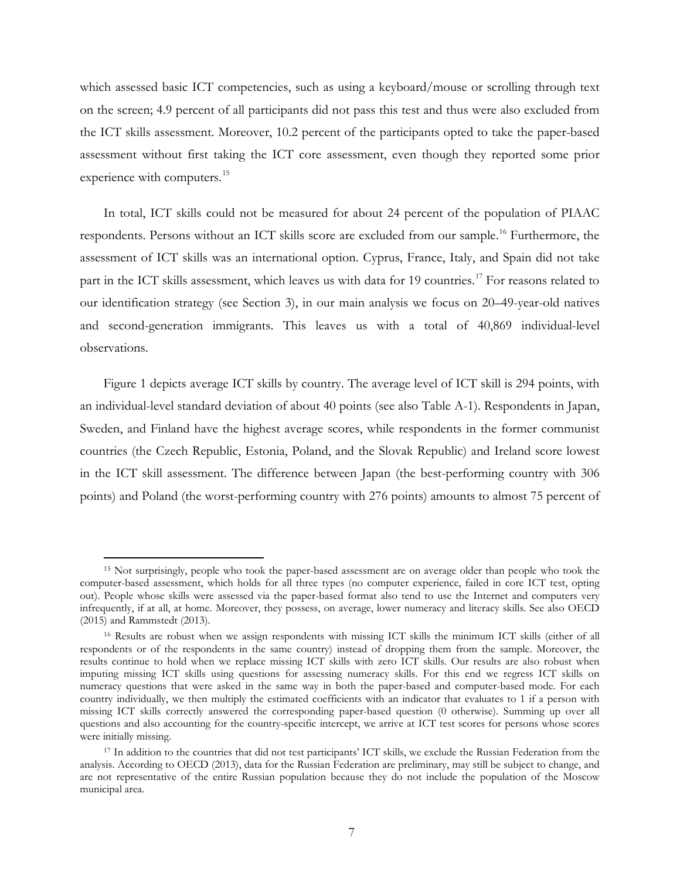which assessed basic ICT competencies, such as using a keyboard/mouse or scrolling through text on the screen; 4.9 percent of all participants did not pass this test and thus were also excluded from the ICT skills assessment. Moreover, 10.2 percent of the participants opted to take the paper-based assessment without first taking the ICT core assessment, even though they reported some prior experience with computers.<sup>[15](#page-8-0)</sup>

In total, ICT skills could not be measured for about 24 percent of the population of PIAAC respondents. Persons without an ICT skills score are excluded from our sample.<sup>[16](#page-8-1)</sup> Furthermore, the assessment of ICT skills was an international option. Cyprus, France, Italy, and Spain did not take part in the ICT skills assessment, which leaves us with data for 19 countries.<sup>[17](#page-8-2)</sup> For reasons related to our identification strategy (see Section 3), in our main analysis we focus on 20–49-year-old natives and second-generation immigrants. This leaves us with a total of 40,869 individual-level observations.

Figure 1 depicts average ICT skills by country. The average level of ICT skill is 294 points, with an individual-level standard deviation of about 40 points (see also Table A-1). Respondents in Japan, Sweden, and Finland have the highest average scores, while respondents in the former communist countries (the Czech Republic, Estonia, Poland, and the Slovak Republic) and Ireland score lowest in the ICT skill assessment. The difference between Japan (the best-performing country with 306 points) and Poland (the worst-performing country with 276 points) amounts to almost 75 percent of

 <sup>15</sup> Not surprisingly, people who took the paper-based assessment are on average older than people who took the computer-based assessment, which holds for all three types (no computer experience, failed in core ICT test, opting out). People whose skills were assessed via the paper-based format also tend to use the Internet and computers very infrequently, if at all, at home. Moreover, they possess, on average, lower numeracy and literacy skills. See also OECD (2015) and Rammstedt (2013).

<span id="page-7-0"></span><sup>16</sup> Results are robust when we assign respondents with missing ICT skills the minimum ICT skills (either of all respondents or of the respondents in the same country) instead of dropping them from the sample. Moreover, the results continue to hold when we replace missing ICT skills with zero ICT skills. Our results are also robust when imputing missing ICT skills using questions for assessing numeracy skills. For this end we regress ICT skills on numeracy questions that were asked in the same way in both the paper-based and computer-based mode. For each country individually, we then multiply the estimated coefficients with an indicator that evaluates to 1 if a person with missing ICT skills correctly answered the corresponding paper-based question (0 otherwise). Summing up over all questions and also accounting for the country-specific intercept, we arrive at ICT test scores for persons whose scores were initially missing.

<span id="page-7-2"></span><span id="page-7-1"></span><sup>&</sup>lt;sup>17</sup> In addition to the countries that did not test participants' ICT skills, we exclude the Russian Federation from the analysis. According to OECD (2013), data for the Russian Federation are preliminary, may still be subject to change, and are not representative of the entire Russian population because they do not include the population of the Moscow municipal area.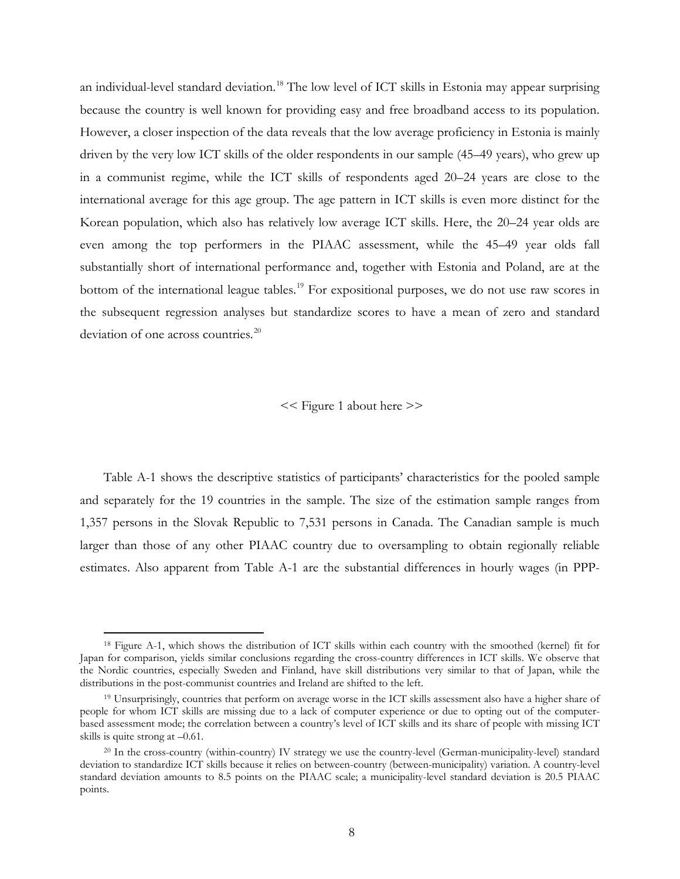an individual-level standard deviation.<sup>[18](#page-8-3)</sup> The low level of ICT skills in Estonia may appear surprising because the country is well known for providing easy and free broadband access to its population. However, a closer inspection of the data reveals that the low average proficiency in Estonia is mainly driven by the very low ICT skills of the older respondents in our sample (45–49 years), who grew up in a communist regime, while the ICT skills of respondents aged 20–24 years are close to the international average for this age group. The age pattern in ICT skills is even more distinct for the Korean population, which also has relatively low average ICT skills. Here, the 20–24 year olds are even among the top performers in the PIAAC assessment, while the 45–49 year olds fall substantially short of international performance and, together with Estonia and Poland, are at the bottom of the international league tables.<sup>[19](#page-9-0)</sup> For expositional purposes, we do not use raw scores in the subsequent regression analyses but standardize scores to have a mean of zero and standard deviation of one across countries.<sup>[20](#page-9-1)</sup>

<< Figure 1 about here >>

<span id="page-8-0"></span>Table A-1 shows the descriptive statistics of participants' characteristics for the pooled sample and separately for the 19 countries in the sample. The size of the estimation sample ranges from 1,357 persons in the Slovak Republic to 7,531 persons in Canada. The Canadian sample is much larger than those of any other PIAAC country due to oversampling to obtain regionally reliable estimates. Also apparent from Table A-1 are the substantial differences in hourly wages (in PPP-

<span id="page-8-1"></span> <sup>18</sup> Figure A-1, which shows the distribution of ICT skills within each country with the smoothed (kernel) fit for Japan for comparison, yields similar conclusions regarding the cross-country differences in ICT skills. We observe that the Nordic countries, especially Sweden and Finland, have skill distributions very similar to that of Japan, while the distributions in the post-communist countries and Ireland are shifted to the left.

<span id="page-8-2"></span><sup>19</sup> Unsurprisingly, countries that perform on average worse in the ICT skills assessment also have a higher share of people for whom ICT skills are missing due to a lack of computer experience or due to opting out of the computerbased assessment mode; the correlation between a country's level of ICT skills and its share of people with missing ICT skills is quite strong at –0.61.

<span id="page-8-3"></span><sup>&</sup>lt;sup>20</sup> In the cross-country (within-country) IV strategy we use the country-level (German-municipality-level) standard deviation to standardize ICT skills because it relies on between-country (between-municipality) variation. A country-level standard deviation amounts to 8.5 points on the PIAAC scale; a municipality-level standard deviation is 20.5 PIAAC points.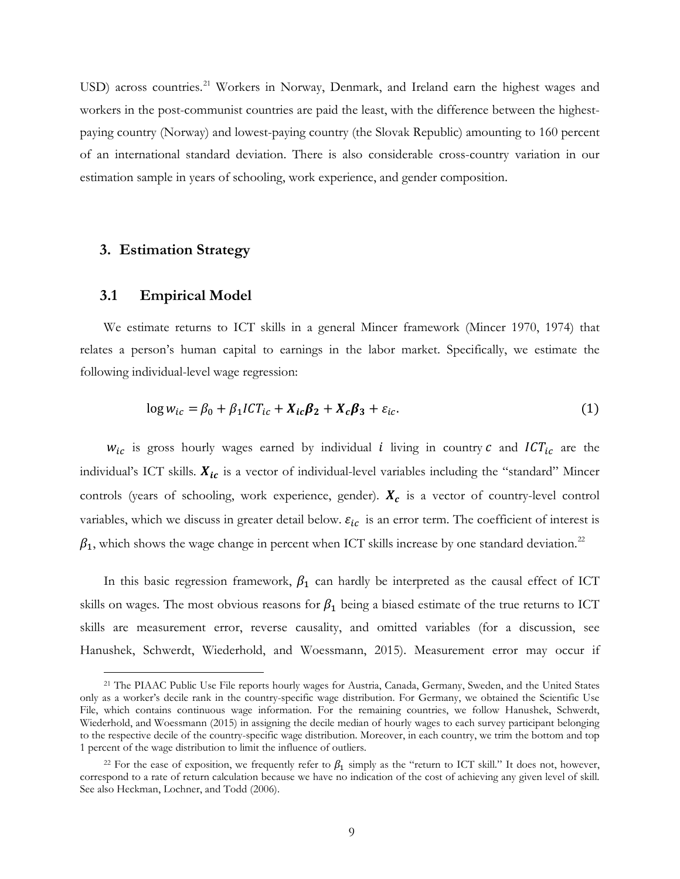USD) across countries.<sup>[21](#page-9-2)</sup> Workers in Norway, Denmark, and Ireland earn the highest wages and workers in the post-communist countries are paid the least, with the difference between the highestpaying country (Norway) and lowest-paying country (the Slovak Republic) amounting to 160 percent of an international standard deviation. There is also considerable cross-country variation in our estimation sample in years of schooling, work experience, and gender composition.

# **3. Estimation Strategy**

## **3.1 Empirical Model**

We estimate returns to ICT skills in a general Mincer framework (Mincer 1970, 1974) that relates a person's human capital to earnings in the labor market. Specifically, we estimate the following individual-level wage regression:

$$
\log w_{ic} = \beta_0 + \beta_1 I C T_{ic} + X_{ic} \beta_2 + X_c \beta_3 + \varepsilon_{ic}.
$$
 (1)

 $w_{ic}$  is gross hourly wages earned by individual *i* living in country  $c$  and  $ICT_{ic}$  are the individual's ICT skills.  $X_{ic}$  is a vector of individual-level variables including the "standard" Mincer controls (years of schooling, work experience, gender).  $X_c$  is a vector of country-level control variables, which we discuss in greater detail below.  $\varepsilon_{ic}$  is an error term. The coefficient of interest is  $\beta_1$ , which shows the wage change in percent when ICT skills increase by one standard deviation.<sup>[22](#page-10-0)</sup>

<span id="page-9-0"></span>In this basic regression framework,  $\beta_1$  can hardly be interpreted as the causal effect of ICT skills on wages. The most obvious reasons for  $\beta_1$  being a biased estimate of the true returns to ICT skills are measurement error, reverse causality, and omitted variables (for a discussion, see Hanushek, Schwerdt, Wiederhold, and Woessmann, 2015). Measurement error may occur if

<span id="page-9-1"></span> <sup>21</sup> The PIAAC Public Use File reports hourly wages for Austria, Canada, Germany, Sweden, and the United States only as a worker's decile rank in the country-specific wage distribution. For Germany, we obtained the Scientific Use File, which contains continuous wage information. For the remaining countries, we follow Hanushek, Schwerdt, Wiederhold, and Woessmann (2015) in assigning the decile median of hourly wages to each survey participant belonging to the respective decile of the country-specific wage distribution. Moreover, in each country, we trim the bottom and top 1 percent of the wage distribution to limit the influence of outliers.

<span id="page-9-2"></span><sup>&</sup>lt;sup>22</sup> For the ease of exposition, we frequently refer to  $\beta_1$  simply as the "return to ICT skill." It does not, however, correspond to a rate of return calculation because we have no indication of the cost of achieving any given level of skill. See also Heckman, Lochner, and Todd (2006).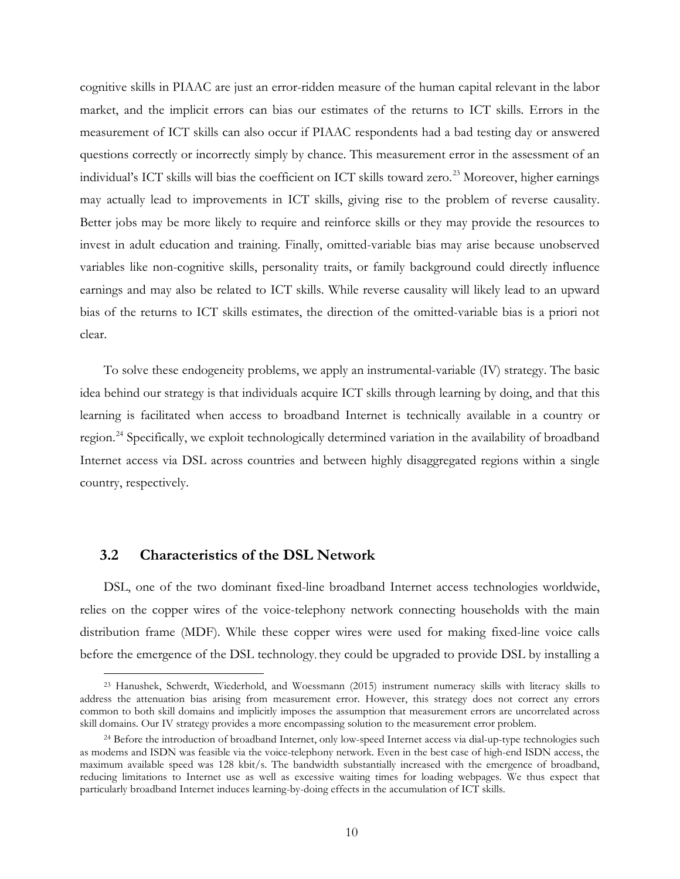cognitive skills in PIAAC are just an error-ridden measure of the human capital relevant in the labor market, and the implicit errors can bias our estimates of the returns to ICT skills. Errors in the measurement of ICT skills can also occur if PIAAC respondents had a bad testing day or answered questions correctly or incorrectly simply by chance. This measurement error in the assessment of an individual's ICT skills will bias the coefficient on ICT skills toward zero.<sup>[23](#page-10-1)</sup> Moreover, higher earnings may actually lead to improvements in ICT skills, giving rise to the problem of reverse causality. Better jobs may be more likely to require and reinforce skills or they may provide the resources to invest in adult education and training. Finally, omitted-variable bias may arise because unobserved variables like non-cognitive skills, personality traits, or family background could directly influence earnings and may also be related to ICT skills. While reverse causality will likely lead to an upward bias of the returns to ICT skills estimates, the direction of the omitted-variable bias is a priori not clear.

To solve these endogeneity problems, we apply an instrumental-variable (IV) strategy. The basic idea behind our strategy is that individuals acquire ICT skills through learning by doing, and that this learning is facilitated when access to broadband Internet is technically available in a country or region.<sup>[24](#page-11-0)</sup> Specifically, we exploit technologically determined variation in the availability of broadband Internet access via DSL across countries and between highly disaggregated regions within a single country, respectively.

# **3.2 Characteristics of the DSL Network**

DSL, one of the two dominant fixed-line broadband Internet access technologies worldwide, relies on the copper wires of the voice-telephony network connecting households with the main distribution frame (MDF). While these copper wires were used for making fixed-line voice calls before the emergence of the DSL technology, they could be upgraded to provide DSL by installing a

 <sup>23</sup> Hanushek, Schwerdt, Wiederhold, and Woessmann (2015) instrument numeracy skills with literacy skills to address the attenuation bias arising from measurement error. However, this strategy does not correct any errors common to both skill domains and implicitly imposes the assumption that measurement errors are uncorrelated across skill domains. Our IV strategy provides a more encompassing solution to the measurement error problem.

<span id="page-10-1"></span><span id="page-10-0"></span><sup>&</sup>lt;sup>24</sup> Before the introduction of broadband Internet, only low-speed Internet access via dial-up-type technologies such as modems and ISDN was feasible via the voice-telephony network. Even in the best case of high-end ISDN access, the maximum available speed was 128 kbit/s. The bandwidth substantially increased with the emergence of broadband, reducing limitations to Internet use as well as excessive waiting times for loading webpages. We thus expect that particularly broadband Internet induces learning-by-doing effects in the accumulation of ICT skills.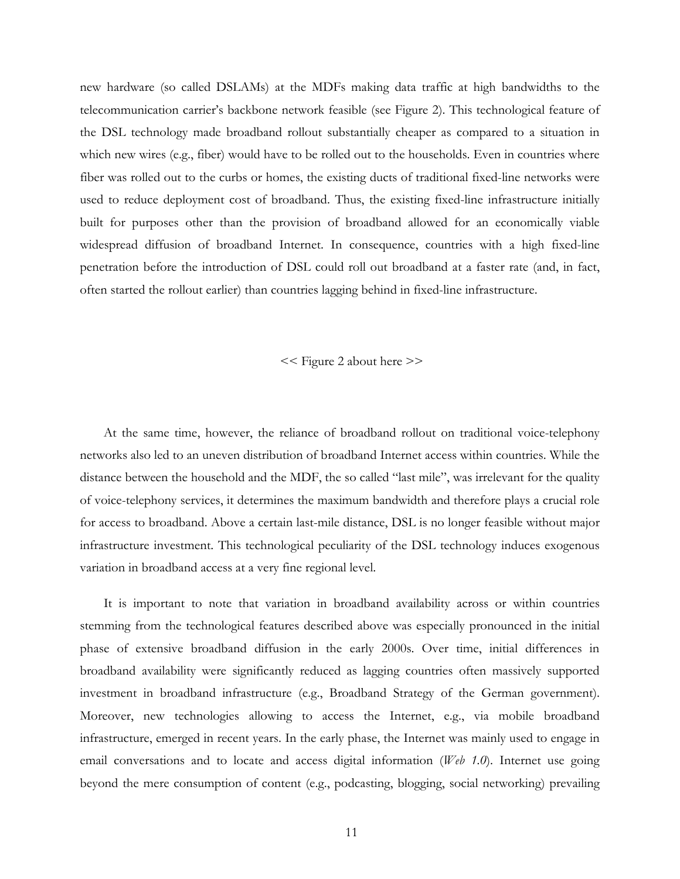new hardware (so called DSLAMs) at the MDFs making data traffic at high bandwidths to the telecommunication carrier's backbone network feasible (see Figure 2). This technological feature of the DSL technology made broadband rollout substantially cheaper as compared to a situation in which new wires (e.g., fiber) would have to be rolled out to the households. Even in countries where fiber was rolled out to the curbs or homes, the existing ducts of traditional fixed-line networks were used to reduce deployment cost of broadband. Thus, the existing fixed-line infrastructure initially built for purposes other than the provision of broadband allowed for an economically viable widespread diffusion of broadband Internet. In consequence, countries with a high fixed-line penetration before the introduction of DSL could roll out broadband at a faster rate (and, in fact, often started the rollout earlier) than countries lagging behind in fixed-line infrastructure.

#### << Figure 2 about here >>

At the same time, however, the reliance of broadband rollout on traditional voice-telephony networks also led to an uneven distribution of broadband Internet access within countries. While the distance between the household and the MDF, the so called "last mile", was irrelevant for the quality of voice-telephony services, it determines the maximum bandwidth and therefore plays a crucial role for access to broadband. Above a certain last-mile distance, DSL is no longer feasible without major infrastructure investment. This technological peculiarity of the DSL technology induces exogenous variation in broadband access at a very fine regional level.

<span id="page-11-0"></span>It is important to note that variation in broadband availability across or within countries stemming from the technological features described above was especially pronounced in the initial phase of extensive broadband diffusion in the early 2000s. Over time, initial differences in broadband availability were significantly reduced as lagging countries often massively supported investment in broadband infrastructure (e.g., Broadband Strategy of the German government). Moreover, new technologies allowing to access the Internet, e.g., via mobile broadband infrastructure, emerged in recent years. In the early phase, the Internet was mainly used to engage in email conversations and to locate and access digital information (*Web 1.0*). Internet use going beyond the mere consumption of content (e.g., podcasting, blogging, social networking) prevailing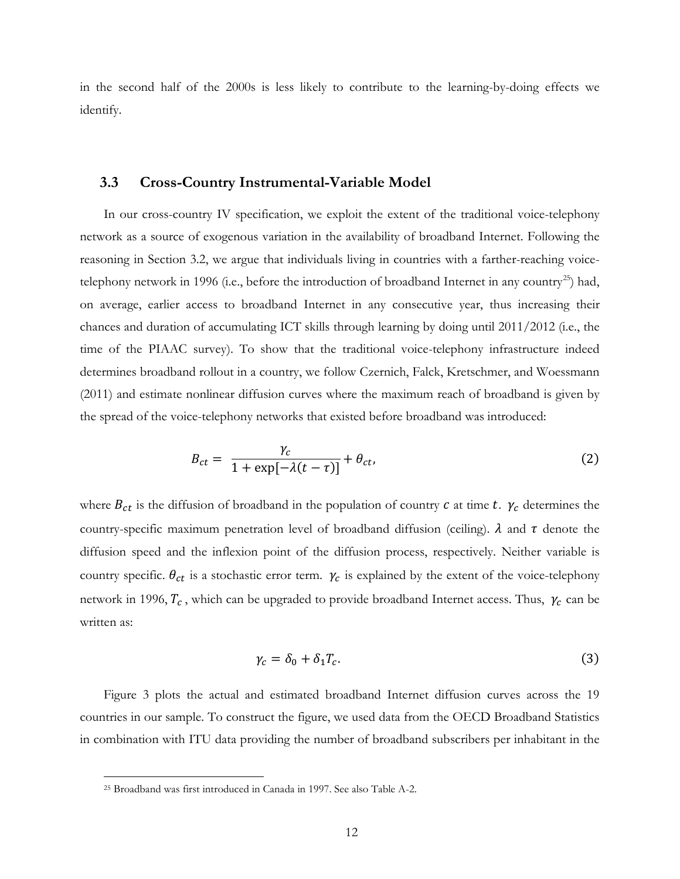in the second half of the 2000s is less likely to contribute to the learning-by-doing effects we identify.

## **3.3 Cross-Country Instrumental-Variable Model**

In our cross-country IV specification, we exploit the extent of the traditional voice-telephony network as a source of exogenous variation in the availability of broadband Internet. Following the reasoning in Section 3.2, we argue that individuals living in countries with a farther-reaching voice-telephony network in 1996 (i.e., before the introduction of broadband Internet in any country<sup>[25](#page-13-0)</sup>) had, on average, earlier access to broadband Internet in any consecutive year, thus increasing their chances and duration of accumulating ICT skills through learning by doing until 2011/2012 (i.e., the time of the PIAAC survey). To show that the traditional voice-telephony infrastructure indeed determines broadband rollout in a country, we follow Czernich, Falck, Kretschmer, and Woessmann (2011) and estimate nonlinear diffusion curves where the maximum reach of broadband is given by the spread of the voice-telephony networks that existed before broadband was introduced:

$$
B_{ct} = \frac{\gamma_c}{1 + \exp[-\lambda(t - \tau)]} + \theta_{ct},
$$
\n(2)

where  $B_{ct}$  is the diffusion of broadband in the population of country  $c$  at time  $t$ .  $\gamma_c$  determines the country-specific maximum penetration level of broadband diffusion (ceiling).  $\lambda$  and  $\tau$  denote the diffusion speed and the inflexion point of the diffusion process, respectively. Neither variable is country specific.  $\theta_{ct}$  is a stochastic error term.  $\gamma_c$  is explained by the extent of the voice-telephony network in 1996,  $T_c$ , which can be upgraded to provide broadband Internet access. Thus,  $\gamma_c$  can be written as:

$$
\gamma_c = \delta_0 + \delta_1 T_c. \tag{3}
$$

Figure 3 plots the actual and estimated broadband Internet diffusion curves across the 19 countries in our sample. To construct the figure, we used data from the OECD Broadband Statistics in combination with ITU data providing the number of broadband subscribers per inhabitant in the

 <sup>25</sup> Broadband was first introduced in Canada in 1997. See also Table A-2.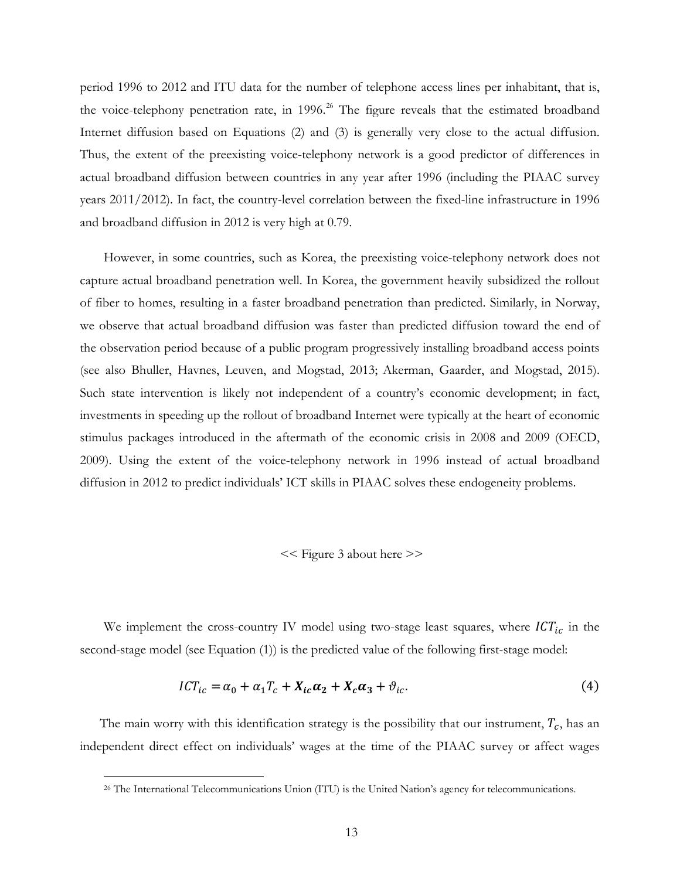period 1996 to 2012 and ITU data for the number of telephone access lines per inhabitant, that is, the voice-telephony penetration rate, in 1996.<sup>[26](#page-13-1)</sup> The figure reveals that the estimated broadband Internet diffusion based on Equations (2) and (3) is generally very close to the actual diffusion. Thus, the extent of the preexisting voice-telephony network is a good predictor of differences in actual broadband diffusion between countries in any year after 1996 (including the PIAAC survey years 2011/2012). In fact, the country-level correlation between the fixed-line infrastructure in 1996 and broadband diffusion in 2012 is very high at 0.79.

However, in some countries, such as Korea, the preexisting voice-telephony network does not capture actual broadband penetration well. In Korea, the government heavily subsidized the rollout of fiber to homes, resulting in a faster broadband penetration than predicted. Similarly, in Norway, we observe that actual broadband diffusion was faster than predicted diffusion toward the end of the observation period because of a public program progressively installing broadband access points (see also Bhuller, Havnes, Leuven, and Mogstad, 2013; Akerman, Gaarder, and Mogstad, 2015). Such state intervention is likely not independent of a country's economic development; in fact, investments in speeding up the rollout of broadband Internet were typically at the heart of economic stimulus packages introduced in the aftermath of the economic crisis in 2008 and 2009 (OECD, 2009). Using the extent of the voice-telephony network in 1996 instead of actual broadband diffusion in 2012 to predict individuals' ICT skills in PIAAC solves these endogeneity problems.

## << Figure 3 about here >>

We implement the cross-country IV model using two-stage least squares, where  $ICT_{ic}$  in the second-stage model (see Equation (1)) is the predicted value of the following first-stage model:

$$
ICT_{ic} = \alpha_0 + \alpha_1 T_c + X_{ic}\alpha_2 + X_c\alpha_3 + \vartheta_{ic}.
$$
\n<sup>(4)</sup>

<span id="page-13-1"></span><span id="page-13-0"></span>The main worry with this identification strategy is the possibility that our instrument,  $T_c$ , has an independent direct effect on individuals' wages at the time of the PIAAC survey or affect wages

 <sup>26</sup> The International Telecommunications Union (ITU) is the United Nation's agency for telecommunications.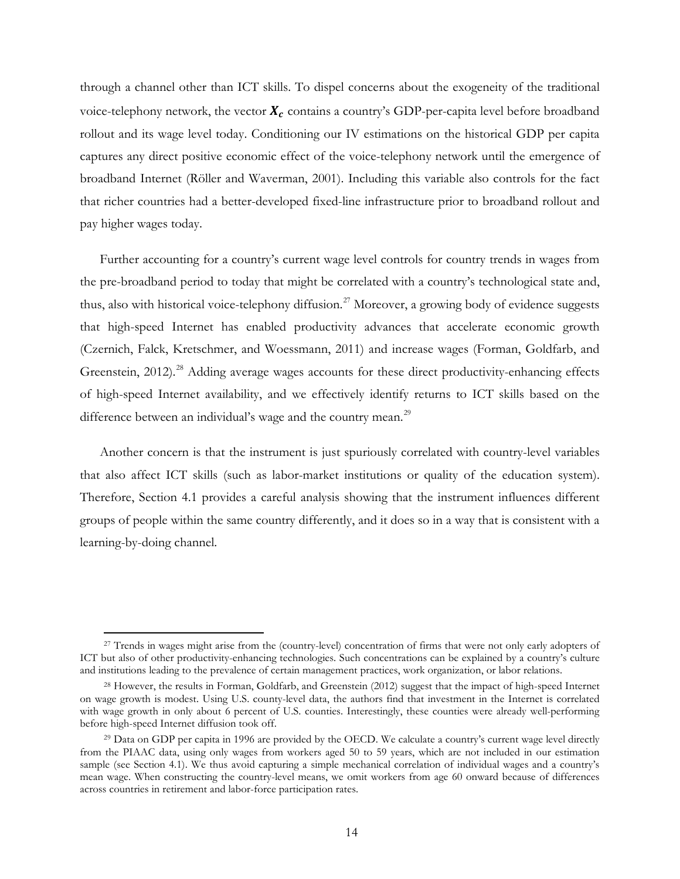through a channel other than ICT skills. To dispel concerns about the exogeneity of the traditional voice-telephony network, the vector  $X_c$  contains a country's GDP-per-capita level before broadband rollout and its wage level today. Conditioning our IV estimations on the historical GDP per capita captures any direct positive economic effect of the voice-telephony network until the emergence of broadband Internet (Röller and Waverman, 2001). Including this variable also controls for the fact that richer countries had a better-developed fixed-line infrastructure prior to broadband rollout and pay higher wages today.

Further accounting for a country's current wage level controls for country trends in wages from the pre-broadband period to today that might be correlated with a country's technological state and, thus, also with historical voice-telephony diffusion.<sup>[27](#page-15-0)</sup> Moreover, a growing body of evidence suggests that high-speed Internet has enabled productivity advances that accelerate economic growth (Czernich, Falck, Kretschmer, and Woessmann, 2011) and increase wages (Forman, Goldfarb, and Greenstein, 2012).<sup>[28](#page-15-1)</sup> Adding average wages accounts for these direct productivity-enhancing effects of high-speed Internet availability, and we effectively identify returns to ICT skills based on the difference between an individual's wage and the country mean.<sup>[29](#page-15-2)</sup>

Another concern is that the instrument is just spuriously correlated with country-level variables that also affect ICT skills (such as labor-market institutions or quality of the education system). Therefore, Section 4.1 provides a careful analysis showing that the instrument influences different groups of people within the same country differently, and it does so in a way that is consistent with a learning-by-doing channel.

<sup>&</sup>lt;sup>27</sup> Trends in wages might arise from the (country-level) concentration of firms that were not only early adopters of ICT but also of other productivity-enhancing technologies. Such concentrations can be explained by a country's culture and institutions leading to the prevalence of certain management practices, work organization, or labor relations.

<sup>28</sup> However, the results in Forman, Goldfarb, and Greenstein (2012) suggest that the impact of high-speed Internet on wage growth is modest. Using U.S. county-level data, the authors find that investment in the Internet is correlated with wage growth in only about 6 percent of U.S. counties. Interestingly, these counties were already well-performing before high-speed Internet diffusion took off.

<sup>&</sup>lt;sup>29</sup> Data on GDP per capita in 1996 are provided by the OECD. We calculate a country's current wage level directly from the PIAAC data, using only wages from workers aged 50 to 59 years, which are not included in our estimation sample (see Section 4.1). We thus avoid capturing a simple mechanical correlation of individual wages and a country's mean wage. When constructing the country-level means, we omit workers from age 60 onward because of differences across countries in retirement and labor-force participation rates.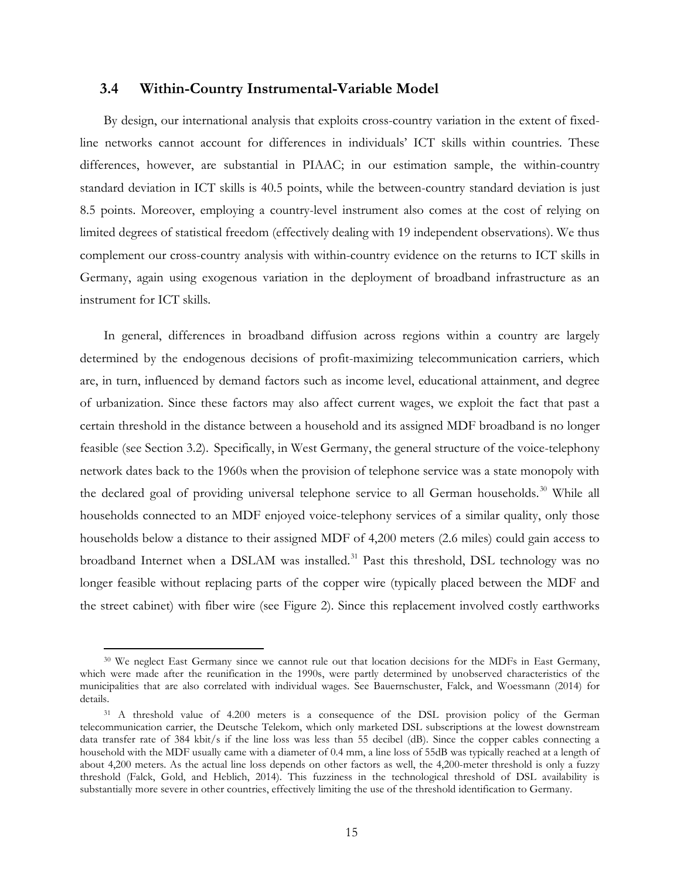## **3.4 Within-Country Instrumental-Variable Model**

By design, our international analysis that exploits cross-country variation in the extent of fixedline networks cannot account for differences in individuals' ICT skills within countries. These differences, however, are substantial in PIAAC; in our estimation sample, the within-country standard deviation in ICT skills is 40.5 points, while the between-country standard deviation is just 8.5 points. Moreover, employing a country-level instrument also comes at the cost of relying on limited degrees of statistical freedom (effectively dealing with 19 independent observations). We thus complement our cross-country analysis with within-country evidence on the returns to ICT skills in Germany, again using exogenous variation in the deployment of broadband infrastructure as an instrument for ICT skills.

In general, differences in broadband diffusion across regions within a country are largely determined by the endogenous decisions of profit-maximizing telecommunication carriers, which are, in turn, influenced by demand factors such as income level, educational attainment, and degree of urbanization. Since these factors may also affect current wages, we exploit the fact that past a certain threshold in the distance between a household and its assigned MDF broadband is no longer feasible (see Section 3.2). Specifically, in West Germany, the general structure of the voice-telephony network dates back to the 1960s when the provision of telephone service was a state monopoly with the declared goal of providing universal telephone service to all German households.<sup>[30](#page-16-0)</sup> While all households connected to an MDF enjoyed voice-telephony services of a similar quality, only those households below a distance to their assigned MDF of 4,200 meters (2.6 miles) could gain access to broadband Internet when a DSLAM was installed.<sup>[31](#page-16-1)</sup> Past this threshold, DSL technology was no longer feasible without replacing parts of the copper wire (typically placed between the MDF and the street cabinet) with fiber wire (see Figure 2). Since this replacement involved costly earthworks

<span id="page-15-0"></span><sup>&</sup>lt;sup>30</sup> We neglect East Germany since we cannot rule out that location decisions for the MDFs in East Germany, which were made after the reunification in the 1990s, were partly determined by unobserved characteristics of the municipalities that are also correlated with individual wages. See Bauernschuster, Falck, and Woessmann (2014) for details.

<span id="page-15-2"></span><span id="page-15-1"></span><sup>&</sup>lt;sup>31</sup> A threshold value of 4.200 meters is a consequence of the DSL provision policy of the German telecommunication carrier, the Deutsche Telekom, which only marketed DSL subscriptions at the lowest downstream data transfer rate of 384 kbit/s if the line loss was less than 55 decibel (dB). Since the copper cables connecting a household with the MDF usually came with a diameter of 0.4 mm, a line loss of 55dB was typically reached at a length of about 4,200 meters. As the actual line loss depends on other factors as well, the 4,200-meter threshold is only a fuzzy threshold (Falck, Gold, and Heblich, 2014). This fuzziness in the technological threshold of DSL availability is substantially more severe in other countries, effectively limiting the use of the threshold identification to Germany.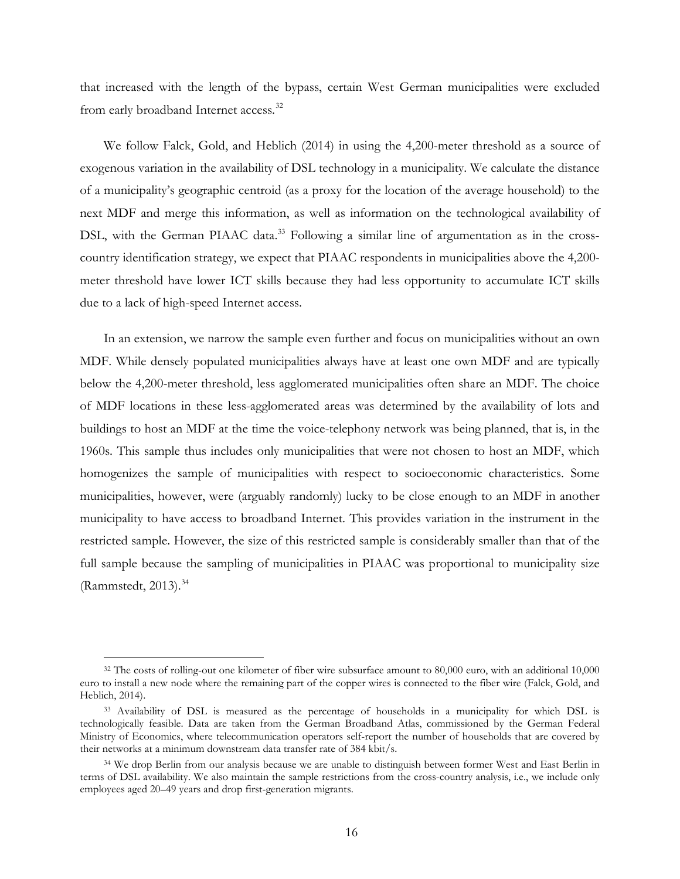that increased with the length of the bypass, certain West German municipalities were excluded from early broadband Internet access.<sup>[32](#page-16-2)</sup>

We follow Falck, Gold, and Heblich (2014) in using the 4,200-meter threshold as a source of exogenous variation in the availability of DSL technology in a municipality. We calculate the distance of a municipality's geographic centroid (as a proxy for the location of the average household) to the next MDF and merge this information, as well as information on the technological availability of DSL, with the German PIAAC data.<sup>[33](#page-17-0)</sup> Following a similar line of argumentation as in the crosscountry identification strategy, we expect that PIAAC respondents in municipalities above the 4,200 meter threshold have lower ICT skills because they had less opportunity to accumulate ICT skills due to a lack of high-speed Internet access.

In an extension, we narrow the sample even further and focus on municipalities without an own MDF. While densely populated municipalities always have at least one own MDF and are typically below the 4,200-meter threshold, less agglomerated municipalities often share an MDF. The choice of MDF locations in these less-agglomerated areas was determined by the availability of lots and buildings to host an MDF at the time the voice-telephony network was being planned, that is, in the 1960s. This sample thus includes only municipalities that were not chosen to host an MDF, which homogenizes the sample of municipalities with respect to socioeconomic characteristics. Some municipalities, however, were (arguably randomly) lucky to be close enough to an MDF in another municipality to have access to broadband Internet. This provides variation in the instrument in the restricted sample. However, the size of this restricted sample is considerably smaller than that of the full sample because the sampling of municipalities in PIAAC was proportional to municipality size (Rammstedt, 2013). $34$ 

<span id="page-16-1"></span><span id="page-16-0"></span><sup>&</sup>lt;sup>32</sup> The costs of rolling-out one kilometer of fiber wire subsurface amount to 80,000 euro, with an additional 10,000 euro to install a new node where the remaining part of the copper wires is connected to the fiber wire (Falck, Gold, and Heblich, 2014).

<sup>&</sup>lt;sup>33</sup> Availability of DSL is measured as the percentage of households in a municipality for which DSL is technologically feasible. Data are taken from the German Broadband Atlas, commissioned by the German Federal Ministry of Economics, where telecommunication operators self-report the number of households that are covered by their networks at a minimum downstream data transfer rate of 384 kbit/s.

<span id="page-16-2"></span><sup>&</sup>lt;sup>34</sup> We drop Berlin from our analysis because we are unable to distinguish between former West and East Berlin in terms of DSL availability. We also maintain the sample restrictions from the cross-country analysis, i.e., we include only employees aged 20–49 years and drop first-generation migrants.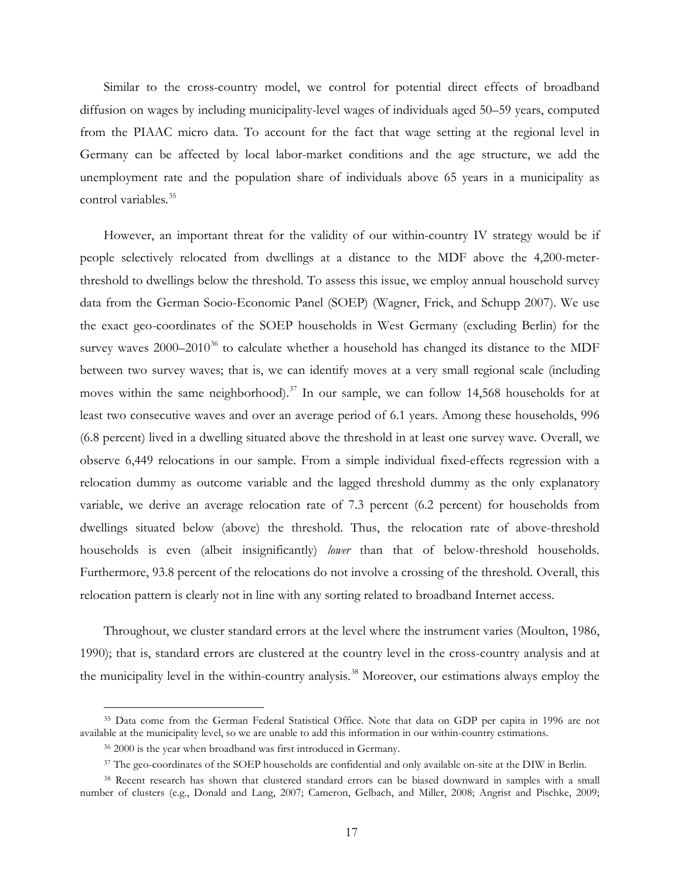Similar to the cross-country model, we control for potential direct effects of broadband diffusion on wages by including municipality-level wages of individuals aged 50–59 years, computed from the PIAAC micro data. To account for the fact that wage setting at the regional level in Germany can be affected by local labor-market conditions and the age structure, we add the unemployment rate and the population share of individuals above 65 years in a municipality as control variables.<sup>[35](#page-17-2)</sup>

However, an important threat for the validity of our within-country IV strategy would be if people selectively relocated from dwellings at a distance to the MDF above the 4,200-meterthreshold to dwellings below the threshold. To assess this issue, we employ annual household survey data from the German Socio-Economic Panel (SOEP) (Wagner, Frick, and Schupp 2007). We use the exact geo-coordinates of the SOEP households in West Germany (excluding Berlin) for the survey waves  $2000-2010^{36}$  $2000-2010^{36}$  $2000-2010^{36}$  to calculate whether a household has changed its distance to the MDF between two survey waves; that is, we can identify moves at a very small regional scale (including moves within the same neighborhood).<sup>[37](#page-18-1)</sup> In our sample, we can follow 14,568 households for at least two consecutive waves and over an average period of 6.1 years. Among these households, 996 (6.8 percent) lived in a dwelling situated above the threshold in at least one survey wave. Overall, we observe 6,449 relocations in our sample. From a simple individual fixed-effects regression with a relocation dummy as outcome variable and the lagged threshold dummy as the only explanatory variable, we derive an average relocation rate of 7.3 percent (6.2 percent) for households from dwellings situated below (above) the threshold. Thus, the relocation rate of above-threshold households is even (albeit insignificantly) *lower* than that of below-threshold households. Furthermore, 93.8 percent of the relocations do not involve a crossing of the threshold. Overall, this relocation pattern is clearly not in line with any sorting related to broadband Internet access.

Throughout, we cluster standard errors at the level where the instrument varies (Moulton, 1986, 1990); that is, standard errors are clustered at the country level in the cross-country analysis and at the municipality level in the within-country analysis.<sup>[38](#page-18-2)</sup> Moreover, our estimations always employ the

<span id="page-17-1"></span><span id="page-17-0"></span><sup>&</sup>lt;sup>35</sup> Data come from the German Federal Statistical Office. Note that data on GDP per capita in 1996 are not available at the municipality level, so we are unable to add this information in our within-country estimations.

<sup>36</sup> 2000 is the year when broadband was first introduced in Germany.

<sup>&</sup>lt;sup>37</sup> The geo-coordinates of the SOEP households are confidential and only available on-site at the DIW in Berlin.

<span id="page-17-2"></span><sup>38</sup> Recent research has shown that clustered standard errors can be biased downward in samples with a small number of clusters (e.g., Donald and Lang, 2007; Cameron, Gelbach, and Miller, 2008; Angrist and Pischke, 2009;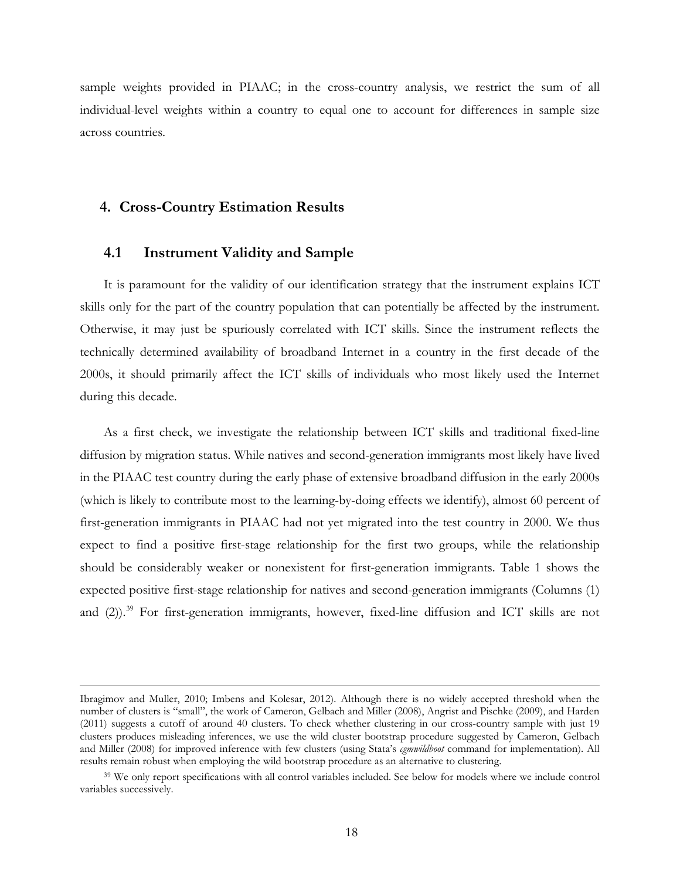sample weights provided in PIAAC; in the cross-country analysis, we restrict the sum of all individual-level weights within a country to equal one to account for differences in sample size across countries.

# **4. Cross-Country Estimation Results**

# **4.1 Instrument Validity and Sample**

It is paramount for the validity of our identification strategy that the instrument explains ICT skills only for the part of the country population that can potentially be affected by the instrument. Otherwise, it may just be spuriously correlated with ICT skills. Since the instrument reflects the technically determined availability of broadband Internet in a country in the first decade of the 2000s, it should primarily affect the ICT skills of individuals who most likely used the Internet during this decade.

As a first check, we investigate the relationship between ICT skills and traditional fixed-line diffusion by migration status. While natives and second-generation immigrants most likely have lived in the PIAAC test country during the early phase of extensive broadband diffusion in the early 2000s (which is likely to contribute most to the learning-by-doing effects we identify), almost 60 percent of first-generation immigrants in PIAAC had not yet migrated into the test country in 2000. We thus expect to find a positive first-stage relationship for the first two groups, while the relationship should be considerably weaker or nonexistent for first-generation immigrants. Table 1 shows the expected positive first-stage relationship for natives and second-generation immigrants (Columns (1) and (2)). [39](#page-19-0) For first-generation immigrants, however, fixed-line diffusion and ICT skills are not

<span id="page-18-2"></span><span id="page-18-1"></span><span id="page-18-0"></span> Ibragimov and Muller, 2010; Imbens and Kolesar, 2012). Although there is no widely accepted threshold when the number of clusters is "small", the work of Cameron, Gelbach and Miller (2008), Angrist and Pischke (2009), and Harden (2011) suggests a cutoff of around 40 clusters. To check whether clustering in our cross-country sample with just 19 clusters produces misleading inferences, we use the wild cluster bootstrap procedure suggested by Cameron, Gelbach and Miller (2008) for improved inference with few clusters (using Stata's *cgmwildboot* command for implementation). All results remain robust when employing the wild bootstrap procedure as an alternative to clustering.

<sup>&</sup>lt;sup>39</sup> We only report specifications with all control variables included. See below for models where we include control variables successively.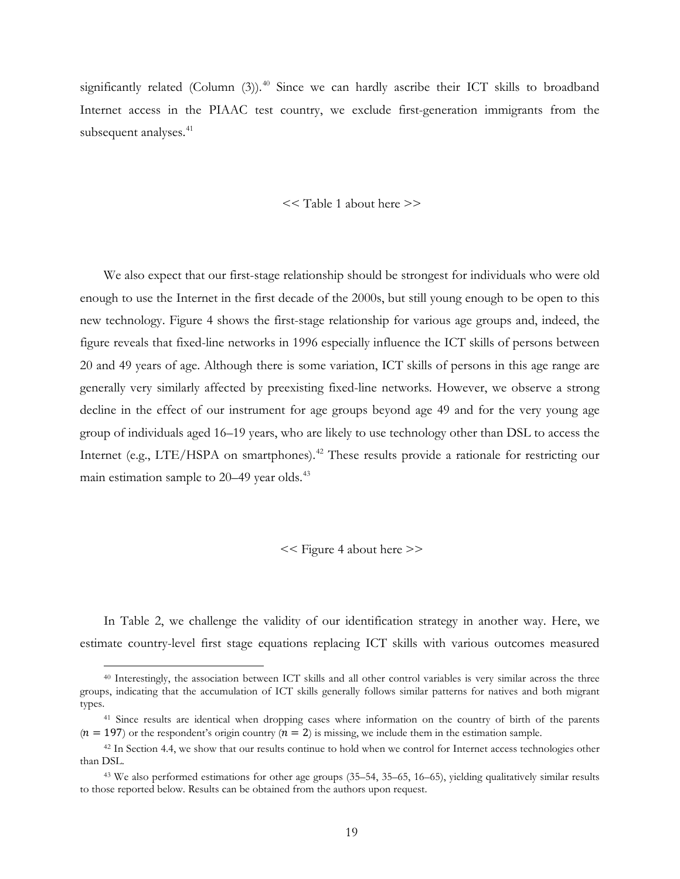significantly related (Column (3)). [40](#page-19-1) Since we can hardly ascribe their ICT skills to broadband Internet access in the PIAAC test country, we exclude first-generation immigrants from the subsequent analyses.<sup>[41](#page-19-2)</sup>

<< Table 1 about here >>

We also expect that our first-stage relationship should be strongest for individuals who were old enough to use the Internet in the first decade of the 2000s, but still young enough to be open to this new technology. Figure 4 shows the first-stage relationship for various age groups and, indeed, the figure reveals that fixed-line networks in 1996 especially influence the ICT skills of persons between 20 and 49 years of age. Although there is some variation, ICT skills of persons in this age range are generally very similarly affected by preexisting fixed-line networks. However, we observe a strong decline in the effect of our instrument for age groups beyond age 49 and for the very young age group of individuals aged 16–19 years, who are likely to use technology other than DSL to access the Internet (e.g., LTE/HSPA on smartphones).<sup>[42](#page-20-0)</sup> These results provide a rationale for restricting our main estimation sample to 20–49 year olds.<sup>[43](#page-20-1)</sup>

<< Figure 4 about here >>

In Table 2, we challenge the validity of our identification strategy in another way. Here, we estimate country-level first stage equations replacing ICT skills with various outcomes measured

 <sup>40</sup> Interestingly, the association between ICT skills and all other control variables is very similar across the three groups, indicating that the accumulation of ICT skills generally follows similar patterns for natives and both migrant types.

<span id="page-19-0"></span><sup>41</sup> Since results are identical when dropping cases where information on the country of birth of the parents  $(n = 197)$  or the respondent's origin country  $(n = 2)$  is missing, we include them in the estimation sample.

<span id="page-19-1"></span><sup>&</sup>lt;sup>42</sup> In Section 4.4, we show that our results continue to hold when we control for Internet access technologies other than DSL.

<span id="page-19-2"></span><sup>43</sup> We also performed estimations for other age groups (35–54, 35–65, 16–65), yielding qualitatively similar results to those reported below. Results can be obtained from the authors upon request.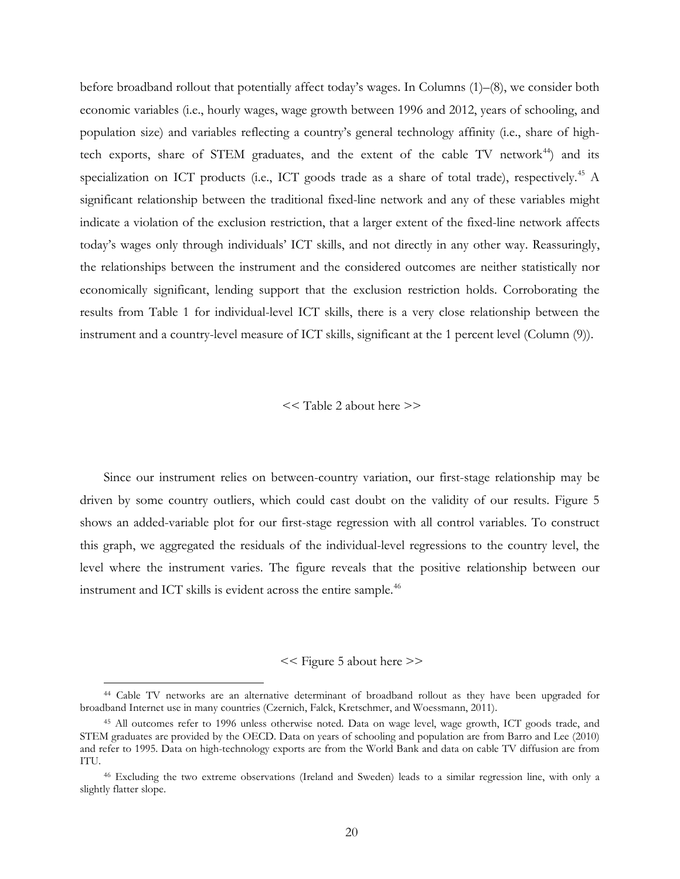before broadband rollout that potentially affect today's wages. In Columns (1)–(8), we consider both economic variables (i.e., hourly wages, wage growth between 1996 and 2012, years of schooling, and population size) and variables reflecting a country's general technology affinity (i.e., share of hightech exports, share of STEM graduates, and the extent of the cable TV network $^{44}$  $^{44}$  $^{44}$ ) and its specialization on ICT products (i.e., ICT goods trade as a share of total trade), respectively.<sup>[45](#page-20-3)</sup> A significant relationship between the traditional fixed-line network and any of these variables might indicate a violation of the exclusion restriction, that a larger extent of the fixed-line network affects today's wages only through individuals' ICT skills, and not directly in any other way. Reassuringly, the relationships between the instrument and the considered outcomes are neither statistically nor economically significant, lending support that the exclusion restriction holds. Corroborating the results from Table 1 for individual-level ICT skills, there is a very close relationship between the instrument and a country-level measure of ICT skills, significant at the 1 percent level (Column (9)).

<< Table 2 about here >>

Since our instrument relies on between-country variation, our first-stage relationship may be driven by some country outliers, which could cast doubt on the validity of our results. Figure 5 shows an added-variable plot for our first-stage regression with all control variables. To construct this graph, we aggregated the residuals of the individual-level regressions to the country level, the level where the instrument varies. The figure reveals that the positive relationship between our instrument and ICT skills is evident across the entire sample.<sup>[46](#page-21-0)</sup>

### << Figure 5 about here >>

<span id="page-20-1"></span><span id="page-20-0"></span> <sup>44</sup> Cable TV networks are an alternative determinant of broadband rollout as they have been upgraded for broadband Internet use in many countries (Czernich, Falck, Kretschmer, and Woessmann, 2011).

<span id="page-20-2"></span><sup>45</sup> All outcomes refer to 1996 unless otherwise noted. Data on wage level, wage growth, ICT goods trade, and STEM graduates are provided by the OECD. Data on years of schooling and population are from Barro and Lee (2010) and refer to 1995. Data on high-technology exports are from the World Bank and data on cable TV diffusion are from **ITU** 

<span id="page-20-3"></span><sup>46</sup> Excluding the two extreme observations (Ireland and Sweden) leads to a similar regression line, with only a slightly flatter slope.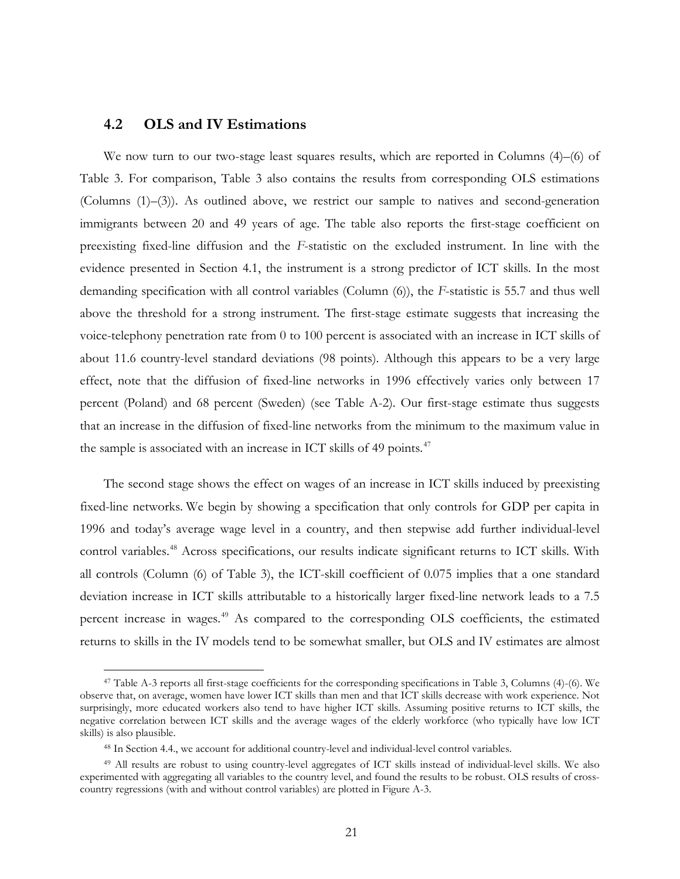# **4.2 OLS and IV Estimations**

We now turn to our two-stage least squares results, which are reported in Columns (4)–(6) of Table 3. For comparison, Table 3 also contains the results from corresponding OLS estimations (Columns (1)–(3)). As outlined above, we restrict our sample to natives and second-generation immigrants between 20 and 49 years of age. The table also reports the first-stage coefficient on preexisting fixed-line diffusion and the *F*-statistic on the excluded instrument. In line with the evidence presented in Section 4.1, the instrument is a strong predictor of ICT skills. In the most demanding specification with all control variables (Column (6)), the *F*-statistic is 55.7 and thus well above the threshold for a strong instrument. The first-stage estimate suggests that increasing the voice-telephony penetration rate from 0 to 100 percent is associated with an increase in ICT skills of about 11.6 country-level standard deviations (98 points). Although this appears to be a very large effect, note that the diffusion of fixed-line networks in 1996 effectively varies only between 17 percent (Poland) and 68 percent (Sweden) (see Table A-2). Our first-stage estimate thus suggests that an increase in the diffusion of fixed-line networks from the minimum to the maximum value in the sample is associated with an increase in ICT skills of 49 points.<sup>[47](#page-22-0)</sup>

The second stage shows the effect on wages of an increase in ICT skills induced by preexisting fixed-line networks. We begin by showing a specification that only controls for GDP per capita in 1996 and today's average wage level in a country, and then stepwise add further individual-level control variables.<sup>[48](#page-22-1)</sup> Across specifications, our results indicate significant returns to ICT skills. With all controls (Column (6) of Table 3), the ICT-skill coefficient of 0.075 implies that a one standard deviation increase in ICT skills attributable to a historically larger fixed-line network leads to a 7.5 percent increase in wages.[49](#page-22-2) As compared to the corresponding OLS coefficients, the estimated returns to skills in the IV models tend to be somewhat smaller, but OLS and IV estimates are almost

 <sup>47</sup> Table A-3 reports all first-stage coefficients for the corresponding specifications in Table 3, Columns (4)-(6). We observe that, on average, women have lower ICT skills than men and that ICT skills decrease with work experience. Not surprisingly, more educated workers also tend to have higher ICT skills. Assuming positive returns to ICT skills, the negative correlation between ICT skills and the average wages of the elderly workforce (who typically have low ICT skills) is also plausible.

<sup>48</sup> In Section 4.4., we account for additional country-level and individual-level control variables.

<span id="page-21-0"></span><sup>49</sup> All results are robust to using country-level aggregates of ICT skills instead of individual-level skills. We also experimented with aggregating all variables to the country level, and found the results to be robust. OLS results of crosscountry regressions (with and without control variables) are plotted in Figure A-3.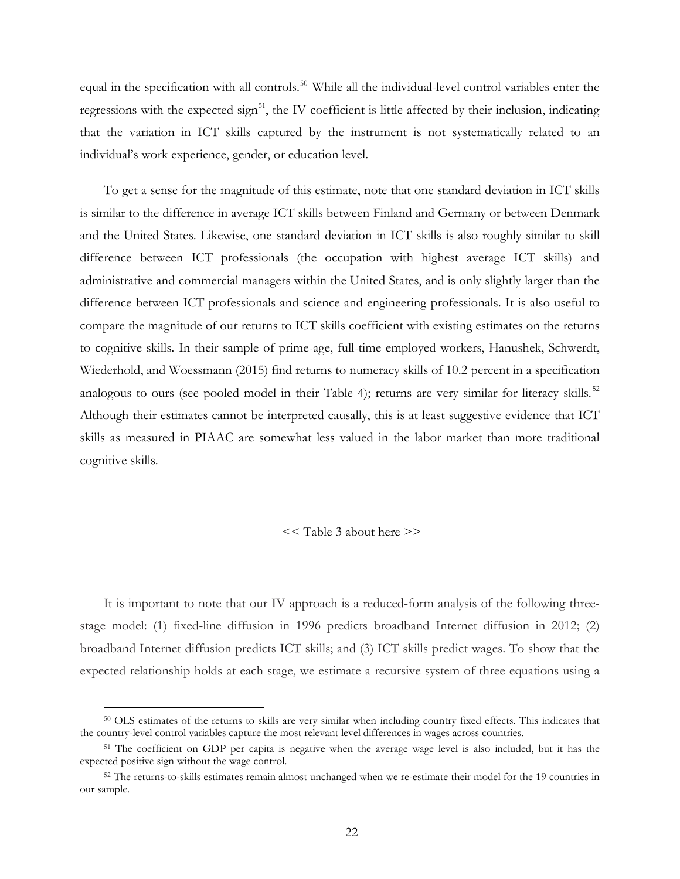equal in the specification with all controls.<sup>50</sup> While all the individual-level control variables enter the regressions with the expected sign<sup>[51](#page-22-4)</sup>, the IV coefficient is little affected by their inclusion, indicating that the variation in ICT skills captured by the instrument is not systematically related to an individual's work experience, gender, or education level.

To get a sense for the magnitude of this estimate, note that one standard deviation in ICT skills is similar to the difference in average ICT skills between Finland and Germany or between Denmark and the United States. Likewise, one standard deviation in ICT skills is also roughly similar to skill difference between ICT professionals (the occupation with highest average ICT skills) and administrative and commercial managers within the United States, and is only slightly larger than the difference between ICT professionals and science and engineering professionals. It is also useful to compare the magnitude of our returns to ICT skills coefficient with existing estimates on the returns to cognitive skills. In their sample of prime-age, full-time employed workers, Hanushek, Schwerdt, Wiederhold, and Woessmann (2015) find returns to numeracy skills of 10.2 percent in a specification analogous to ours (see pooled model in their Table 4); returns are very similar for literacy skills.<sup>[52](#page-23-0)</sup> Although their estimates cannot be interpreted causally, this is at least suggestive evidence that ICT skills as measured in PIAAC are somewhat less valued in the labor market than more traditional cognitive skills.

#### << Table 3 about here >>

<span id="page-22-0"></span>It is important to note that our IV approach is a reduced-form analysis of the following threestage model: (1) fixed-line diffusion in 1996 predicts broadband Internet diffusion in 2012; (2) broadband Internet diffusion predicts ICT skills; and (3) ICT skills predict wages. To show that the expected relationship holds at each stage, we estimate a recursive system of three equations using a

<span id="page-22-2"></span><span id="page-22-1"></span> <sup>50</sup> OLS estimates of the returns to skills are very similar when including country fixed effects. This indicates that the country-level control variables capture the most relevant level differences in wages across countries.

<span id="page-22-3"></span><sup>51</sup> The coefficient on GDP per capita is negative when the average wage level is also included, but it has the expected positive sign without the wage control.

<span id="page-22-4"></span><sup>&</sup>lt;sup>52</sup> The returns-to-skills estimates remain almost unchanged when we re-estimate their model for the 19 countries in our sample.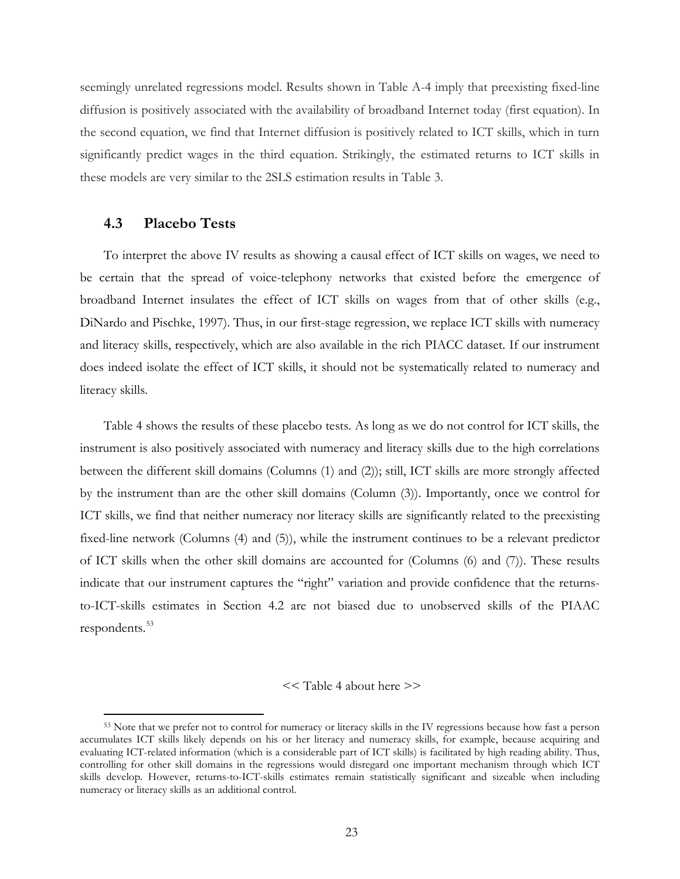seemingly unrelated regressions model. Results shown in Table A-4 imply that preexisting fixed-line diffusion is positively associated with the availability of broadband Internet today (first equation). In the second equation, we find that Internet diffusion is positively related to ICT skills, which in turn significantly predict wages in the third equation. Strikingly, the estimated returns to ICT skills in these models are very similar to the 2SLS estimation results in Table 3.

# **4.3 Placebo Tests**

To interpret the above IV results as showing a causal effect of ICT skills on wages, we need to be certain that the spread of voice-telephony networks that existed before the emergence of broadband Internet insulates the effect of ICT skills on wages from that of other skills (e.g., DiNardo and Pischke, 1997). Thus, in our first-stage regression, we replace ICT skills with numeracy and literacy skills, respectively, which are also available in the rich PIACC dataset. If our instrument does indeed isolate the effect of ICT skills, it should not be systematically related to numeracy and literacy skills.

Table 4 shows the results of these placebo tests. As long as we do not control for ICT skills, the instrument is also positively associated with numeracy and literacy skills due to the high correlations between the different skill domains (Columns (1) and (2)); still, ICT skills are more strongly affected by the instrument than are the other skill domains (Column (3)). Importantly, once we control for ICT skills, we find that neither numeracy nor literacy skills are significantly related to the preexisting fixed-line network (Columns (4) and (5)), while the instrument continues to be a relevant predictor of ICT skills when the other skill domains are accounted for (Columns (6) and (7)). These results indicate that our instrument captures the "right" variation and provide confidence that the returnsto-ICT-skills estimates in Section 4.2 are not biased due to unobserved skills of the PIAAC respondents.<sup>[53](#page-24-0)</sup>

#### << Table 4 about here >>

<span id="page-23-0"></span> <sup>53</sup> Note that we prefer not to control for numeracy or literacy skills in the IV regressions because how fast a person accumulates ICT skills likely depends on his or her literacy and numeracy skills, for example, because acquiring and evaluating ICT-related information (which is a considerable part of ICT skills) is facilitated by high reading ability. Thus, controlling for other skill domains in the regressions would disregard one important mechanism through which ICT skills develop. However, returns-to-ICT-skills estimates remain statistically significant and sizeable when including numeracy or literacy skills as an additional control.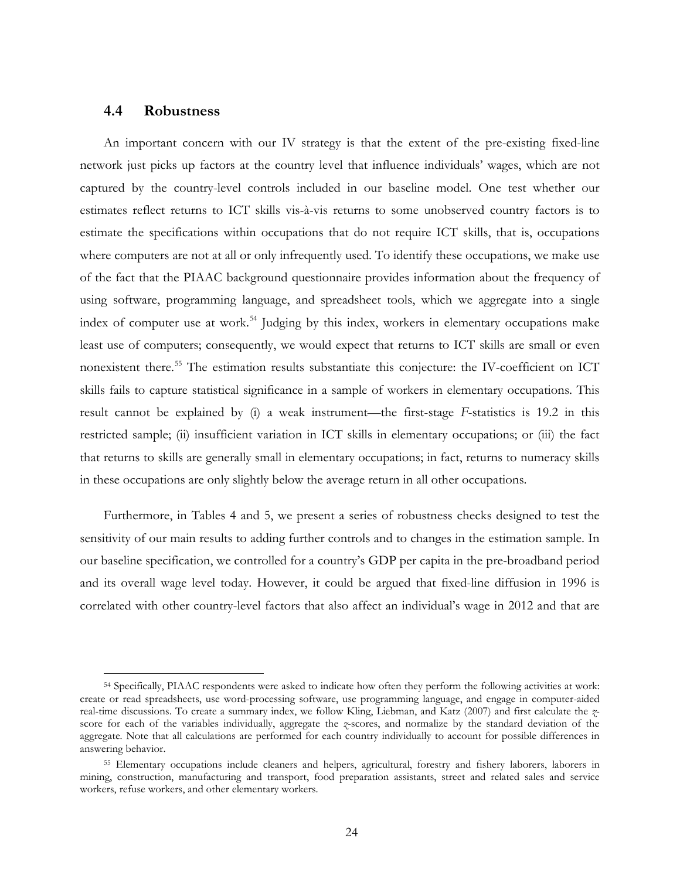## **4.4 Robustness**

An important concern with our IV strategy is that the extent of the pre-existing fixed-line network just picks up factors at the country level that influence individuals' wages, which are not captured by the country-level controls included in our baseline model. One test whether our estimates reflect returns to ICT skills vis-à-vis returns to some unobserved country factors is to estimate the specifications within occupations that do not require ICT skills, that is, occupations where computers are not at all or only infrequently used. To identify these occupations, we make use of the fact that the PIAAC background questionnaire provides information about the frequency of using software, programming language, and spreadsheet tools, which we aggregate into a single index of computer use at work.<sup>[54](#page-25-0)</sup> Judging by this index, workers in elementary occupations make least use of computers; consequently, we would expect that returns to ICT skills are small or even nonexistent there.[55](#page-25-1) The estimation results substantiate this conjecture: the IV-coefficient on ICT skills fails to capture statistical significance in a sample of workers in elementary occupations. This result cannot be explained by (i) a weak instrument—the first-stage *F*-statistics is 19.2 in this restricted sample; (ii) insufficient variation in ICT skills in elementary occupations; or (iii) the fact that returns to skills are generally small in elementary occupations; in fact, returns to numeracy skills in these occupations are only slightly below the average return in all other occupations.

Furthermore, in Tables 4 and 5, we present a series of robustness checks designed to test the sensitivity of our main results to adding further controls and to changes in the estimation sample. In our baseline specification, we controlled for a country's GDP per capita in the pre-broadband period and its overall wage level today. However, it could be argued that fixed-line diffusion in 1996 is correlated with other country-level factors that also affect an individual's wage in 2012 and that are

 <sup>54</sup> Specifically, PIAAC respondents were asked to indicate how often they perform the following activities at work: create or read spreadsheets, use word-processing software, use programming language, and engage in computer-aided real-time discussions. To create a summary index, we follow Kling, Liebman, and Katz (2007) and first calculate the *z*score for each of the variables individually, aggregate the *z*-scores, and normalize by the standard deviation of the aggregate*.* Note that all calculations are performed for each country individually to account for possible differences in answering behavior.

<span id="page-24-0"></span><sup>55</sup> Elementary occupations include cleaners and helpers, agricultural, forestry and fishery laborers, laborers in mining, construction, manufacturing and transport, food preparation assistants, street and related sales and service workers, refuse workers, and other elementary workers.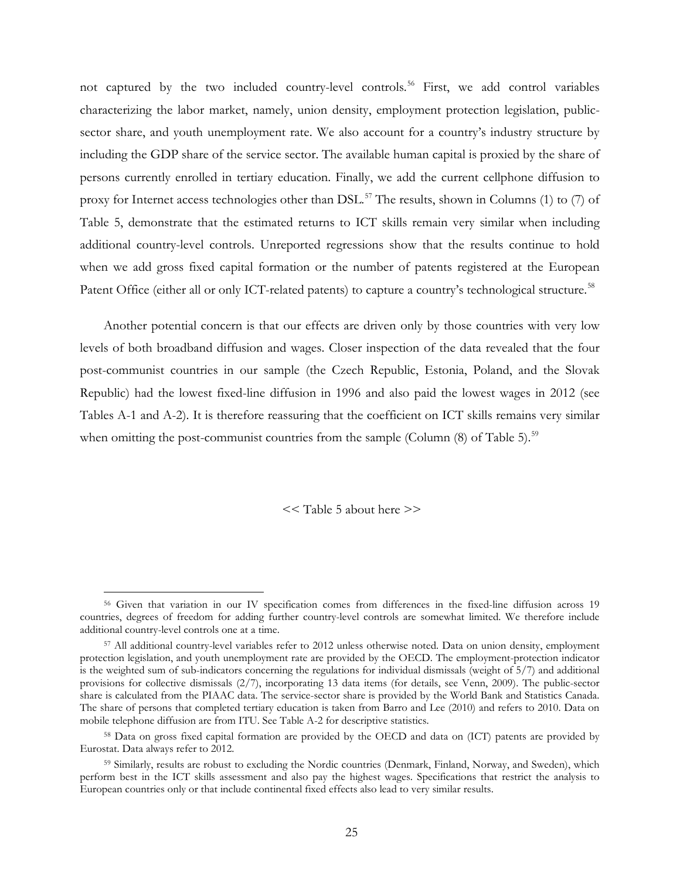not captured by the two included country-level controls.<sup>[56](#page-25-2)</sup> First, we add control variables characterizing the labor market, namely, union density, employment protection legislation, publicsector share, and youth unemployment rate. We also account for a country's industry structure by including the GDP share of the service sector. The available human capital is proxied by the share of persons currently enrolled in tertiary education. Finally, we add the current cellphone diffusion to proxy for Internet access technologies other than DSL.<sup>[57](#page-25-3)</sup> The results, shown in Columns (1) to (7) of Table 5, demonstrate that the estimated returns to ICT skills remain very similar when including additional country-level controls. Unreported regressions show that the results continue to hold when we add gross fixed capital formation or the number of patents registered at the European Patent Office (either all or only ICT-related patents) to capture a country's technological structure.<sup>[58](#page-26-0)</sup>

Another potential concern is that our effects are driven only by those countries with very low levels of both broadband diffusion and wages. Closer inspection of the data revealed that the four post-communist countries in our sample (the Czech Republic, Estonia, Poland, and the Slovak Republic) had the lowest fixed-line diffusion in 1996 and also paid the lowest wages in 2012 (see Tables A-1 and A-2). It is therefore reassuring that the coefficient on ICT skills remains very similar when omitting the post-communist countries from the sample (Column  $(8)$  of Table 5).<sup>[59](#page-26-1)</sup>

<< Table 5 about here >>

<span id="page-25-0"></span><sup>&</sup>lt;sup>56</sup> Given that variation in our IV specification comes from differences in the fixed-line diffusion across 19 countries, degrees of freedom for adding further country-level controls are somewhat limited. We therefore include additional country-level controls one at a time.

<span id="page-25-1"></span><sup>57</sup> All additional country-level variables refer to 2012 unless otherwise noted. Data on union density, employment protection legislation, and youth unemployment rate are provided by the OECD. The employment-protection indicator is the weighted sum of sub-indicators concerning the regulations for individual dismissals (weight of 5/7) and additional provisions for collective dismissals (2/7), incorporating 13 data items (for details, see Venn, 2009). The public-sector share is calculated from the PIAAC data. The service-sector share is provided by the World Bank and Statistics Canada. The share of persons that completed tertiary education is taken from Barro and Lee (2010) and refers to 2010. Data on mobile telephone diffusion are from ITU. See Table A-2 for descriptive statistics.

<span id="page-25-2"></span><sup>58</sup> Data on gross fixed capital formation are provided by the OECD and data on (ICT) patents are provided by Eurostat. Data always refer to 2012.

<span id="page-25-3"></span><sup>59</sup> Similarly, results are robust to excluding the Nordic countries (Denmark, Finland, Norway, and Sweden), which perform best in the ICT skills assessment and also pay the highest wages. Specifications that restrict the analysis to European countries only or that include continental fixed effects also lead to very similar results.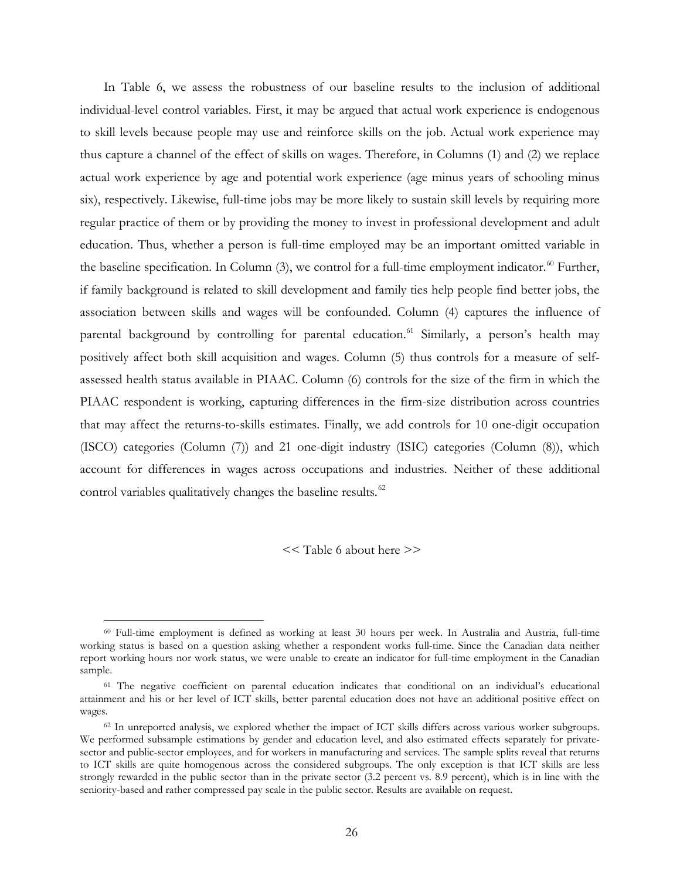In Table 6, we assess the robustness of our baseline results to the inclusion of additional individual-level control variables. First, it may be argued that actual work experience is endogenous to skill levels because people may use and reinforce skills on the job. Actual work experience may thus capture a channel of the effect of skills on wages. Therefore, in Columns (1) and (2) we replace actual work experience by age and potential work experience (age minus years of schooling minus six), respectively. Likewise, full-time jobs may be more likely to sustain skill levels by requiring more regular practice of them or by providing the money to invest in professional development and adult education. Thus, whether a person is full-time employed may be an important omitted variable in the baseline specification. In Column (3), we control for a full-time employment indicator.<sup>[60](#page-26-2)</sup> Further, if family background is related to skill development and family ties help people find better jobs, the association between skills and wages will be confounded. Column (4) captures the influence of parental background by controlling for parental education.<sup>[61](#page-27-0)</sup> Similarly, a person's health may positively affect both skill acquisition and wages. Column (5) thus controls for a measure of selfassessed health status available in PIAAC. Column (6) controls for the size of the firm in which the PIAAC respondent is working, capturing differences in the firm-size distribution across countries that may affect the returns-to-skills estimates. Finally, we add controls for 10 one-digit occupation (ISCO) categories (Column (7)) and 21 one-digit industry (ISIC) categories (Column (8)), which account for differences in wages across occupations and industries. Neither of these additional control variables qualitatively changes the baseline results.<sup>[62](#page-27-1)</sup>

<< Table 6 about here >>

 <sup>60</sup> Full-time employment is defined as working at least 30 hours per week. In Australia and Austria, full-time working status is based on a question asking whether a respondent works full-time. Since the Canadian data neither report working hours nor work status, we were unable to create an indicator for full-time employment in the Canadian sample.

<sup>61</sup> The negative coefficient on parental education indicates that conditional on an individual's educational attainment and his or her level of ICT skills, better parental education does not have an additional positive effect on wages.

<span id="page-26-2"></span><span id="page-26-1"></span><span id="page-26-0"></span> $62$  In unreported analysis, we explored whether the impact of ICT skills differs across various worker subgroups. We performed subsample estimations by gender and education level, and also estimated effects separately for privatesector and public-sector employees, and for workers in manufacturing and services. The sample splits reveal that returns to ICT skills are quite homogenous across the considered subgroups. The only exception is that ICT skills are less strongly rewarded in the public sector than in the private sector (3.2 percent vs. 8.9 percent), which is in line with the seniority-based and rather compressed pay scale in the public sector. Results are available on request.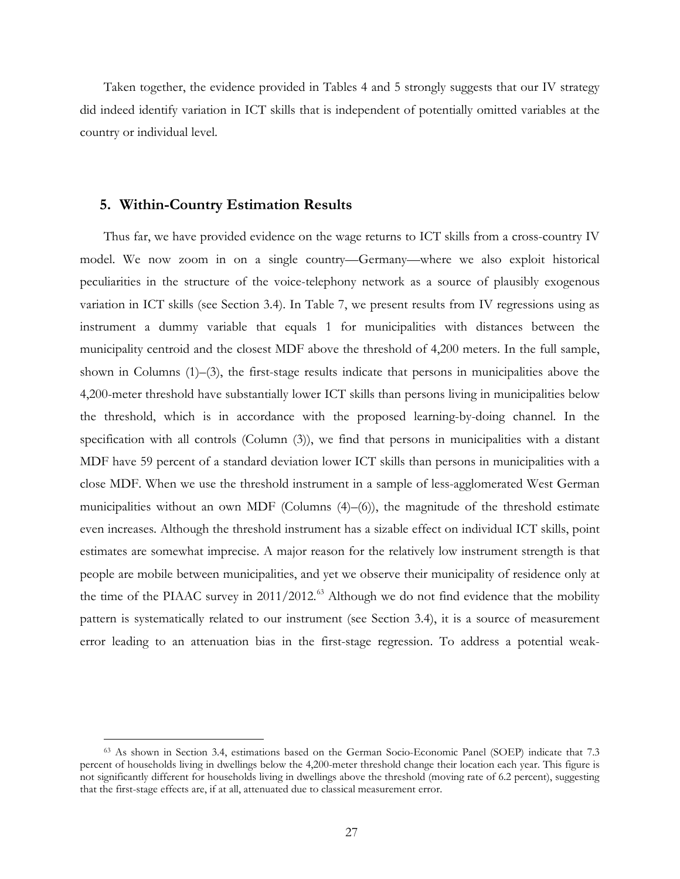Taken together, the evidence provided in Tables 4 and 5 strongly suggests that our IV strategy did indeed identify variation in ICT skills that is independent of potentially omitted variables at the country or individual level.

## **5. Within-Country Estimation Results**

Thus far, we have provided evidence on the wage returns to ICT skills from a cross-country IV model. We now zoom in on a single country—Germany—where we also exploit historical peculiarities in the structure of the voice-telephony network as a source of plausibly exogenous variation in ICT skills (see Section 3.4). In Table 7, we present results from IV regressions using as instrument a dummy variable that equals 1 for municipalities with distances between the municipality centroid and the closest MDF above the threshold of 4,200 meters. In the full sample, shown in Columns (1)–(3), the first-stage results indicate that persons in municipalities above the 4,200-meter threshold have substantially lower ICT skills than persons living in municipalities below the threshold, which is in accordance with the proposed learning-by-doing channel. In the specification with all controls (Column (3)), we find that persons in municipalities with a distant MDF have 59 percent of a standard deviation lower ICT skills than persons in municipalities with a close MDF. When we use the threshold instrument in a sample of less-agglomerated West German municipalities without an own MDF (Columns  $(4)$ – $(6)$ ), the magnitude of the threshold estimate even increases. Although the threshold instrument has a sizable effect on individual ICT skills, point estimates are somewhat imprecise. A major reason for the relatively low instrument strength is that people are mobile between municipalities, and yet we observe their municipality of residence only at the time of the PIAAC survey in 2011/2012.<sup>[63](#page-28-0)</sup> Although we do not find evidence that the mobility pattern is systematically related to our instrument (see Section 3.4), it is a source of measurement error leading to an attenuation bias in the first-stage regression. To address a potential weak-

<span id="page-27-1"></span><span id="page-27-0"></span> <sup>63</sup> As shown in Section 3.4, estimations based on the German Socio-Economic Panel (SOEP) indicate that 7.3 percent of households living in dwellings below the 4,200-meter threshold change their location each year. This figure is not significantly different for households living in dwellings above the threshold (moving rate of 6.2 percent), suggesting that the first-stage effects are, if at all, attenuated due to classical measurement error.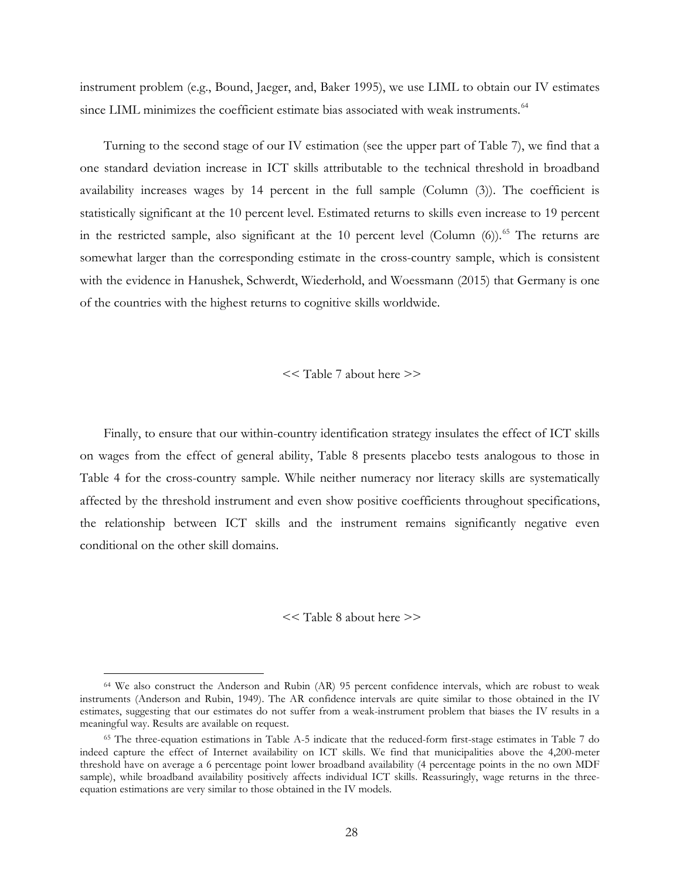instrument problem (e.g., Bound, Jaeger, and, Baker 1995), we use LIML to obtain our IV estimates since LIML minimizes the coefficient estimate bias associated with weak instruments.<sup>[64](#page-28-1)</sup>

Turning to the second stage of our IV estimation (see the upper part of Table 7), we find that a one standard deviation increase in ICT skills attributable to the technical threshold in broadband availability increases wages by 14 percent in the full sample (Column (3)). The coefficient is statistically significant at the 10 percent level. Estimated returns to skills even increase to 19 percent in the restricted sample, also significant at the 10 percent level (Column  $(6)$ ).<sup>[65](#page-28-2)</sup> The returns are somewhat larger than the corresponding estimate in the cross-country sample, which is consistent with the evidence in Hanushek, Schwerdt, Wiederhold, and Woessmann (2015) that Germany is one of the countries with the highest returns to cognitive skills worldwide.

### << Table 7 about here >>

Finally, to ensure that our within-country identification strategy insulates the effect of ICT skills on wages from the effect of general ability, Table 8 presents placebo tests analogous to those in Table 4 for the cross-country sample. While neither numeracy nor literacy skills are systematically affected by the threshold instrument and even show positive coefficients throughout specifications, the relationship between ICT skills and the instrument remains significantly negative even conditional on the other skill domains.

#### << Table 8 about here >>

<span id="page-28-1"></span><span id="page-28-0"></span><sup>&</sup>lt;sup>64</sup> We also construct the Anderson and Rubin (AR) 95 percent confidence intervals, which are robust to weak instruments (Anderson and Rubin, 1949). The AR confidence intervals are quite similar to those obtained in the IV estimates, suggesting that our estimates do not suffer from a weak-instrument problem that biases the IV results in a meaningful way. Results are available on request.

<span id="page-28-2"></span><sup>65</sup> The three-equation estimations in Table A-5 indicate that the reduced-form first-stage estimates in Table 7 do indeed capture the effect of Internet availability on ICT skills. We find that municipalities above the 4,200-meter threshold have on average a 6 percentage point lower broadband availability (4 percentage points in the no own MDF sample), while broadband availability positively affects individual ICT skills. Reassuringly, wage returns in the threeequation estimations are very similar to those obtained in the IV models.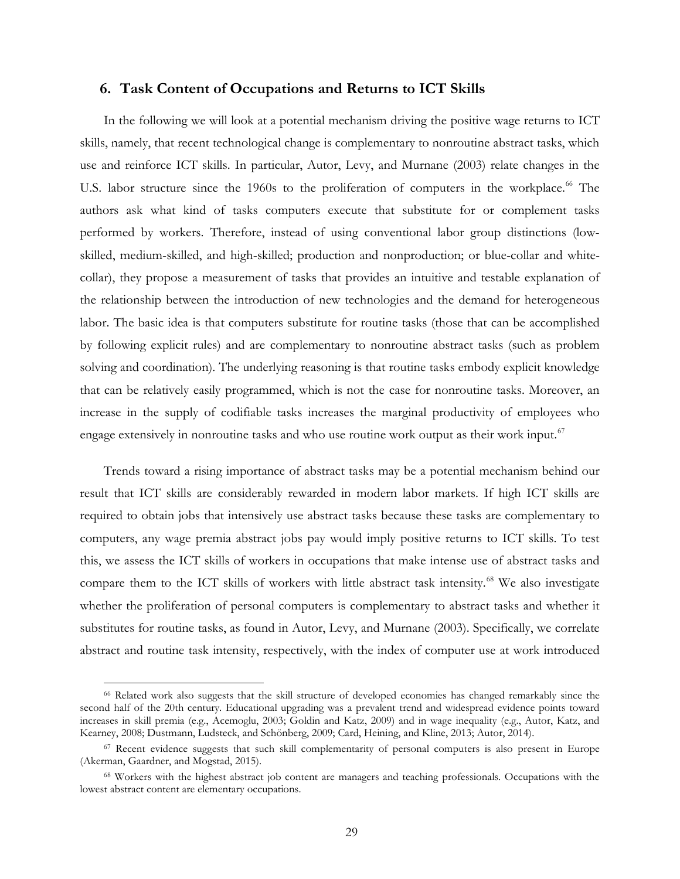## **6. Task Content of Occupations and Returns to ICT Skills**

In the following we will look at a potential mechanism driving the positive wage returns to ICT skills, namely, that recent technological change is complementary to nonroutine abstract tasks, which use and reinforce ICT skills. In particular, Autor, Levy, and Murnane (2003) relate changes in the U.S. labor structure since the 1960s to the proliferation of computers in the workplace.<sup>[66](#page-29-0)</sup> The authors ask what kind of tasks computers execute that substitute for or complement tasks performed by workers. Therefore, instead of using conventional labor group distinctions (lowskilled, medium-skilled, and high-skilled; production and nonproduction; or blue-collar and whitecollar), they propose a measurement of tasks that provides an intuitive and testable explanation of the relationship between the introduction of new technologies and the demand for heterogeneous labor. The basic idea is that computers substitute for routine tasks (those that can be accomplished by following explicit rules) and are complementary to nonroutine abstract tasks (such as problem solving and coordination). The underlying reasoning is that routine tasks embody explicit knowledge that can be relatively easily programmed, which is not the case for nonroutine tasks. Moreover, an increase in the supply of codifiable tasks increases the marginal productivity of employees who engage extensively in nonroutine tasks and who use routine work output as their work input.<sup>[67](#page-30-0)</sup>

Trends toward a rising importance of abstract tasks may be a potential mechanism behind our result that ICT skills are considerably rewarded in modern labor markets. If high ICT skills are required to obtain jobs that intensively use abstract tasks because these tasks are complementary to computers, any wage premia abstract jobs pay would imply positive returns to ICT skills. To test this, we assess the ICT skills of workers in occupations that make intense use of abstract tasks and compare them to the ICT skills of workers with little abstract task intensity.<sup>[68](#page-30-1)</sup> We also investigate whether the proliferation of personal computers is complementary to abstract tasks and whether it substitutes for routine tasks, as found in Autor, Levy, and Murnane (2003). Specifically, we correlate abstract and routine task intensity, respectively, with the index of computer use at work introduced

 <sup>66</sup> Related work also suggests that the skill structure of developed economies has changed remarkably since the second half of the 20th century. Educational upgrading was a prevalent trend and widespread evidence points toward increases in skill premia (e.g., Acemoglu, 2003; Goldin and Katz, 2009) and in wage inequality (e.g., Autor, Katz, and Kearney, 2008; Dustmann, Ludsteck, and Schönberg, 2009; Card, Heining, and Kline, 2013; Autor, 2014).

<span id="page-29-0"></span><sup>&</sup>lt;sup>67</sup> Recent evidence suggests that such skill complementarity of personal computers is also present in Europe (Akerman, Gaardner, and Mogstad, 2015).

<sup>68</sup> Workers with the highest abstract job content are managers and teaching professionals. Occupations with the lowest abstract content are elementary occupations.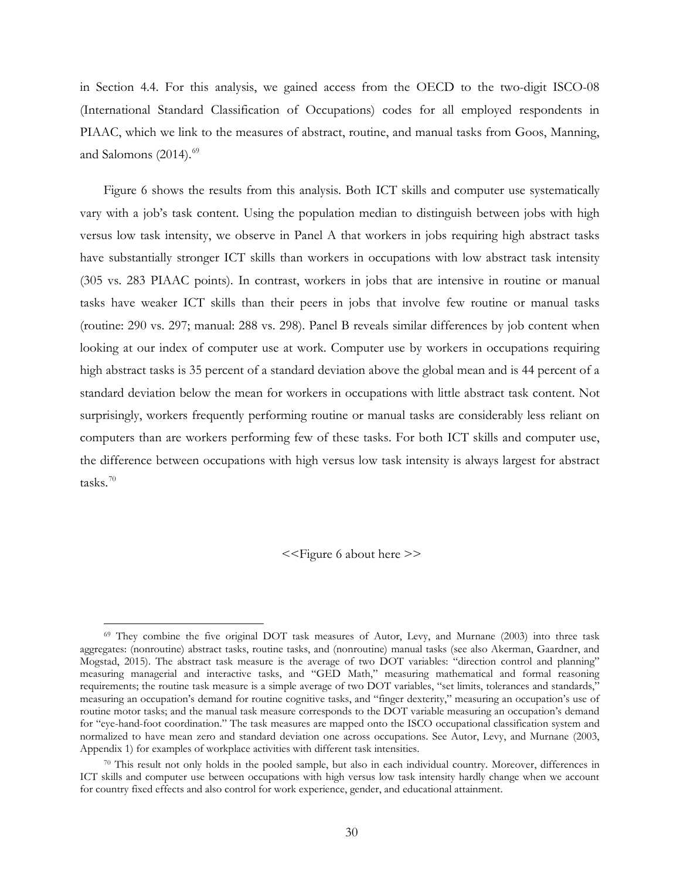in Section 4.4. For this analysis, we gained access from the OECD to the two-digit ISCO-08 (International Standard Classification of Occupations) codes for all employed respondents in PIAAC, which we link to the measures of abstract, routine, and manual tasks from Goos, Manning, and Salomons  $(2014).<sup>69</sup>$  $(2014).<sup>69</sup>$  $(2014).<sup>69</sup>$ 

Figure 6 shows the results from this analysis. Both ICT skills and computer use systematically vary with a job's task content. Using the population median to distinguish between jobs with high versus low task intensity, we observe in Panel A that workers in jobs requiring high abstract tasks have substantially stronger ICT skills than workers in occupations with low abstract task intensity (305 vs. 283 PIAAC points). In contrast, workers in jobs that are intensive in routine or manual tasks have weaker ICT skills than their peers in jobs that involve few routine or manual tasks (routine: 290 vs. 297; manual: 288 vs. 298). Panel B reveals similar differences by job content when looking at our index of computer use at work. Computer use by workers in occupations requiring high abstract tasks is 35 percent of a standard deviation above the global mean and is 44 percent of a standard deviation below the mean for workers in occupations with little abstract task content. Not surprisingly, workers frequently performing routine or manual tasks are considerably less reliant on computers than are workers performing few of these tasks. For both ICT skills and computer use, the difference between occupations with high versus low task intensity is always largest for abstract tasks. $70$ 

<<Figure 6 about here >>

<span id="page-30-2"></span><span id="page-30-1"></span><span id="page-30-0"></span> <sup>69</sup> They combine the five original DOT task measures of Autor, Levy, and Murnane (2003) into three task aggregates: (nonroutine) abstract tasks, routine tasks, and (nonroutine) manual tasks (see also Akerman, Gaardner, and Mogstad, 2015). The abstract task measure is the average of two DOT variables: "direction control and planning" measuring managerial and interactive tasks, and "GED Math," measuring mathematical and formal reasoning requirements; the routine task measure is a simple average of two DOT variables, "set limits, tolerances and standards," measuring an occupation's demand for routine cognitive tasks, and "finger dexterity," measuring an occupation's use of routine motor tasks; and the manual task measure corresponds to the DOT variable measuring an occupation's demand for "eye-hand-foot coordination." The task measures are mapped onto the ISCO occupational classification system and normalized to have mean zero and standard deviation one across occupations. See Autor, Levy, and Murnane (2003, Appendix 1) for examples of workplace activities with different task intensities.

<sup>70</sup> This result not only holds in the pooled sample, but also in each individual country. Moreover, differences in ICT skills and computer use between occupations with high versus low task intensity hardly change when we account for country fixed effects and also control for work experience, gender, and educational attainment.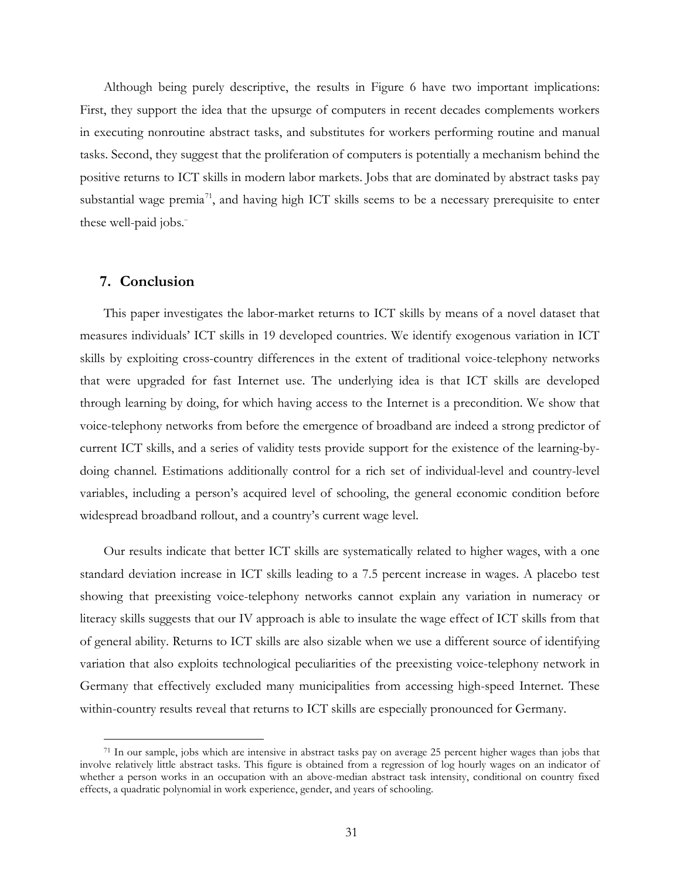Although being purely descriptive, the results in Figure 6 have two important implications: First, they support the idea that the upsurge of computers in recent decades complements workers in executing nonroutine abstract tasks, and substitutes for workers performing routine and manual tasks. Second, they suggest that the proliferation of computers is potentially a mechanism behind the positive returns to ICT skills in modern labor markets. Jobs that are dominated by abstract tasks pay substantial wage premia<sup>[71](#page-31-1)</sup>, and having high ICT skills seems to be a necessary prerequisite to enter these well-paid jobs."

## **7. Conclusion**

This paper investigates the labor-market returns to ICT skills by means of a novel dataset that measures individuals' ICT skills in 19 developed countries. We identify exogenous variation in ICT skills by exploiting cross-country differences in the extent of traditional voice-telephony networks that were upgraded for fast Internet use. The underlying idea is that ICT skills are developed through learning by doing, for which having access to the Internet is a precondition. We show that voice-telephony networks from before the emergence of broadband are indeed a strong predictor of current ICT skills, and a series of validity tests provide support for the existence of the learning-bydoing channel. Estimations additionally control for a rich set of individual-level and country-level variables, including a person's acquired level of schooling, the general economic condition before widespread broadband rollout, and a country's current wage level.

Our results indicate that better ICT skills are systematically related to higher wages, with a one standard deviation increase in ICT skills leading to a 7.5 percent increase in wages. A placebo test showing that preexisting voice-telephony networks cannot explain any variation in numeracy or literacy skills suggests that our IV approach is able to insulate the wage effect of ICT skills from that of general ability. Returns to ICT skills are also sizable when we use a different source of identifying variation that also exploits technological peculiarities of the preexisting voice-telephony network in Germany that effectively excluded many municipalities from accessing high-speed Internet. These within-country results reveal that returns to ICT skills are especially pronounced for Germany.

<span id="page-31-1"></span><span id="page-31-0"></span> <sup>71</sup> In our sample, jobs which are intensive in abstract tasks pay on average 25 percent higher wages than jobs that involve relatively little abstract tasks. This figure is obtained from a regression of log hourly wages on an indicator of whether a person works in an occupation with an above-median abstract task intensity, conditional on country fixed effects, a quadratic polynomial in work experience, gender, and years of schooling.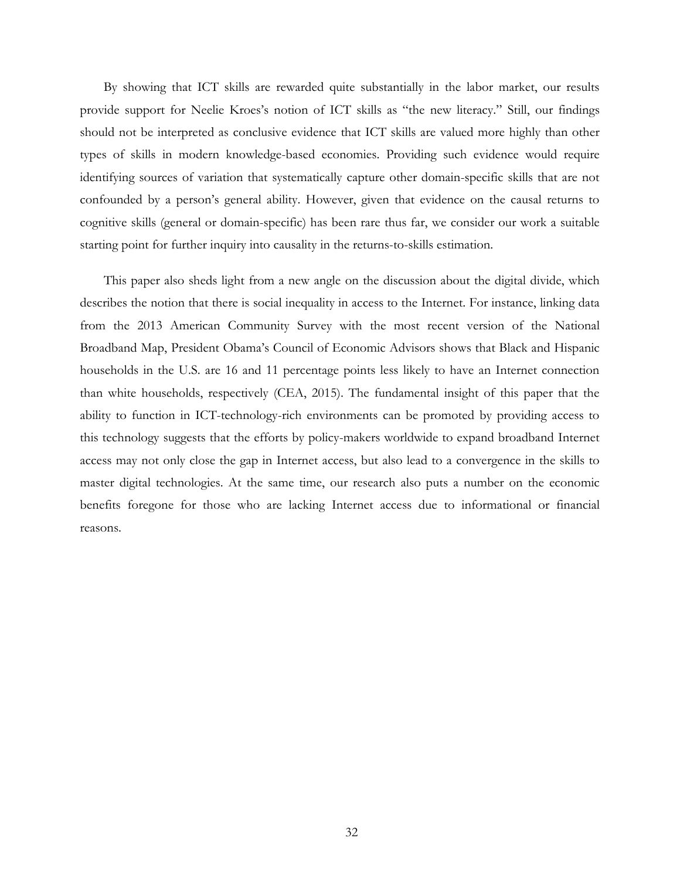By showing that ICT skills are rewarded quite substantially in the labor market, our results provide support for Neelie Kroes's notion of ICT skills as "the new literacy." Still, our findings should not be interpreted as conclusive evidence that ICT skills are valued more highly than other types of skills in modern knowledge-based economies. Providing such evidence would require identifying sources of variation that systematically capture other domain-specific skills that are not confounded by a person's general ability. However, given that evidence on the causal returns to cognitive skills (general or domain-specific) has been rare thus far, we consider our work a suitable starting point for further inquiry into causality in the returns-to-skills estimation.

This paper also sheds light from a new angle on the discussion about the digital divide, which describes the notion that there is social inequality in access to the Internet. For instance, linking data from the 2013 American Community Survey with the most recent version of the National Broadband Map, President Obama's Council of Economic Advisors shows that Black and Hispanic households in the U.S. are 16 and 11 percentage points less likely to have an Internet connection than white households, respectively (CEA, 2015). The fundamental insight of this paper that the ability to function in ICT-technology-rich environments can be promoted by providing access to this technology suggests that the efforts by policy-makers worldwide to expand broadband Internet access may not only close the gap in Internet access, but also lead to a convergence in the skills to master digital technologies. At the same time, our research also puts a number on the economic benefits foregone for those who are lacking Internet access due to informational or financial reasons.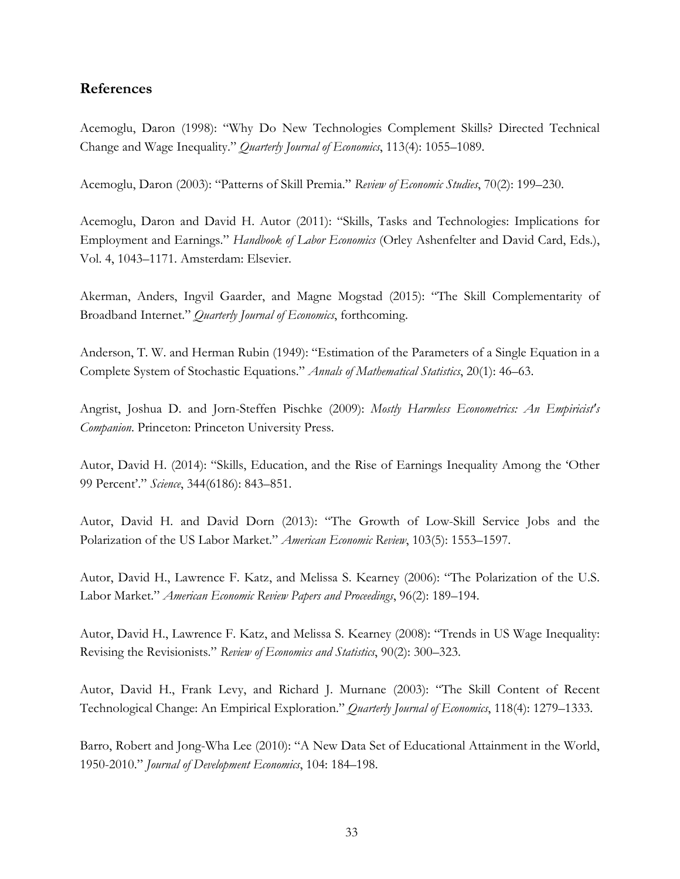# **References**

Acemoglu, Daron (1998): "Why Do New Technologies Complement Skills? Directed Technical Change and Wage Inequality." *Quarterly Journal of Economics*, 113(4): 1055–1089.

Acemoglu, Daron (2003): "Patterns of Skill Premia." *Review of Economic Studies*, 70(2): 199–230.

Acemoglu, Daron and David H. Autor (2011): "Skills, Tasks and Technologies: Implications for Employment and Earnings." *Handbook of Labor Economics* (Orley Ashenfelter and David Card, Eds.), Vol. 4, 1043–1171. Amsterdam: Elsevier.

Akerman, Anders, Ingvil Gaarder, and Magne Mogstad (2015): "The Skill Complementarity of Broadband Internet." *Quarterly Journal of Economics*, forthcoming.

Anderson, T. W. and Herman Rubin (1949): "Estimation of the Parameters of a Single Equation in a Complete System of Stochastic Equations." *Annals of Mathematical Statistics*, 20(1): 46–63.

Angrist, Joshua D. and Jorn-Steffen Pischke (2009): *Mostly Harmless Econometrics: An Empiricist's Companion*. Princeton: Princeton University Press.

Autor, David H. (2014): "Skills, Education, and the Rise of Earnings Inequality Among the 'Other 99 Percent'." *Science*, 344(6186): 843–851.

Autor, David H. and David Dorn (2013): "The Growth of Low-Skill Service Jobs and the Polarization of the US Labor Market." *American Economic Review*, 103(5): 1553–1597.

Autor, David H., Lawrence F. Katz, and Melissa S. Kearney (2006): "The Polarization of the U.S. Labor Market." *American Economic Review Papers and Proceedings*, 96(2): 189–194.

Autor, David H., Lawrence F. Katz, and Melissa S. Kearney (2008): "Trends in US Wage Inequality: Revising the Revisionists." *Review of Economics and Statistics*, 90(2): 300–323.

Autor, David H., Frank Levy, and Richard J. Murnane (2003): "The Skill Content of Recent Technological Change: An Empirical Exploration." *Quarterly Journal of Economics*, 118(4): 1279–1333.

Barro, Robert and Jong-Wha Lee (2010): "A New Data Set of Educational Attainment in the World, 1950-2010." *Journal of Development Economics*, 104: 184–198.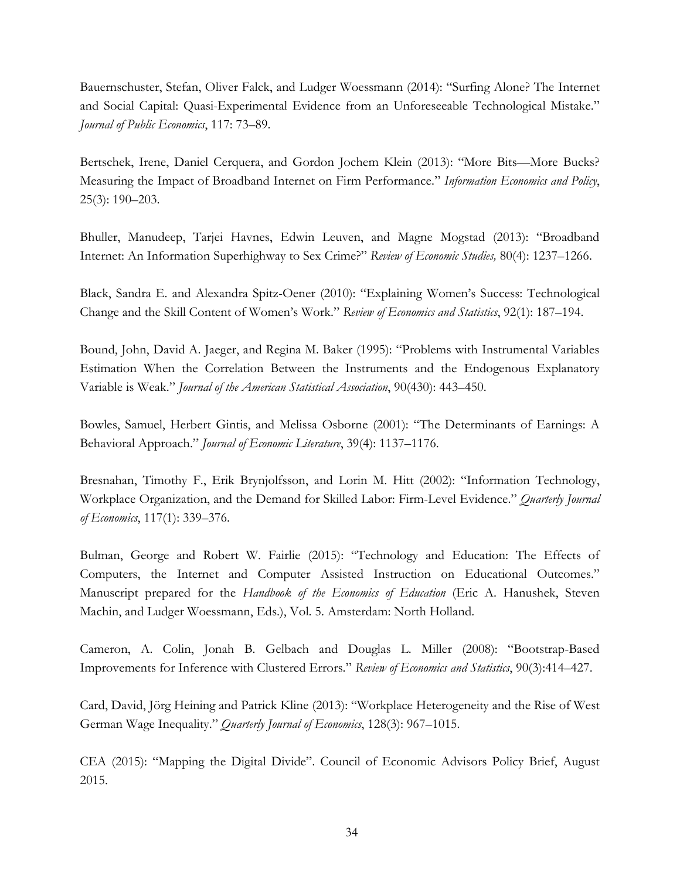Bauernschuster, Stefan, Oliver Falck, and Ludger Woessmann (2014): "Surfing Alone? The Internet and Social Capital: Quasi-Experimental Evidence from an Unforeseeable Technological Mistake." *Journal of Public Economics*, 117: 73–89.

Bertschek, Irene, Daniel Cerquera, and Gordon Jochem Klein (2013): "More Bits—More Bucks? Measuring the Impact of Broadband Internet on Firm Performance." *Information Economics and Policy*, 25(3): 190–203.

Bhuller, Manudeep, Tarjei Havnes, Edwin Leuven, and Magne Mogstad (2013): "Broadband Internet: An Information Superhighway to Sex Crime?" *Review of Economic Studies,* 80(4): 1237–1266.

Black, Sandra E. and Alexandra Spitz-Oener (2010): "Explaining Women's Success: Technological Change and the Skill Content of Women's Work." *Review of Economics and Statistics*, 92(1): 187–194.

Bound, John, David A. Jaeger, and Regina M. Baker (1995): "Problems with Instrumental Variables Estimation When the Correlation Between the Instruments and the Endogenous Explanatory Variable is Weak." *Journal of the American Statistical Association*, 90(430): 443–450.

Bowles, Samuel, Herbert Gintis, and Melissa Osborne (2001): "The Determinants of Earnings: A Behavioral Approach." *Journal of Economic Literature*, 39(4): 1137–1176.

Bresnahan, Timothy F., Erik Brynjolfsson, and Lorin M. Hitt (2002): "Information Technology, Workplace Organization, and the Demand for Skilled Labor: Firm-Level Evidence." *Quarterly Journal of Economics*, 117(1): 339–376.

Bulman, George and Robert W. Fairlie (2015): "Technology and Education: The Effects of Computers, the Internet and Computer Assisted Instruction on Educational Outcomes." Manuscript prepared for the *Handbook of the Economics of Education* (Eric A. Hanushek, Steven Machin, and Ludger Woessmann, Eds.), Vol. 5. Amsterdam: North Holland.

Cameron, A. Colin, Jonah B. Gelbach and Douglas L. Miller (2008): "Bootstrap-Based Improvements for Inference with Clustered Errors." *Review of Economics and Statistics*, 90(3):414–427.

Card, David, Jörg Heining and Patrick Kline (2013): "Workplace Heterogeneity and the Rise of West German Wage Inequality." *Quarterly Journal of Economics*, 128(3): 967–1015.

CEA (2015): "Mapping the Digital Divide". Council of Economic Advisors Policy Brief, August 2015.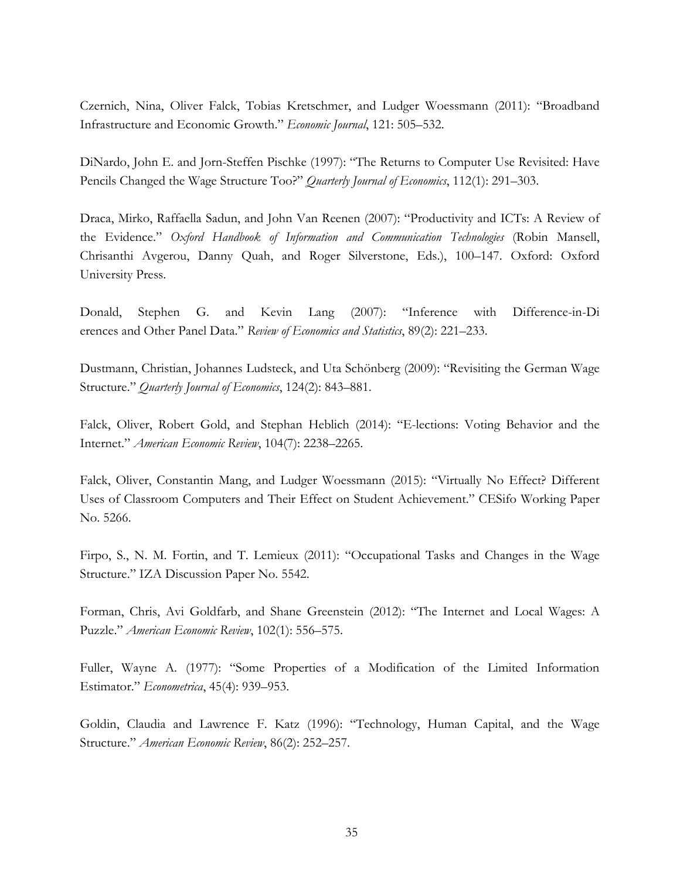Czernich, Nina, Oliver Falck, Tobias Kretschmer, and Ludger Woessmann (2011): "Broadband Infrastructure and Economic Growth." *Economic Journal*, 121: 505–532.

DiNardo, John E. and Jorn-Steffen Pischke (1997): "The Returns to Computer Use Revisited: Have Pencils Changed the Wage Structure Too?" *Quarterly Journal of Economics*, 112(1): 291–303.

Draca, Mirko, Raffaella Sadun, and John Van Reenen (2007): "Productivity and ICTs: A Review of the Evidence." *Oxford Handbook of Information and Communication Technologies* (Robin Mansell, Chrisanthi Avgerou, Danny Quah, and Roger Silverstone, Eds.), 100–147. Oxford: Oxford University Press.

Donald, Stephen G. and Kevin Lang (2007): "Inference with Difference-in-Di erences and Other Panel Data." *Review of Economics and Statistics*, 89(2): 221–233.

Dustmann, Christian, Johannes Ludsteck, and Uta Schönberg (2009): "Revisiting the German Wage Structure." *Quarterly Journal of Economics*, 124(2): 843–881.

Falck, Oliver, Robert Gold, and Stephan Heblich (2014): "E-lections: Voting Behavior and the Internet." *American Economic Review*, 104(7): 2238–2265.

Falck, Oliver, Constantin Mang, and Ludger Woessmann (2015): "Virtually No Effect? Different Uses of Classroom Computers and Their Effect on Student Achievement." CESifo Working Paper No. 5266.

Firpo, S., N. M. Fortin, and T. Lemieux (2011): "Occupational Tasks and Changes in the Wage Structure." IZA Discussion Paper No. 5542.

Forman, Chris, Avi Goldfarb, and Shane Greenstein (2012): "The Internet and Local Wages: A Puzzle." *American Economic Review*, 102(1): 556–575.

Fuller, Wayne A. (1977): "Some Properties of a Modification of the Limited Information Estimator." *Econometrica*, 45(4): 939–953.

Goldin, Claudia and Lawrence F. Katz (1996): "Technology, Human Capital, and the Wage Structure." *American Economic Review*, 86(2): 252–257.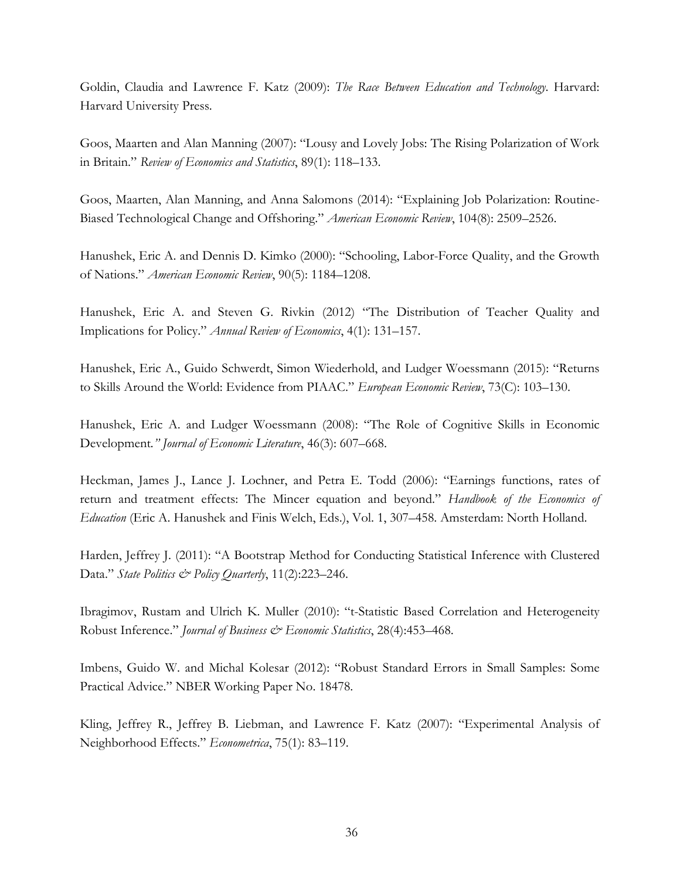Goldin, Claudia and Lawrence F. Katz (2009): *The Race Between Education and Technology*. Harvard: Harvard University Press.

Goos, Maarten and Alan Manning (2007): "Lousy and Lovely Jobs: The Rising Polarization of Work in Britain." *Review of Economics and Statistics*, 89(1): 118–133.

Goos, Maarten, Alan Manning, and Anna Salomons (2014): "Explaining Job Polarization: Routine-Biased Technological Change and Offshoring." *American Economic Review*, 104(8): 2509–2526.

Hanushek, Eric A. and Dennis D. Kimko (2000): "Schooling, Labor-Force Quality, and the Growth of Nations." *American Economic Review*, 90(5): 1184–1208.

Hanushek, Eric A. and Steven G. Rivkin (2012) "The Distribution of Teacher Quality and Implications for Policy." *Annual Review of Economics*, 4(1): 131–157.

Hanushek, Eric A., Guido Schwerdt, Simon Wiederhold, and Ludger Woessmann (2015): "Returns to Skills Around the World: Evidence from PIAAC." *European Economic Review*, 73(C): 103–130.

Hanushek, Eric A. and Ludger Woessmann (2008): "The Role of Cognitive Skills in Economic Development*." Journal of Economic Literature*, 46(3): 607–668.

Heckman, James J., Lance J. Lochner, and Petra E. Todd (2006): "Earnings functions, rates of return and treatment effects: The Mincer equation and beyond." *Handbook of the Economics of Education* (Eric A. Hanushek and Finis Welch, Eds.), Vol. 1, 307–458. Amsterdam: North Holland.

Harden, Jeffrey J. (2011): "A Bootstrap Method for Conducting Statistical Inference with Clustered Data." *State Politics & Policy Quarterly*, 11(2):223–246.

Ibragimov, Rustam and Ulrich K. Muller (2010): "t-Statistic Based Correlation and Heterogeneity Robust Inference." *Journal of Business & Economic Statistics*, 28(4):453–468.

Imbens, Guido W. and Michal Kolesar (2012): "Robust Standard Errors in Small Samples: Some Practical Advice." NBER Working Paper No. 18478.

Kling, Jeffrey R., Jeffrey B. Liebman, and Lawrence F. Katz (2007): "Experimental Analysis of Neighborhood Effects." *Econometrica*, 75(1): 83–119.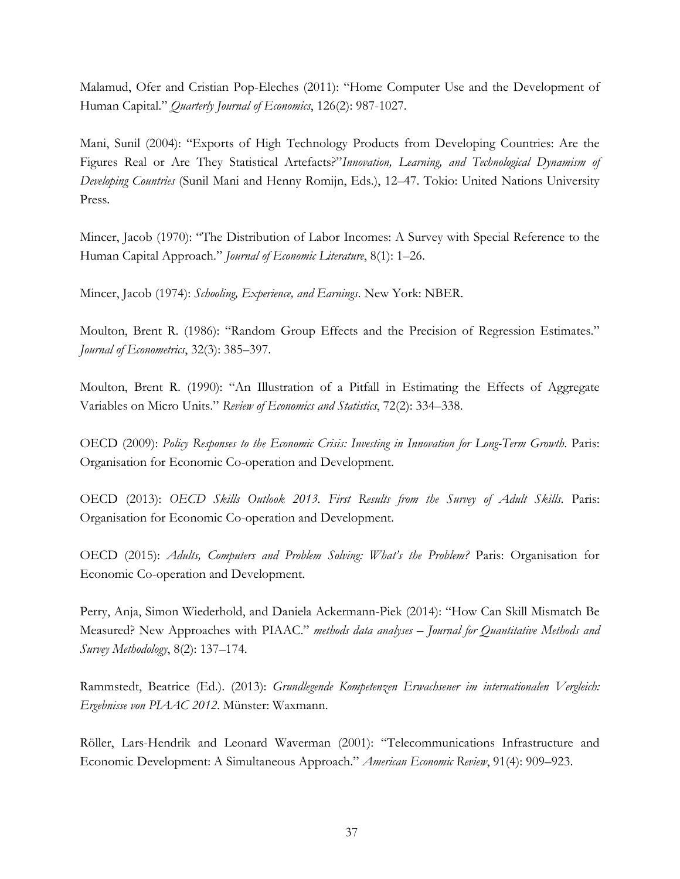Malamud, Ofer and Cristian Pop-Eleches (2011): "Home Computer Use and the Development of Human Capital." *Quarterly Journal of Economics*, 126(2): 987-1027.

Mani, Sunil (2004): "Exports of High Technology Products from Developing Countries: Are the Figures Real or Are They Statistical Artefacts?"*Innovation, Learning, and Technological Dynamism of Developing Countries* (Sunil Mani and Henny Romijn, Eds.), 12–47. Tokio: United Nations University Press.

Mincer, Jacob (1970): "The Distribution of Labor Incomes: A Survey with Special Reference to the Human Capital Approach." *Journal of Economic Literature*, 8(1): 1–26.

Mincer, Jacob (1974): *Schooling, Experience, and Earnings*. New York: NBER.

Moulton, Brent R. (1986): "Random Group Effects and the Precision of Regression Estimates." *Journal of Econometrics*, 32(3): 385–397.

Moulton, Brent R. (1990): "An Illustration of a Pitfall in Estimating the Effects of Aggregate Variables on Micro Units." *Review of Economics and Statistics*, 72(2): 334–338.

OECD (2009): *Policy Responses to the Economic Crisis: Investing in Innovation for Long-Term Growth*. Paris: Organisation for Economic Co-operation and Development.

OECD (2013): *OECD Skills Outlook 2013. First Results from the Survey of Adult Skills*. Paris: Organisation for Economic Co-operation and Development.

OECD (2015): *Adults, Computers and Problem Solving: What's the Problem?* Paris: Organisation for Economic Co-operation and Development.

Perry, Anja, Simon Wiederhold, and Daniela Ackermann-Piek (2014): "How Can Skill Mismatch Be Measured? New Approaches with PIAAC." *methods data analyses – Journal for Quantitative Methods and Survey Methodology*, 8(2): 137–174.

Rammstedt, Beatrice (Ed.). (2013): *Grundlegende Kompetenzen Erwachsener im internationalen Vergleich: Ergebnisse von PIAAC 2012*. Münster: Waxmann.

Röller, Lars-Hendrik and Leonard Waverman (2001): "Telecommunications Infrastructure and Economic Development: A Simultaneous Approach." *American Economic Review*, 91(4): 909–923.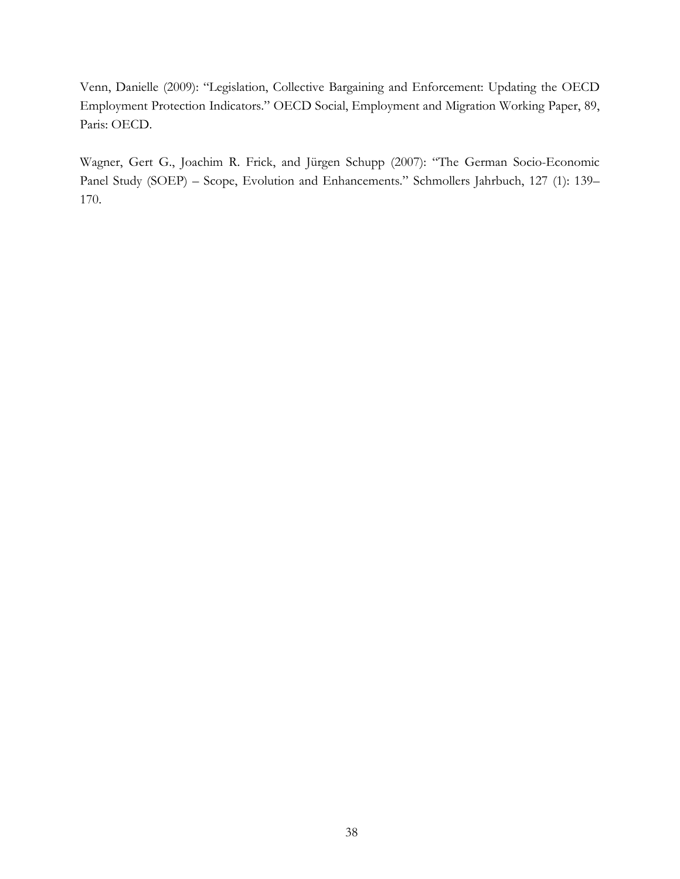Venn, Danielle (2009): "Legislation, Collective Bargaining and Enforcement: Updating the OECD Employment Protection Indicators." OECD Social, Employment and Migration Working Paper, 89, Paris: OECD.

Wagner, Gert G., Joachim R. Frick, and Jürgen Schupp (2007): "The German Socio-Economic Panel Study (SOEP) – Scope, Evolution and Enhancements." Schmollers Jahrbuch, 127 (1): 139– 170.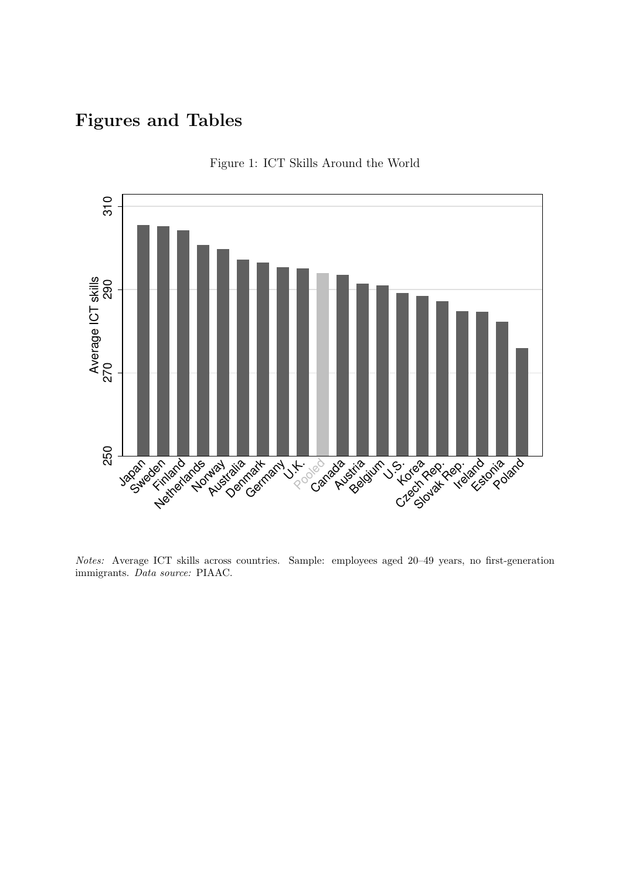# Figures and Tables



Figure 1: ICT Skills Around the World

Notes: Average ICT skills across countries. Sample: employees aged 20–49 years, no first-generation immigrants. Data source: PIAAC.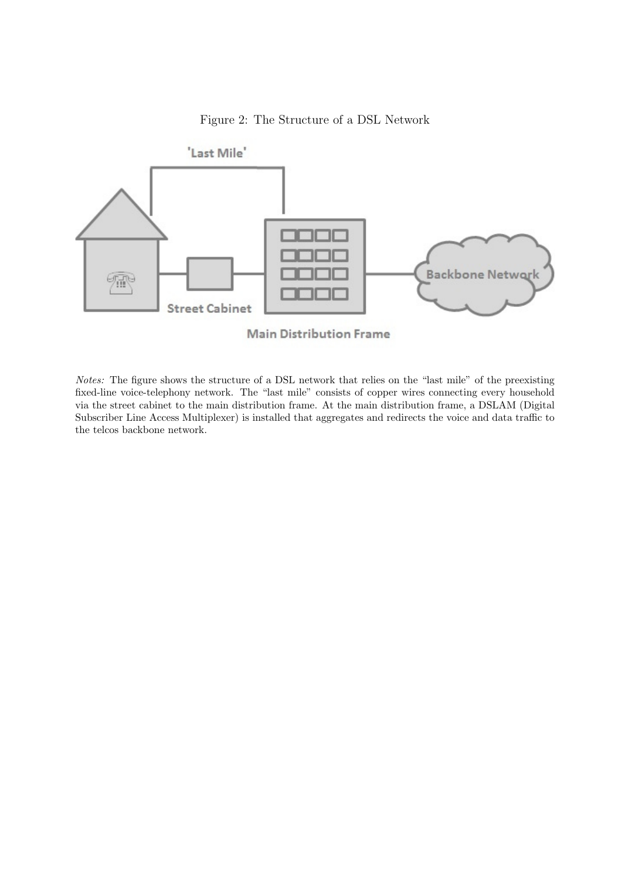# Figure 2: The Structure of a DSL Network



**Main Distribution Frame** 

Notes: The figure shows the structure of a DSL network that relies on the "last mile" of the preexisting fixed-line voice-telephony network. The "last mile" consists of copper wires connecting every household via the street cabinet to the main distribution frame. At the main distribution frame, a DSLAM (Digital Subscriber Line Access Multiplexer) is installed that aggregates and redirects the voice and data traffic to the telcos backbone network.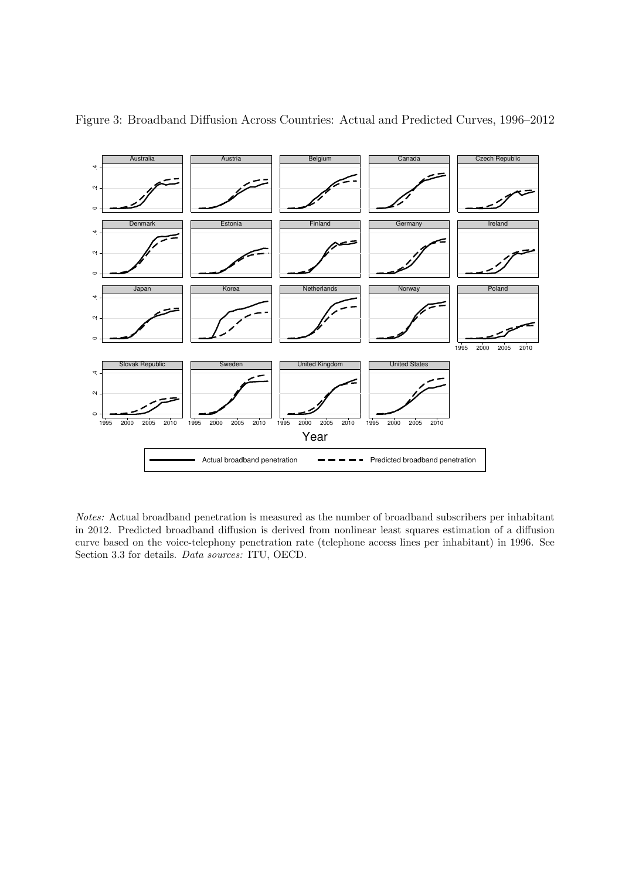

Figure 3: Broadband Diffusion Across Countries: Actual and Predicted Curves, 1996–2012

Notes: Actual broadband penetration is measured as the number of broadband subscribers per inhabitant in 2012. Predicted broadband diffusion is derived from nonlinear least squares estimation of a diffusion curve based on the voice-telephony penetration rate (telephone access lines per inhabitant) in 1996. See Section 3.3 for details. *Data sources:* ITU, OECD.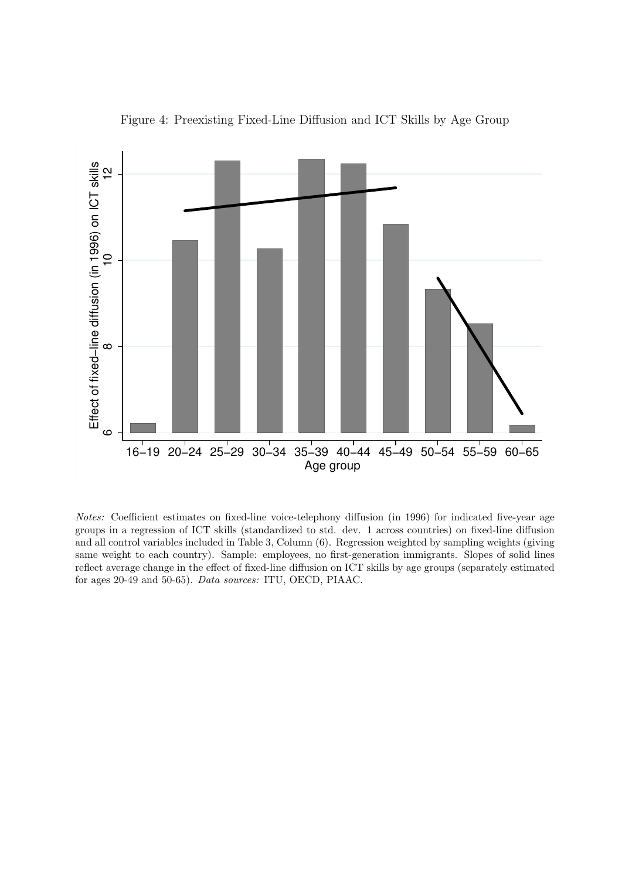

Figure 4: Preexisting Fixed-Line Diffusion and ICT Skills by Age Group

Notes: Coefficient estimates on fixed-line voice-telephony diffusion (in 1996) for indicated five-year age groups in a regression of ICT skills (standardized to std. dev. 1 across countries) on fixed-line diffusion and all control variables included in Table 3, Column (6). Regression weighted by sampling weights (giving same weight to each country). Sample: employees, no first-generation immigrants. Slopes of solid lines reflect average change in the effect of fixed-line diffusion on ICT skills by age groups (separately estimated for ages 20-49 and 50-65). Data sources: ITU, OECD, PIAAC.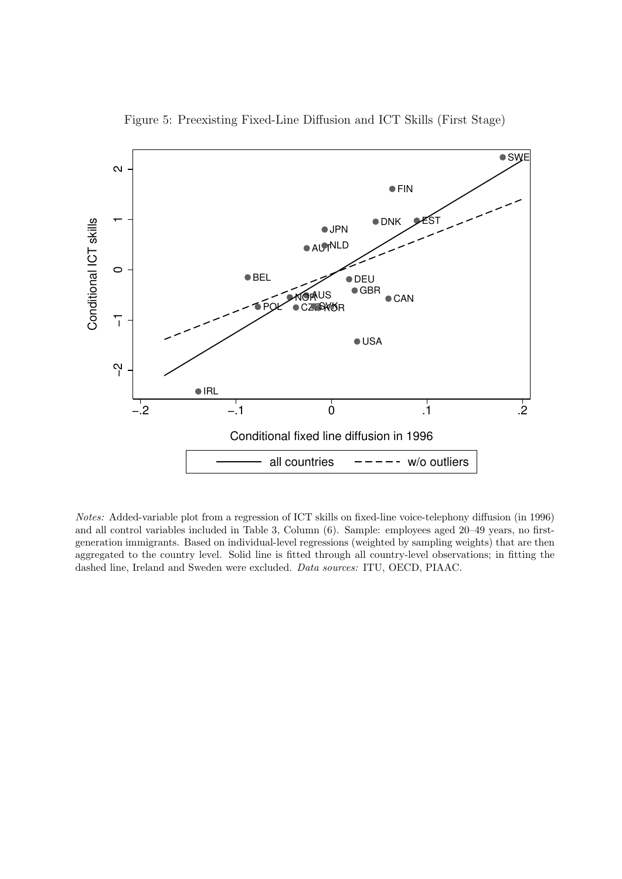

Figure 5: Preexisting Fixed-Line Diffusion and ICT Skills (First Stage)

Notes: Added-variable plot from a regression of ICT skills on fixed-line voice-telephony diffusion (in 1996) and all control variables included in Table 3, Column (6). Sample: employees aged 20–49 years, no firstgeneration immigrants. Based on individual-level regressions (weighted by sampling weights) that are then aggregated to the country level. Solid line is fitted through all country-level observations; in fitting the dashed line, Ireland and Sweden were excluded. Data sources: ITU, OECD, PIAAC.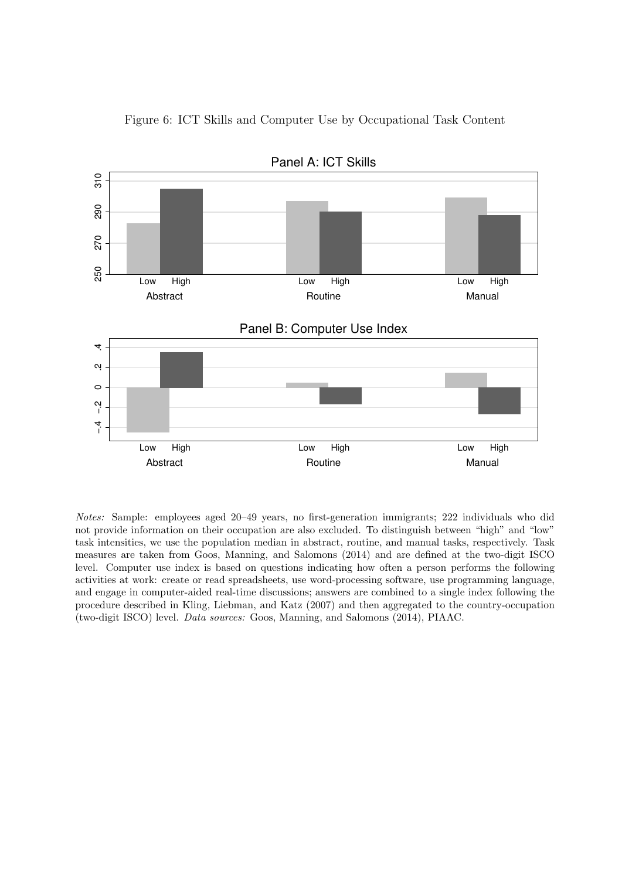

Figure 6: ICT Skills and Computer Use by Occupational Task Content

Panel A: ICT Skills

Notes: Sample: employees aged 20–49 years, no first-generation immigrants; 222 individuals who did not provide information on their occupation are also excluded. To distinguish between "high" and "low" task intensities, we use the population median in abstract, routine, and manual tasks, respectively. Task measures are taken from Goos, Manning, and Salomons (2014) and are defined at the two-digit ISCO level. Computer use index is based on questions indicating how often a person performs the following activities at work: create or read spreadsheets, use word-processing software, use programming language, and engage in computer-aided real-time discussions; answers are combined to a single index following the procedure described in Kling, Liebman, and Katz (2007) and then aggregated to the country-occupation (two-digit ISCO) level. Data sources: Goos, Manning, and Salomons (2014), PIAAC.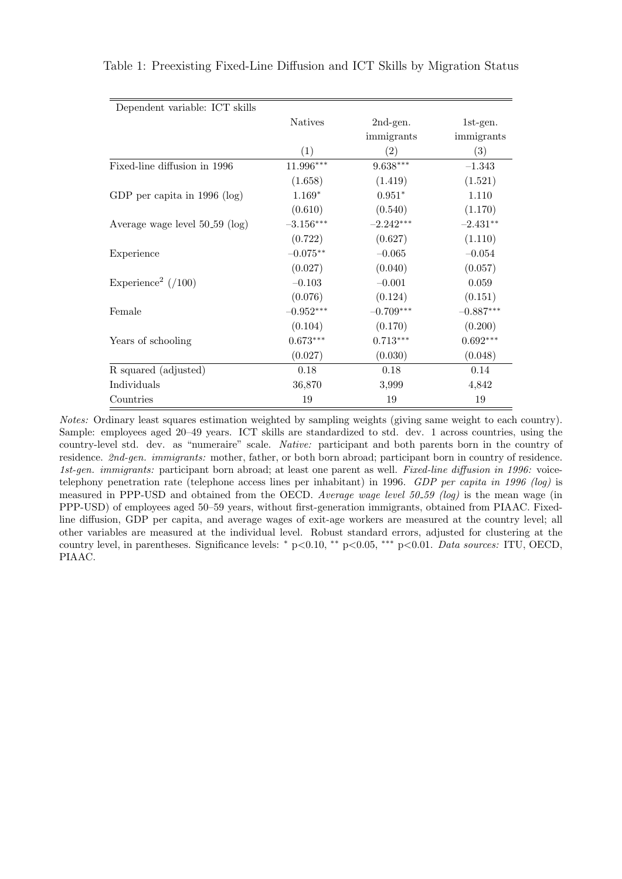| Dependent variable: ICT skills   |                |             |             |
|----------------------------------|----------------|-------------|-------------|
|                                  | <b>Natives</b> | 2nd-gen.    | $1st$ -gen. |
|                                  |                | immigrants  | immigrants  |
|                                  | (1)            | (2)         | (3)         |
| Fixed-line diffusion in 1996     | 11.996***      | $9.638***$  | $-1.343$    |
|                                  | (1.658)        | (1.419)     | (1.521)     |
| GDP per capita in $1996$ (log)   | $1.169*$       | $0.951*$    | 1.110       |
|                                  | (0.610)        | (0.540)     | (1.170)     |
| Average wage level 50_59 (log)   | $-3.156***$    | $-2.242***$ | $-2.431**$  |
|                                  | (0.722)        | (0.627)     | (1.110)     |
| Experience                       | $-0.075**$     | $-0.065$    | $-0.054$    |
|                                  | (0.027)        | (0.040)     | (0.057)     |
| Experience <sup>2</sup> $(7100)$ | $-0.103$       | $-0.001$    | 0.059       |
|                                  | (0.076)        | (0.124)     | (0.151)     |
| Female                           | $-0.952***$    | $-0.709***$ | $-0.887***$ |
|                                  | (0.104)        | (0.170)     | (0.200)     |
| Years of schooling               | $0.673***$     | $0.713***$  | $0.692***$  |
|                                  | (0.027)        | (0.030)     | (0.048)     |
| R squared (adjusted)             | 0.18           | 0.18        | 0.14        |
| Individuals                      | 36,870         | 3,999       | 4,842       |
| Countries                        | 19             | 19          | 19          |

Table 1: Preexisting Fixed-Line Diffusion and ICT Skills by Migration Status

Notes: Ordinary least squares estimation weighted by sampling weights (giving same weight to each country). Sample: employees aged 20–49 years. ICT skills are standardized to std. dev. 1 across countries, using the country-level std. dev. as "numeraire" scale. Native: participant and both parents born in the country of residence. 2nd-gen. immigrants: mother, father, or both born abroad; participant born in country of residence. 1st-gen. immigrants: participant born abroad; at least one parent as well. Fixed-line diffusion in 1996: voicetelephony penetration rate (telephone access lines per inhabitant) in 1996. GDP per capita in 1996 (log) is measured in PPP-USD and obtained from the OECD. Average wage level 50 59 (log) is the mean wage (in PPP-USD) of employees aged 50–59 years, without first-generation immigrants, obtained from PIAAC. Fixedline diffusion, GDP per capita, and average wages of exit-age workers are measured at the country level; all other variables are measured at the individual level. Robust standard errors, adjusted for clustering at the country level, in parentheses. Significance levels: <sup>∗</sup> p<0.10, ∗∗ p<0.05, ∗∗∗ p<0.01. Data sources: ITU, OECD, PIAAC.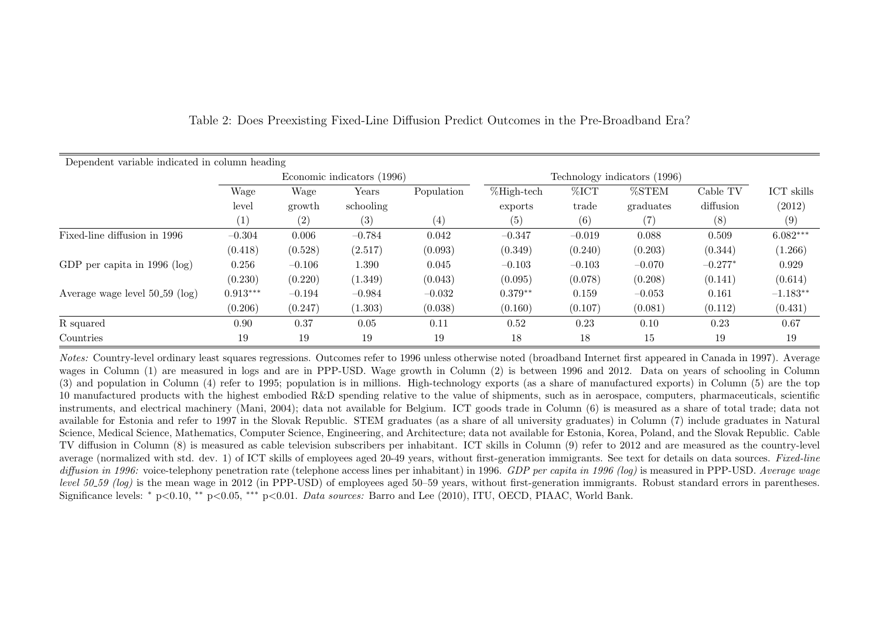| Dependent variable indicated in column heading |            |          |                            |            |                |                              |           |           |            |
|------------------------------------------------|------------|----------|----------------------------|------------|----------------|------------------------------|-----------|-----------|------------|
|                                                |            |          | Economic indicators (1996) |            |                | Technology indicators (1996) |           |           |            |
|                                                | Wage       | Wage     | Years                      | Population | $\%$ High-tech | %ICT                         | %STEM     | Cable TV  | ICT skills |
|                                                | level      | growth   | schooling                  |            | exports        | trade                        | graduates | diffusion | (2012)     |
|                                                | (1)        | (2)      | (3)                        | (4)        | (5)            | (6)                          | (7)       | (8)       | (9)        |
| Fixed-line diffusion in 1996                   | $-0.304$   | 0.006    | $-0.784$                   | 0.042      | $-0.347$       | $-0.019$                     | 0.088     | 0.509     | $6.082***$ |
|                                                | (0.418)    | (0.528)  | (2.517)                    | (0.093)    | (0.349)        | (0.240)                      | (0.203)   | (0.344)   | (1.266)    |
| GDP per capita in $1996$ (log)                 | 0.256      | $-0.106$ | 1.390                      | 0.045      | $-0.103$       | $-0.103$                     | $-0.070$  | $-0.277*$ | 0.929      |
|                                                | (0.230)    | (0.220)  | (1.349)                    | (0.043)    | (0.095)        | (0.078)                      | (0.208)   | (0.141)   | (0.614)    |
| Average wage level $50-59$ (log)               | $0.913***$ | $-0.194$ | $-0.984$                   | $-0.032$   | $0.379**$      | 0.159                        | $-0.053$  | 0.161     | $-1.183**$ |
|                                                | (0.206)    | (0.247)  | (1.303)                    | (0.038)    | (0.160)        | (0.107)                      | (0.081)   | (0.112)   | (0.431)    |
| R squared                                      | 0.90       | 0.37     | 0.05                       | 0.11       | 0.52           | 0.23                         | 0.10      | 0.23      | 0.67       |
| Countries                                      | 19         | 19       | 19                         | 19         | 18             | 18                           | 15        | 19        | 19         |

Table 2: Does Preexisting Fixed-Line Diffusion Predict Outcomes in the Pre-Broadband Era?

Notes: Country-level ordinary least squares regressions. Outcomes refer to 1996 unless otherwise noted (broadband Internet first appeared in Canada in 1997). Average wages in Column (1) are measured in logs and are in PPP-USD. Wage growth in Column (2) is between 1996 and 2012. Data on years of schooling in Column (3) and population in Column (4) refer to 1995; population is in millions. High-technology exports (as a share of manufactured exports) in Column (5) are the top 10 manufactured products with the highest embodied R&D spending relative to the value of shipments, such as in aerospace, computers, pharmaceuticals, scientific instruments, and electrical machinery (Mani, 2004); data not available for Belgium. ICT goods trade in Column (6) is measured as a share of total trade; data not available for Estonia and refer to 1997 in the Slovak Republic. STEM graduates (as a share of all university graduates) in Column (7) include graduates in Natural Science, Medical Science, Mathematics, Computer Science, Engineering, and Architecture; data not available for Estonia, Korea, Poland, and the Slovak Republic. Cable TV diffusion in Column (8) is measured as cable television subscribers per inhabitant. ICT skills in Column (9) refer to 2012 and are measured as the country-level average (normalized with std. dev. 1) of ICT skills of employees aged 20-49 years, without first-generation immigrants. See text for details on data sources. Fixed-line diffusion in 1996: voice-telephony penetration rate (telephone access lines per inhabitant) in 1996. GDP per capita in 1996 (log) is measured in PPP-USD. Average wage level 50.59 (log) is the mean wage in 2012 (in PPP-USD) of employees aged 50–59 years, without first-generation immigrants. Robust standard errors in parentheses. Significance levels: <sup>∗</sup> p<0.10, ∗∗ p<0.05, ∗∗∗ p<0.01. Data sources: Barro and Lee (2010), ITU, OECD, PIAAC, World Bank.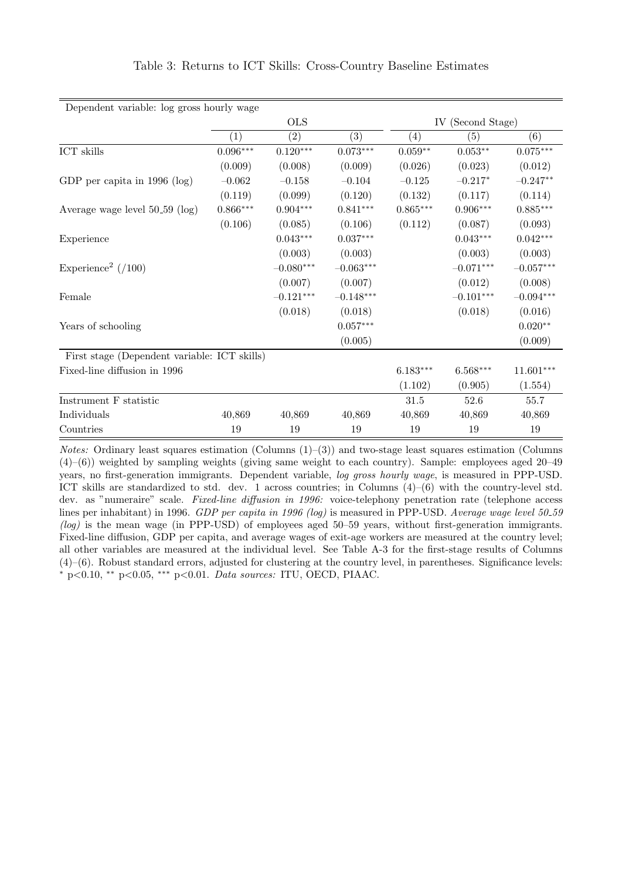| Dependent variable: log gross hourly wage    |                        |                        |                 |                    |                   |                        |
|----------------------------------------------|------------------------|------------------------|-----------------|--------------------|-------------------|------------------------|
|                                              |                        | <b>OLS</b>             |                 |                    | IV (Second Stage) |                        |
|                                              | (1)                    | (2)                    | (3)             | (4)                | (5)               | (6)                    |
| ICT skills                                   | $0.096^{\ast\ast\ast}$ | $0.120^{\ast\ast\ast}$ | $0.073***$      | $0.059^{\ast\ast}$ | $0.053**$         | $0.075^{\ast\ast\ast}$ |
|                                              | (0.009)                | (0.008)                | (0.009)         | (0.026)            | (0.023)           | (0.012)                |
| GDP per capita in $1996$ (log)               | $-0.062$               | $-0.158$               | $-0.104$        | $-0.125$           | $-0.217*$         | $-0.247**$             |
|                                              | (0.119)                | (0.099)                | (0.120)         | (0.132)            | (0.117)           | (0.114)                |
| Average wage level $50-59$ (log)             | $0.866***$             | $0.904^{***}\,$        | $0.841***$      | $0.865***$         | $0.906***$        | $0.885***$             |
|                                              | (0.106)                | (0.085)                | (0.106)         | (0.112)            | (0.087)           | (0.093)                |
| Experience                                   |                        | $0.043***$             | $0.037^{***}\,$ |                    | $0.043***$        | $0.042***$             |
|                                              |                        | (0.003)                | (0.003)         |                    | (0.003)           | (0.003)                |
| Experience <sup>2</sup> ( $/100$ )           |                        | $-0.080***$            | $-0.063***$     |                    | $-0.071***$       | $-0.057***$            |
|                                              |                        | (0.007)                | (0.007)         |                    | (0.012)           | (0.008)                |
| Female                                       |                        | $-0.121***$            | $-0.148***$     |                    | $-0.101***$       | $-0.094***$            |
|                                              |                        | (0.018)                | (0.018)         |                    | (0.018)           | (0.016)                |
| Years of schooling                           |                        |                        | $0.057***$      |                    |                   | $0.020**$              |
|                                              |                        |                        | (0.005)         |                    |                   | (0.009)                |
| First stage (Dependent variable: ICT skills) |                        |                        |                 |                    |                   |                        |
| Fixed-line diffusion in 1996                 |                        |                        |                 | $6.183***$         | $6.568***$        | $11.601***$            |
|                                              |                        |                        |                 | (1.102)            | (0.905)           | (1.554)                |
| Instrument F statistic                       |                        |                        |                 | 31.5               | 52.6              | 55.7                   |
| Individuals                                  | 40,869                 | 40,869                 | 40,869          | 40,869             | 40,869            | 40,869                 |
| Countries                                    | 19                     | 19                     | 19              | 19                 | 19                | 19                     |

## Table 3: Returns to ICT Skills: Cross-Country Baseline Estimates

Notes: Ordinary least squares estimation (Columns  $(1)$ – $(3)$ ) and two-stage least squares estimation (Columns (4)–(6)) weighted by sampling weights (giving same weight to each country). Sample: employees aged 20–49 years, no first-generation immigrants. Dependent variable, log gross hourly wage, is measured in PPP-USD. ICT skills are standardized to std. dev. 1 across countries; in Columns (4)–(6) with the country-level std. dev. as "numeraire" scale. Fixed-line diffusion in 1996: voice-telephony penetration rate (telephone access lines per inhabitant) in 1996. GDP per capita in 1996 (log) is measured in PPP-USD. Average wage level 50.59 (log) is the mean wage (in PPP-USD) of employees aged 50–59 years, without first-generation immigrants. Fixed-line diffusion, GDP per capita, and average wages of exit-age workers are measured at the country level; all other variables are measured at the individual level. See Table A-3 for the first-stage results of Columns (4)–(6). Robust standard errors, adjusted for clustering at the country level, in parentheses. Significance levels: <sup>∗</sup> p<0.10, ∗∗ p<0.05, ∗∗∗ p<0.01. Data sources: ITU, OECD, PIAAC.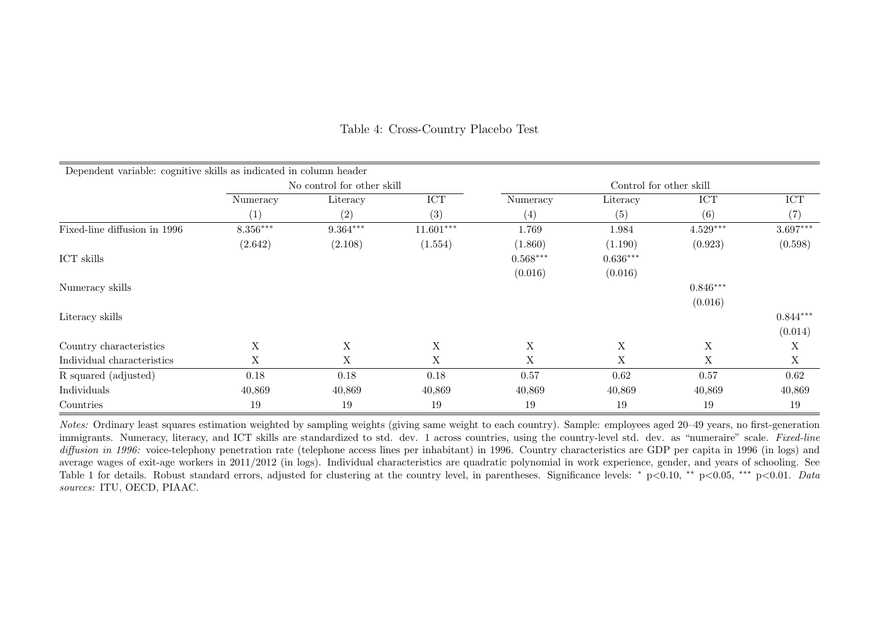| Dependent variable: cognitive skills as indicated in column header |             |                            |             |             |                         |             |            |
|--------------------------------------------------------------------|-------------|----------------------------|-------------|-------------|-------------------------|-------------|------------|
|                                                                    |             | No control for other skill |             |             | Control for other skill |             |            |
|                                                                    | Numeracy    | Literacy                   | <b>ICT</b>  | Numeracy    | Literacy                | ICT         | ICT        |
|                                                                    | (1)         | (2)                        | (3)         | (4)         | (5)                     | (6)         | (7)        |
| Fixed-line diffusion in 1996                                       | 8.356***    | $9.364***$                 | $11.601***$ | 1.769       | 1.984                   | $4.529***$  | $3.697***$ |
|                                                                    | (2.642)     | (2.108)                    | (1.554)     | (1.860)     | (1.190)                 | (0.923)     | (0.598)    |
| ICT skills                                                         |             |                            |             | $0.568***$  | $0.636***$              |             |            |
|                                                                    |             |                            |             | (0.016)     | (0.016)                 |             |            |
| Numeracy skills                                                    |             |                            |             |             |                         | $0.846***$  |            |
|                                                                    |             |                            |             |             |                         | (0.016)     |            |
| Literacy skills                                                    |             |                            |             |             |                         |             | $0.844***$ |
|                                                                    |             |                            |             |             |                         |             | (0.014)    |
| Country characteristics                                            | $\mathbf X$ | $\mathbf X$                | X           | $\mathbf X$ | $\mathbf X$             | $\mathbf X$ | X          |
| Individual characteristics                                         | Χ           | X                          | X           | X           | X                       | X           | X          |
| R squared (adjusted)                                               | 0.18        | 0.18                       | 0.18        | 0.57        | 0.62                    | 0.57        | 0.62       |
| Individuals                                                        | 40,869      | 40,869                     | 40,869      | 40,869      | 40,869                  | 40,869      | 40,869     |
| Countries                                                          | 19          | 19                         | 19          | 19          | 19                      | 19          | 19         |

## Table 4: Cross-Country Placebo Test

Notes: Ordinary least squares estimation weighted by sampling weights (giving same weight to each country). Sample: employees aged 20–49 years, no first-generation immigrants. Numeracy, literacy, and ICT skills are standardized to std. dev. 1 across countries, using the country-level std. dev. as "numeraire" scale. Fixed-line diffusion in 1996: voice-telephony penetration rate (telephone access lines per inhabitant) in 1996. Country characteristics are GDP per capita in 1996 (in logs) and average wages of exit-age workers in 2011/2012 (in logs). Individual characteristics are quadratic polynomial in work experience, gender, and years of schooling. See Table 1 for details. Robust standard errors, adjusted for clustering at the country level, in parentheses. Significance levels: \* p<0.10, \*\* p<0.05, \*\*\* p<0.01. Data sources: ITU, OECD, PIAAC.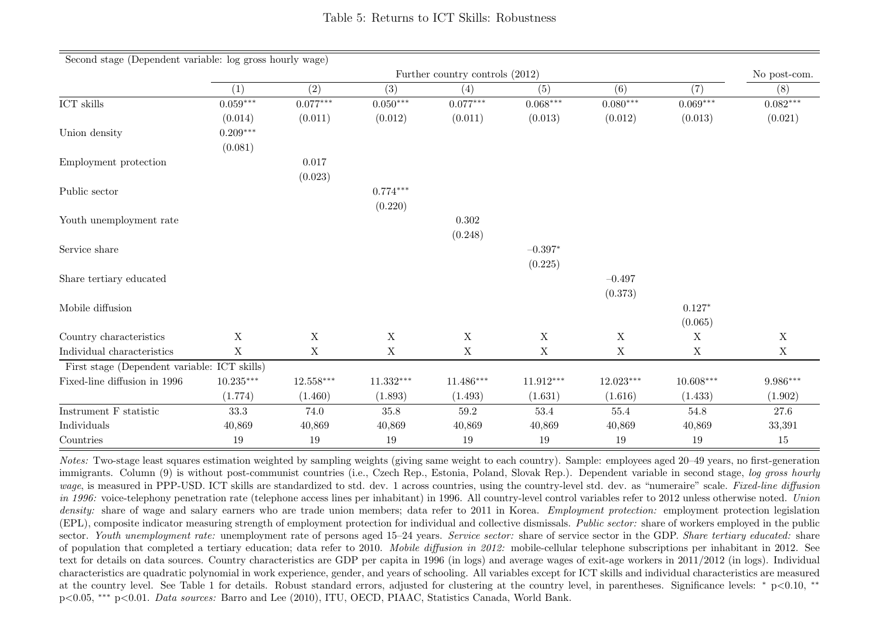| Second stage (Dependent variable: log gross hourly wage) |             |             |             |                                 |             |             |             |              |
|----------------------------------------------------------|-------------|-------------|-------------|---------------------------------|-------------|-------------|-------------|--------------|
|                                                          |             |             |             | Further country controls (2012) |             |             |             | No post-com. |
|                                                          | (1)         | (2)         | (3)         | (4)                             | (5)         | (6)         | (7)         | (8)          |
| $\mathrm{ICT}$ skills                                    | $0.059***$  | $0.077***$  | $0.050***$  | $0.077***$                      | $0.068***$  | $0.080***$  | $0.069***$  | $0.082***$   |
|                                                          | (0.014)     | (0.011)     | (0.012)     | (0.011)                         | (0.013)     | (0.012)     | (0.013)     | (0.021)      |
| Union density                                            | $0.209***$  |             |             |                                 |             |             |             |              |
|                                                          | (0.081)     |             |             |                                 |             |             |             |              |
| Employment protection                                    |             | 0.017       |             |                                 |             |             |             |              |
|                                                          |             | (0.023)     |             |                                 |             |             |             |              |
| Public sector                                            |             |             | $0.774***$  |                                 |             |             |             |              |
|                                                          |             |             | (0.220)     |                                 |             |             |             |              |
| Youth unemployment rate                                  |             |             |             | 0.302                           |             |             |             |              |
|                                                          |             |             |             | (0.248)                         |             |             |             |              |
| Service share                                            |             |             |             |                                 | $-0.397*$   |             |             |              |
|                                                          |             |             |             |                                 | (0.225)     |             |             |              |
| Share tertiary educated                                  |             |             |             |                                 |             | $-0.497$    |             |              |
|                                                          |             |             |             |                                 |             | (0.373)     |             |              |
| Mobile diffusion                                         |             |             |             |                                 |             |             | $0.127*$    |              |
|                                                          |             |             |             |                                 |             |             | (0.065)     |              |
| Country characteristics                                  | X           | $\mathbf X$ | $\mathbf X$ | $\mathbf X$                     | $\mathbf X$ | $\mathbf X$ | $\mathbf X$ | $\mathbf X$  |
| Individual characteristics                               | $\mathbf X$ | $\mathbf X$ | $\mathbf X$ | $\mathbf X$                     | $\mathbf X$ | $\mathbf X$ | $\mathbf X$ | X            |
| First stage (Dependent variable: ICT skills)             |             |             |             |                                 |             |             |             |              |
| Fixed-line diffusion in 1996                             | $10.235***$ | $12.558***$ | $11.332***$ | $11.486***$                     | $11.912***$ | $12.023***$ | $10.608***$ | 9.986***     |
|                                                          | (1.774)     | (1.460)     | (1.893)     | (1.493)                         | (1.631)     | (1.616)     | (1.433)     | (1.902)      |
| Instrument F statistic                                   | 33.3        | 74.0        | 35.8        | 59.2                            | 53.4        | 55.4        | 54.8        | 27.6         |
| Individuals                                              | 40,869      | 40,869      | 40,869      | 40,869                          | 40,869      | 40,869      | 40,869      | 33,391       |
| Countries                                                | 19          | 19          | 19          | 19                              | 19          | 19          | 19          | $15\,$       |

Notes: Two-stage least squares estimation weighted by sampling weights (giving same weight to each country). Sample: employees aged 20–49 years, no first-generation immigrants. Column (9) is without post-communist countries (i.e., Czech Rep., Estonia, Poland, Slovak Rep.). Dependent variable in second stage, log gross hourly wage, is measured in PPP-USD. ICT skills are standardized to std. dev. 1 across countries, using the country-level std. dev. as "numeraire" scale. Fixed-line diffusion in 1996: voice-telephony penetration rate (telephone access lines per inhabitant) in 1996. All country-level control variables refer to 2012 unless otherwise noted. Union density: share of wage and salary earners who are trade union members; data refer to 2011 in Korea. *Employment protection*: employment protection legislation (EPL), composite indicator measuring strength of employment protection for individual and collective dismissals. Public sector: share of workers employed in the public sector. Youth unemployment rate: unemployment rate of persons aged 15–24 years. Service sector: share of service sector in the GDP. Share tertiary educated: share of population that completed a tertiary education; data refer to 2010. Mobile diffusion in 2012: mobile-cellular telephone subscriptions per inhabitant in 2012. See text for details on data sources. Country characteristics are GDP per capita in 1996 (in logs) and average wages of exit-age workers in 2011/2012 (in logs). Individual characteristics are quadratic polynomial in work experience, gender, and years of schooling. All variables except for ICT skills and individual characteristics are measured at the country level. See Table 1 for details. Robust standard errors, adjusted for clustering at the country level, in parentheses. Significance levels: <sup>∗</sup> p<0.10, ∗∗ p<0.05, ∗∗∗ p<0.01. Data sources: Barro and Lee (2010), ITU, OECD, PIAAC, Statistics Canada, World Bank.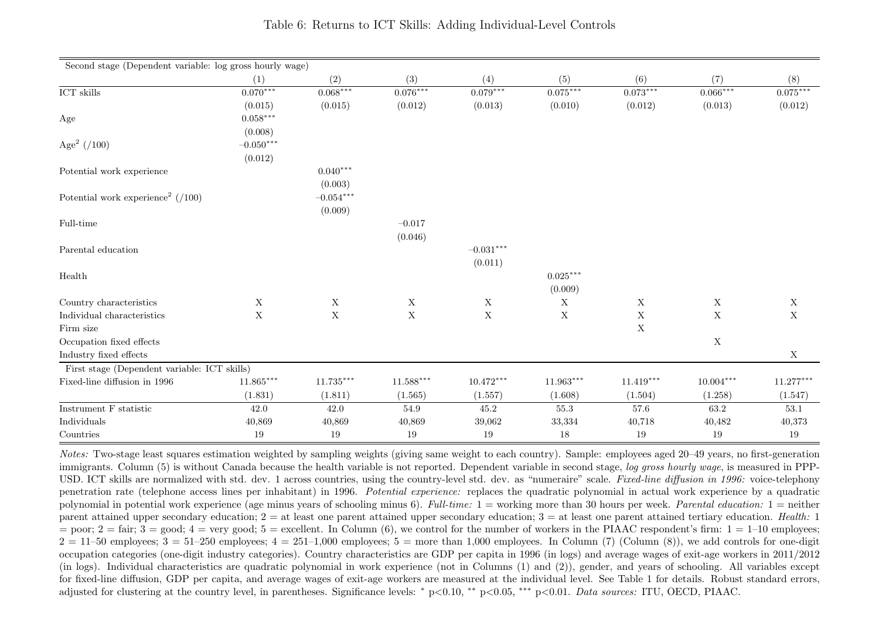| Second stage (Dependent variable: log gross hourly wage) |                |             |             |             |             |             |                           |             |
|----------------------------------------------------------|----------------|-------------|-------------|-------------|-------------|-------------|---------------------------|-------------|
|                                                          | (1)            | (2)         | (3)         | (4)         | (5)         | (6)         | (7)                       | (8)         |
| $\mathrm{ICT}$ skills                                    | $0.070***$     | $0.068***$  | $0.076***$  | $0.079***$  | $0.075***$  | $0.073***$  | $0.066***$                | $0.075***$  |
|                                                          | (0.015)        | (0.015)     | (0.012)     | (0.013)     | (0.010)     | (0.012)     | (0.013)                   | (0.012)     |
| Age                                                      | $0.058***$     |             |             |             |             |             |                           |             |
|                                                          | (0.008)        |             |             |             |             |             |                           |             |
| Age <sup>2</sup> $( / 100 )$                             | $-0.050^{***}$ |             |             |             |             |             |                           |             |
|                                                          | (0.012)        |             |             |             |             |             |                           |             |
| Potential work experience                                |                | $0.040***$  |             |             |             |             |                           |             |
|                                                          |                | (0.003)     |             |             |             |             |                           |             |
| Potential work experience <sup>2</sup> $( / 100 )$       |                | $-0.054***$ |             |             |             |             |                           |             |
|                                                          |                | (0.009)     |             |             |             |             |                           |             |
| Full-time                                                |                |             | $-0.017$    |             |             |             |                           |             |
|                                                          |                |             | (0.046)     |             |             |             |                           |             |
| Parental education                                       |                |             |             | $-0.031***$ |             |             |                           |             |
|                                                          |                |             |             | (0.011)     |             |             |                           |             |
| Health                                                   |                |             |             |             | $0.025***$  |             |                           |             |
|                                                          |                |             |             |             | (0.009)     |             |                           |             |
| Country characteristics                                  | $\mathbf X$    | $\mathbf X$ | $\mathbf X$ | $\mathbf X$ | $\mathbf X$ | $\mathbf X$ | $\mathbf X$               | $\mathbf X$ |
| Individual characteristics                               | X              | $\mathbf X$ | $\mathbf X$ | $\mathbf X$ | $\mathbf X$ | $\mathbf X$ | $\boldsymbol{\mathrm{X}}$ | $\mathbf X$ |
| Firm size                                                |                |             |             |             |             | $\mathbf X$ |                           |             |
| Occupation fixed effects                                 |                |             |             |             |             |             | $\mathbf X$               |             |
| Industry fixed effects                                   |                |             |             |             |             |             |                           | $\mathbf X$ |
| First stage (Dependent variable: ICT skills)             |                |             |             |             |             |             |                           |             |
| Fixed-line diffusion in 1996                             | $11.865***$    | $11.735***$ | $11.588***$ | $10.472***$ | $11.963***$ | $11.419***$ | $10.004***$               | $11.277***$ |
|                                                          | (1.831)        | (1.811)     | (1.565)     | (1.557)     | (1.608)     | (1.504)     | (1.258)                   | (1.547)     |
| Instrument F statistic                                   | 42.0           | 42.0        | 54.9        | 45.2        | 55.3        | 57.6        | 63.2                      | 53.1        |
| Individuals                                              | 40,869         | 40,869      | 40,869      | 39,062      | 33,334      | 40,718      | 40,482                    | 40,373      |
| Countries                                                | $19\,$         | $19\,$      | $19\,$      | $19\,$      | $18\,$      | $19\,$      | 19                        | $19\,$      |

Notes: Two-stage least squares estimation weighted by sampling weights (giving same weight to each country). Sample: employees aged 20–49 years, no first-generation immigrants. Column (5) is without Canada because the health variable is not reported. Dependent variable in second stage, log gross hourly wage, is measured in PPP-USD. ICT skills are normalized with std. dev. 1 across countries, using the country-level std. dev. as "numeraire" scale. Fixed-line diffusion in 1996: voice-telephony penetration rate (telephone access lines per inhabitant) in 1996. Potential experience: replaces the quadratic polynomial in actual work experience by a quadratic polynomial in potential work experience (age minus years of schooling minus 6). Full-time:  $1 =$  working more than 30 hours per week. Parental education:  $1 =$  neither parent attained upper secondary education;  $2 =$  at least one parent attained upper secondary education;  $3 =$  at least one parent attained tertiary education. Health: 1 = poor;  $2 = \text{fair}$ ;  $3 = \text{good}$ ;  $4 = \text{very good}$ ;  $5 = \text{excellent}$ . In Column (6), we control for the number of workers in the PIAAC respondent's firm:  $1 = 1$ –10 employees;  $2 = 11$ –50 employees;  $3 = 51$ –250 employees;  $4 = 251$ –1,000 employees;  $5 =$  more than 1,000 employees. In Column (7) (Column (8)), we add controls for one-digit occupation categories (one-digit industry categories). Country characteristics are GDP per capita in 1996 (in logs) and average wages of exit-age workers in 2011/2012 (in logs). Individual characteristics are quadratic polynomial in work experience (not in Columns (1) and (2)), gender, and years of schooling. All variables except for fixed-line diffusion, GDP per capita, and average wages of exit-age workers are measured at the individual level. See Table 1 for details. Robust standard errors, adjusted for clustering at the country level, in parentheses. Significance levels: <sup>∗</sup> p<0.10, ∗∗ p<0.05, ∗∗∗ p<0.01. Data sources: ITU, OECD, PIAAC.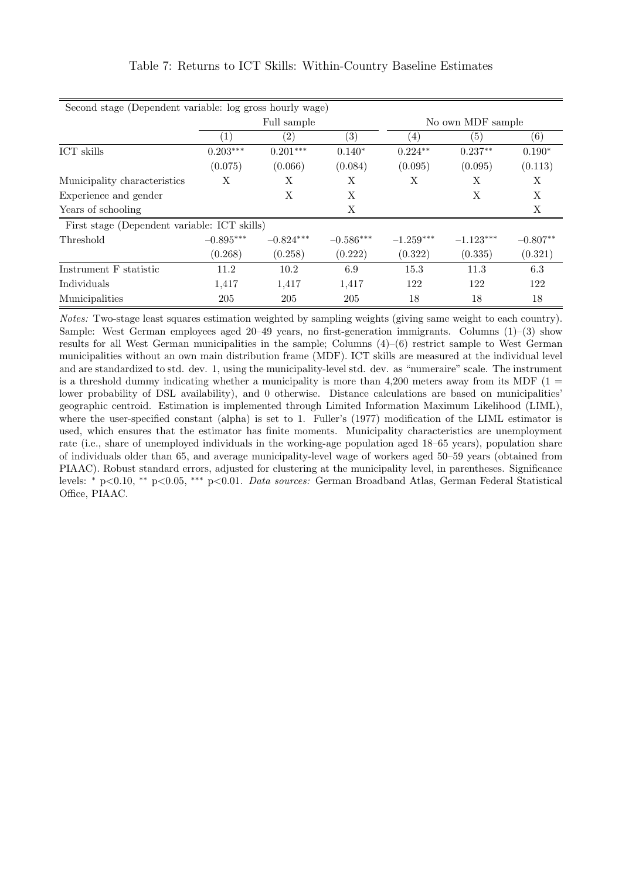| Second stage (Dependent variable: log gross hourly wage) |                   |             |             |             |                   |            |  |  |  |  |
|----------------------------------------------------------|-------------------|-------------|-------------|-------------|-------------------|------------|--|--|--|--|
|                                                          |                   | Full sample |             |             | No own MDF sample |            |  |  |  |  |
|                                                          | $\left( 1\right)$ | (2)         | (3)         | (4)         | (5)               | (6)        |  |  |  |  |
| ICT skills                                               | $0.203***$        | $0.201***$  | $0.140*$    | $0.224**$   | $0.237**$         | $0.190*$   |  |  |  |  |
|                                                          | (0.075)           | (0.066)     | (0.084)     | (0.095)     | (0.095)           | (0.113)    |  |  |  |  |
| Municipality characteristics                             | Χ                 | Χ           | Χ           | Х           | Χ                 | Χ          |  |  |  |  |
| Experience and gender                                    |                   | X           | X           |             | Χ                 | X          |  |  |  |  |
| Years of schooling                                       |                   |             | X           |             |                   | X          |  |  |  |  |
| First stage (Dependent variable: ICT skills)             |                   |             |             |             |                   |            |  |  |  |  |
| Threshold                                                | $-0.895***$       | $-0.824***$ | $-0.586***$ | $-1.259***$ | $-1.123***$       | $-0.807**$ |  |  |  |  |
|                                                          | (0.268)           | (0.258)     | (0.222)     | (0.322)     | (0.335)           | (0.321)    |  |  |  |  |
| Instrument F statistic                                   | 11.2              | 10.2        | 6.9         | 15.3        | 11.3              | 6.3        |  |  |  |  |
| Individuals                                              | 1,417             | 1,417       | 1,417       | 122         | 122               | 122        |  |  |  |  |
| Municipalities                                           | 205               | 205         | 205         | 18          | 18                | 18         |  |  |  |  |

# Table 7: Returns to ICT Skills: Within-Country Baseline Estimates

Notes: Two-stage least squares estimation weighted by sampling weights (giving same weight to each country). Sample: West German employees aged  $20-49$  years, no first-generation immigrants. Columns  $(1)-(3)$  show results for all West German municipalities in the sample; Columns (4)–(6) restrict sample to West German municipalities without an own main distribution frame (MDF). ICT skills are measured at the individual level and are standardized to std. dev. 1, using the municipality-level std. dev. as "numeraire" scale. The instrument is a threshold dummy indicating whether a municipality is more than  $4,200$  meters away from its MDF (1 = lower probability of DSL availability), and 0 otherwise. Distance calculations are based on municipalities' geographic centroid. Estimation is implemented through Limited Information Maximum Likelihood (LIML), where the user-specified constant (alpha) is set to 1. Fuller's (1977) modification of the LIML estimator is used, which ensures that the estimator has finite moments. Municipality characteristics are unemployment rate (i.e., share of unemployed individuals in the working-age population aged 18–65 years), population share of individuals older than 65, and average municipality-level wage of workers aged 50–59 years (obtained from PIAAC). Robust standard errors, adjusted for clustering at the municipality level, in parentheses. Significance levels: <sup>∗</sup> p<0.10, ∗∗ p<0.05, ∗∗∗ p<0.01. Data sources: German Broadband Atlas, German Federal Statistical Office, PIAAC.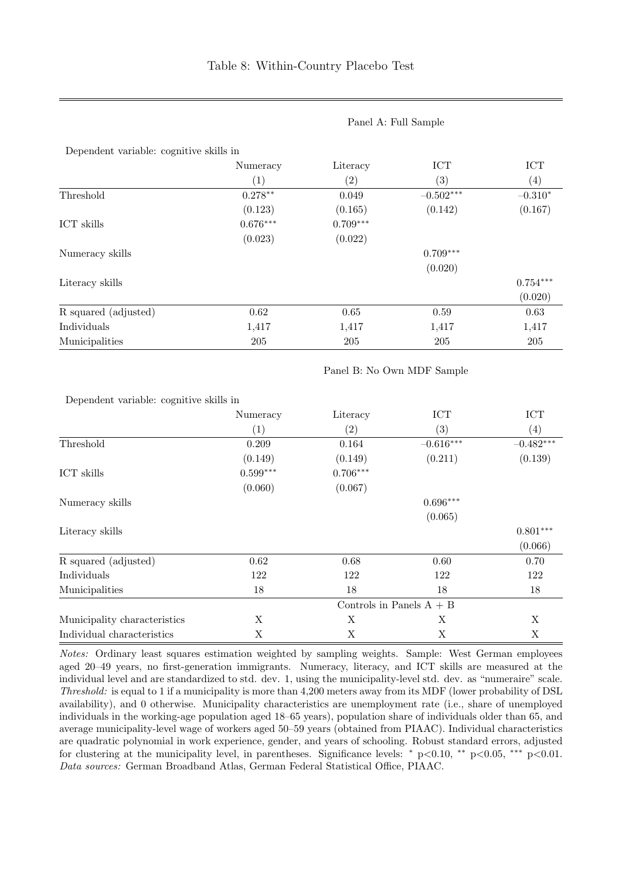|                      | Numeracy   | Literacy          | <b>ICT</b>  | <b>ICT</b> |
|----------------------|------------|-------------------|-------------|------------|
|                      | (1)        | $\left( 2\right)$ | (3)         | (4)        |
| Threshold            | $0.278**$  | 0.049             | $-0.502***$ | $-0.310*$  |
|                      | (0.123)    | (0.165)           | (0.142)     | (0.167)    |
| ICT skills           | $0.676***$ | $0.709***$        |             |            |
|                      | (0.023)    | (0.022)           |             |            |
| Numeracy skills      |            |                   | $0.709***$  |            |
|                      |            |                   | (0.020)     |            |
| Literacy skills      |            |                   |             | $0.754***$ |
|                      |            |                   |             | (0.020)    |
| R squared (adjusted) | 0.62       | 0.65              | 0.59        | 0.63       |
| Individuals          | 1,417      | 1,417             | 1,417       | 1,417      |
| Municipalities       | 205        | 205               | 205         | 205        |

#### Panel A: Full Sample

Panel B: No Own MDF Sample

Dependent variable: cognitive skills in

|                              | Numeracy                   | Literacy          | $\text{ICT}$ | <b>ICT</b>    |  |  |  |  |  |
|------------------------------|----------------------------|-------------------|--------------|---------------|--|--|--|--|--|
|                              | (1)                        | $\left( 2\right)$ | (3)          | (4)           |  |  |  |  |  |
| Threshold                    | 0.209                      | 0.164             | $-0.616***$  | $-0.482***$   |  |  |  |  |  |
|                              | (0.149)                    | (0.149)           | (0.211)      | (0.139)       |  |  |  |  |  |
| ICT skills                   | $0.599***$                 | $0.706***$        |              |               |  |  |  |  |  |
|                              | (0.060)                    | (0.067)           |              |               |  |  |  |  |  |
| Numeracy skills              |                            |                   | $0.696***$   |               |  |  |  |  |  |
|                              |                            |                   | (0.065)      |               |  |  |  |  |  |
| Literacy skills              |                            |                   |              | $0.801^{***}$ |  |  |  |  |  |
|                              |                            |                   |              | (0.066)       |  |  |  |  |  |
| R squared (adjusted)         | 0.62                       | 0.68              | 0.60         | 0.70          |  |  |  |  |  |
| Individuals                  | 122                        | 122               | 122          | 122           |  |  |  |  |  |
| Municipalities               | 18                         | 18                | 18           | 18            |  |  |  |  |  |
|                              | Controls in Panels $A + B$ |                   |              |               |  |  |  |  |  |
| Municipality characteristics | X                          | Χ                 | X            | X             |  |  |  |  |  |
| Individual characteristics   | Χ                          | Χ                 | X            | X             |  |  |  |  |  |

Notes: Ordinary least squares estimation weighted by sampling weights. Sample: West German employees aged 20–49 years, no first-generation immigrants. Numeracy, literacy, and ICT skills are measured at the individual level and are standardized to std. dev. 1, using the municipality-level std. dev. as "numeraire" scale. Threshold: is equal to 1 if a municipality is more than 4,200 meters away from its MDF (lower probability of DSL availability), and 0 otherwise. Municipality characteristics are unemployment rate (i.e., share of unemployed individuals in the working-age population aged 18–65 years), population share of individuals older than 65, and average municipality-level wage of workers aged 50–59 years (obtained from PIAAC). Individual characteristics are quadratic polynomial in work experience, gender, and years of schooling. Robust standard errors, adjusted for clustering at the municipality level, in parentheses. Significance levels: \* p<0.10, \*\* p<0.05, \*\*\* p<0.01. Data sources: German Broadband Atlas, German Federal Statistical Office, PIAAC.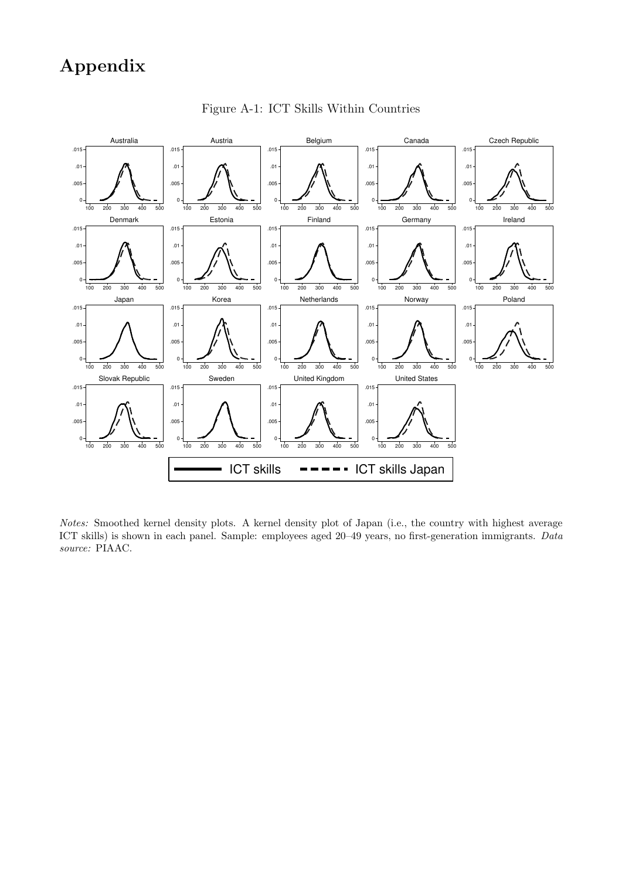# Appendix



Figure A-1: ICT Skills Within Countries

Notes: Smoothed kernel density plots. A kernel density plot of Japan (i.e., the country with highest average ICT skills) is shown in each panel. Sample: employees aged 20–49 years, no first-generation immigrants. Data source: PIAAC.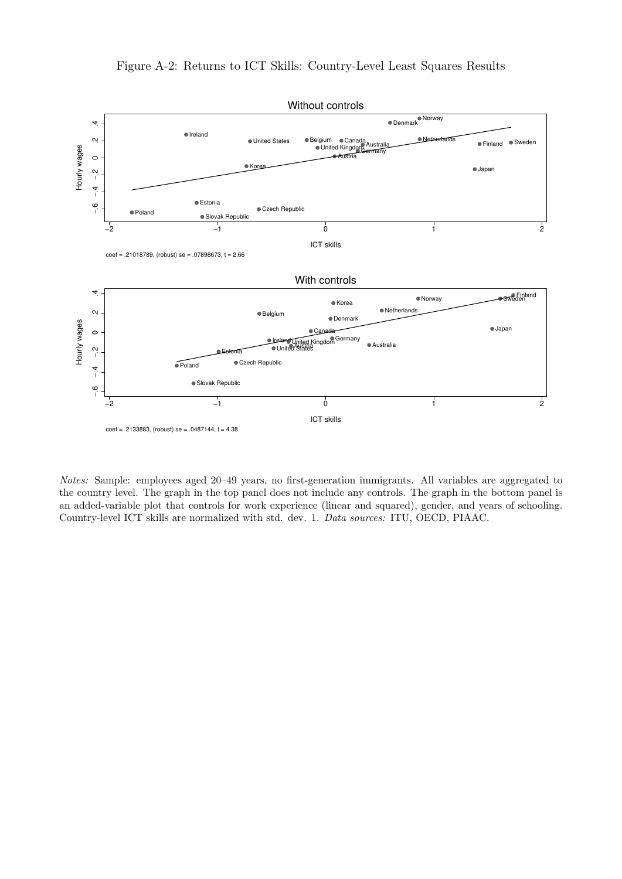

Notes: Sample: employees aged 20–49 years, no first-generation immigrants. All variables are aggregated to the country level. The graph in the top panel does not include any controls. The graph in the bottom panel is an added-variable plot that controls for work experience (linear and squared), gender, and years of schooling. Country-level ICT skills are normalized with std. dev. 1. Data sources: ITU, OECD, PIAAC.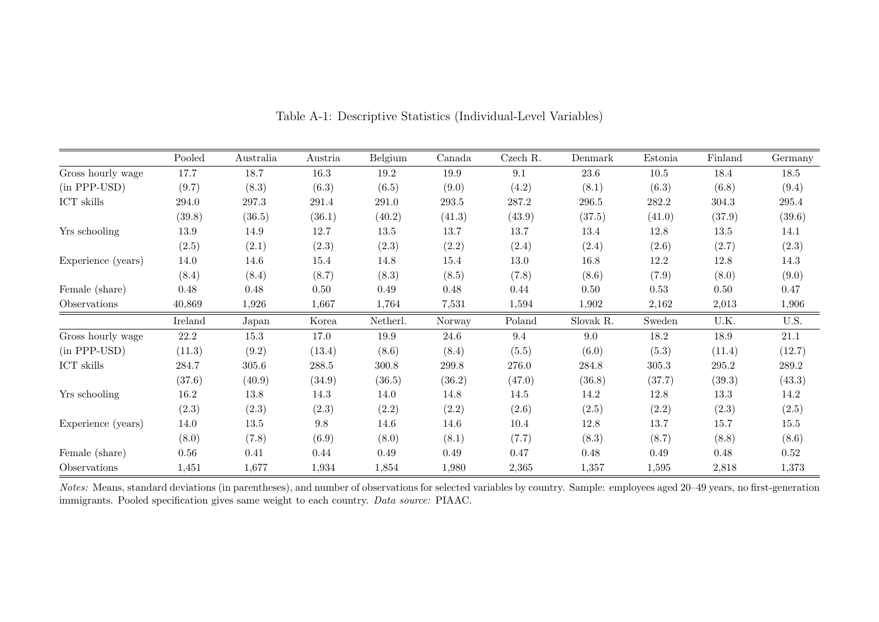|                    | Pooled  | Australia | Austria   | Belgium   | Canada | Czech R. | Denmark   | Estonia | Finland | Germany  |
|--------------------|---------|-----------|-----------|-----------|--------|----------|-----------|---------|---------|----------|
| Gross hourly wage  | 17.7    | 18.7      | 16.3      | 19.2      | 19.9   | 9.1      | 23.6      | 10.5    | 18.4    | 18.5     |
| (in PPP-USD)       | (9.7)   | (8.3)     | (6.3)     | (6.5)     | (9.0)  | (4.2)    | (8.1)     | (6.3)   | (6.8)   | (9.4)    |
| ICT skills         | 294.0   | 297.3     | 291.4     | 291.0     | 293.5  | 287.2    | 296.5     | 282.2   | 304.3   | 295.4    |
|                    | (39.8)  | (36.5)    | (36.1)    | (40.2)    | (41.3) | (43.9)   | (37.5)    | (41.0)  | (37.9)  | (39.6)   |
| Yrs schooling      | 13.9    | 14.9      | 12.7      | 13.5      | 13.7   | 13.7     | 13.4      | 12.8    | 13.5    | 14.1     |
|                    | (2.5)   | (2.1)     | (2.3)     | (2.3)     | (2.2)  | (2.4)    | (2.4)     | (2.6)   | (2.7)   | (2.3)    |
| Experience (years) | 14.0    | 14.6      | 15.4      | 14.8      | 15.4   | 13.0     | 16.8      | 12.2    | 12.8    | 14.3     |
|                    | (8.4)   | (8.4)     | (8.7)     | (8.3)     | (8.5)  | (7.8)    | (8.6)     | (7.9)   | (8.0)   | (9.0)    |
| Female (share)     | 0.48    | 0.48      | 0.50      | 0.49      | 0.48   | 0.44     | 0.50      | 0.53    | 0.50    | 0.47     |
| Observations       | 40,869  | 1,926     | 1,667     | 1,764     | 7,531  | 1,594    | 1,902     | 2,162   | 2,013   | 1,906    |
|                    | Ireland | Japan     | Korea     | Netherl.  | Norway | Poland   | Slovak R. | Sweden  | U.K.    | U.S.     |
| Gross hourly wage  | 22.2    | 15.3      | 17.0      | 19.9      | 24.6   | 9.4      | 9.0       | 18.2    | 18.9    | $21.1\,$ |
| (in PPP-USD)       | (11.3)  | (9.2)     | (13.4)    | (8.6)     | (8.4)  | (5.5)    | (6.0)     | (5.3)   | (11.4)  | (12.7)   |
| ICT skills         | 284.7   | 305.6     | $288.5\,$ | $300.8\,$ | 299.8  | 276.0    | 284.8     | 305.3   | 295.2   | 289.2    |
|                    | (37.6)  | (40.9)    | (34.9)    | (36.5)    | (36.2) | (47.0)   | (36.8)    | (37.7)  | (39.3)  | (43.3)   |
| Yrs schooling      | 16.2    | 13.8      | 14.3      | 14.0      | 14.8   | 14.5     | 14.2      | 12.8    | 13.3    | 14.2     |
|                    | (2.3)   | (2.3)     | (2.3)     | (2.2)     | (2.2)  | (2.6)    | (2.5)     | (2.2)   | (2.3)   | (2.5)    |
| Experience (years) | 14.0    | 13.5      | $\,9.8$   | 14.6      | 14.6   | 10.4     | $12.8\,$  | 13.7    | 15.7    | $15.5\,$ |
|                    | (8.0)   | (7.8)     | (6.9)     | (8.0)     | (8.1)  | (7.7)    | (8.3)     | (8.7)   | (8.8)   | (8.6)    |
| Female (share)     | 0.56    | 0.41      | 0.44      | 0.49      | 0.49   | 0.47     | 0.48      | 0.49    | 0.48    | 0.52     |
| Observations       | 1,451   | 1,677     | 1,934     | 1,854     | 1,980  | 2,365    | 1,357     | 1,595   | 2,818   | 1,373    |

Table A-1: Descriptive Statistics (Individual-Level Variables)

Notes: Means, standard deviations (in parentheses), and number of observations for selected variables by country. Sample: employees aged 20–49 years, no first-generation immigrants. Pooled specification gives same weight to each country. Data source: PIAAC.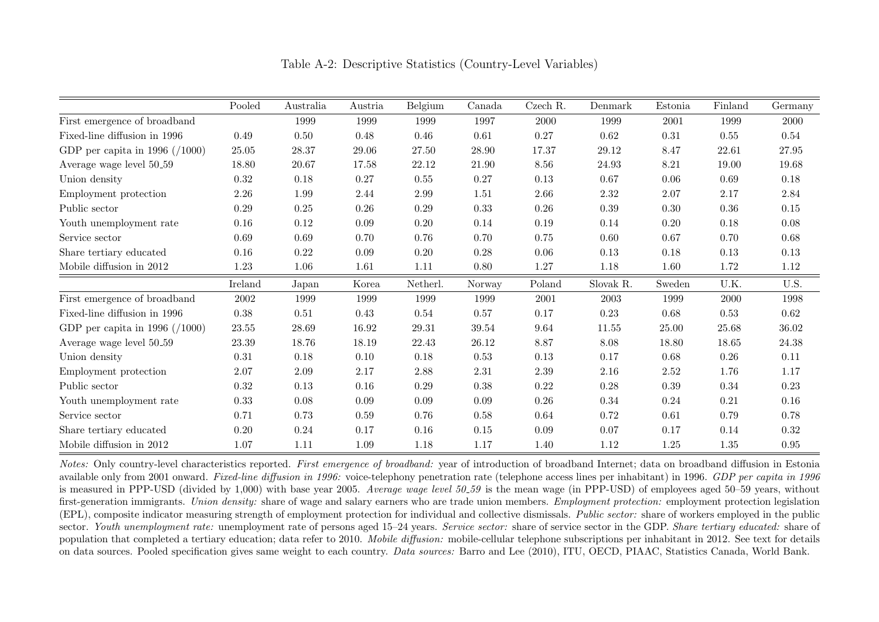|                                      | Pooled     | Australia | Austria  | Belgium   | Canada   | Czech R.   | Denmark   | Estonia  | Finland   | Germany    |
|--------------------------------------|------------|-----------|----------|-----------|----------|------------|-----------|----------|-----------|------------|
| First emergence of broadband         |            | 1999      | 1999     | 1999      | 1997     | 2000       | 1999      | 2001     | 1999      | 2000       |
| Fixed-line diffusion in 1996         | 0.49       | 0.50      | 0.48     | 0.46      | $0.61\,$ | $0.27\,$   | 0.62      | 0.31     | 0.55      | 0.54       |
| GDP per capita in 1996 $( / 1000)$   | 25.05      | $28.37\,$ | 29.06    | 27.50     | 28.90    | 17.37      | 29.12     | 8.47     | 22.61     | 27.95      |
| Average wage level $50 \text{--} 59$ | 18.80      | 20.67     | 17.58    | 22.12     | 21.90    | 8.56       | 24.93     | 8.21     | 19.00     | 19.68      |
| Union density                        | 0.32       | 0.18      | 0.27     | 0.55      | 0.27     | $0.13\,$   | 0.67      | 0.06     | 0.69      | $0.18\,$   |
| Employment protection                | 2.26       | 1.99      | 2.44     | 2.99      | 1.51     | 2.66       | 2.32      | 2.07     | 2.17      | $2.84\,$   |
| Public sector                        | $0.29\,$   | 0.25      | $0.26\,$ | $0.29\,$  | 0.33     | $0.26\,$   | 0.39      | 0.30     | $0.36\,$  | $0.15\,$   |
| Youth unemployment rate              | 0.16       | 0.12      | 0.09     | 0.20      | 0.14     | $0.19\,$   | 0.14      | $0.20\,$ | $0.18\,$  | $0.08\,$   |
| Service sector                       | 0.69       | 0.69      | 0.70     | 0.76      | 0.70     | 0.75       | 0.60      | 0.67     | 0.70      | 0.68       |
| Share tertiary educated              | 0.16       | 0.22      | 0.09     | $0.20\,$  | $0.28\,$ | 0.06       | 0.13      | 0.18     | 0.13      | 0.13       |
| Mobile diffusion in 2012             | 1.23       | 1.06      | 1.61     | 1.11      | 0.80     | 1.27       | 1.18      | 1.60     | 1.72      | 1.12       |
|                                      | Ireland    | Japan     | Korea    | Netherl.  | Norway   | Poland     | Slovak R. | Sweden   | U.K.      | U.S.       |
| First emergence of broadband         | $\,2002\,$ | 1999      | 1999     | 1999      | 1999     | $\,2001\,$ | 2003      | 1999     | 2000      | 1998       |
| Fixed-line diffusion in 1996         | $0.38\,$   | 0.51      | 0.43     | $0.54\,$  | $0.57\,$ | $0.17\,$   | 0.23      | 0.68     | 0.53      | 0.62       |
| GDP per capita in 1996 $( / 1000)$   | $23.55\,$  | 28.69     | 16.92    | $29.31\,$ | 39.54    | 9.64       | 11.55     | 25.00    | $25.68\,$ | 36.02      |
| Average wage level 50 <sub>-59</sub> | 23.39      | 18.76     | 18.19    | 22.43     | 26.12    | 8.87       | 8.08      | 18.80    | 18.65     | $24.38\,$  |
| Union density                        | $\rm 0.31$ | 0.18      | $0.10\,$ | 0.18      | 0.53     | $0.13\,$   | 0.17      | 0.68     | 0.26      | 0.11       |
| Employment protection                | $2.07\,$   | $2.09\,$  | $2.17\,$ | 2.88      | $2.31\,$ | $2.39\,$   | $2.16\,$  | $2.52\,$ | 1.76      | 1.17       |
| Public sector                        | 0.32       | 0.13      | $0.16\,$ | $0.29\,$  | 0.38     | 0.22       | $0.28\,$  | 0.39     | $0.34\,$  | 0.23       |
| Youth unemployment rate              | 0.33       | 0.08      | 0.09     | 0.09      | 0.09     | 0.26       | 0.34      | 0.24     | 0.21      | 0.16       |
| Service sector                       | 0.71       | 0.73      | 0.59     | 0.76      | 0.58     | 0.64       | 0.72      | 0.61     | 0.79      | 0.78       |
| Share tertiary educated              | 0.20       | 0.24      | 0.17     | 0.16      | $0.15\,$ | 0.09       | 0.07      | 0.17     | 0.14      | $0.32\,$   |
| Mobile diffusion in 2012             | 1.07       | 1.11      | 1.09     | $1.18\,$  | $1.17\,$ | 1.40       | 1.12      | $1.25\,$ | 1.35      | $\rm 0.95$ |

Table A-2: Descriptive Statistics (Country-Level Variables)

Notes: Only country-level characteristics reported. First emergence of broadband: year of introduction of broadband Internet; data on broadband diffusion in Estonia available only from 2001 onward. Fixed-line diffusion in 1996: voice-telephony penetration rate (telephone access lines per inhabitant) in 1996. GDP per capita in 1996 is measured in PPP-USD (divided by 1,000) with base year 2005. Average wage level 50.59 is the mean wage (in PPP-USD) of employees aged 50–59 years, without first-generation immigrants. Union density: share of wage and salary earners who are trade union members. Employment protection: employment protection legislation (EPL), composite indicator measuring strength of employment protection for individual and collective dismissals. Public sector: share of workers employed in the public sector. Youth unemployment rate: unemployment rate of persons aged 15–24 years. Service sector: share of service sector in the GDP. Share tertiary educated: share of population that completed a tertiary education; data refer to 2010. Mobile diffusion: mobile-cellular telephone subscriptions per inhabitant in 2012. See text for details on data sources. Pooled specification gives same weight to each country. Data sources: Barro and Lee (2010), ITU, OECD, PIAAC, Statistics Canada, World Bank.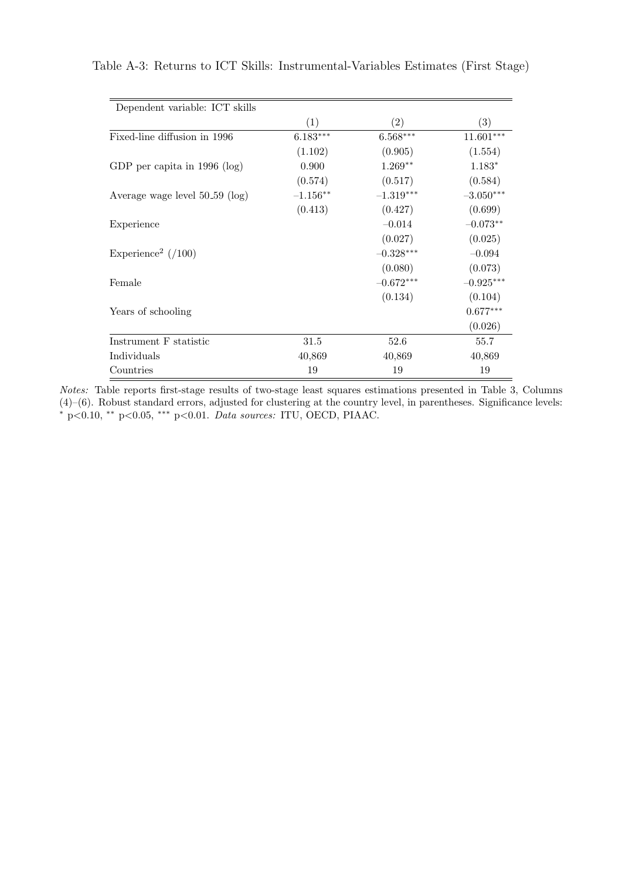| Dependent variable: ICT skills   |            |             |             |
|----------------------------------|------------|-------------|-------------|
|                                  | (1)        | (2)         | (3)         |
| Fixed-line diffusion in 1996     | $6.183***$ | $6.568***$  | $11.601***$ |
|                                  | (1.102)    | (0.905)     | (1.554)     |
| GDP per capita in $1996$ (log)   | 0.900      | $1.269**$   | $1.183*$    |
|                                  | (0.574)    | (0.517)     | (0.584)     |
| Average wage level $50-59$ (log) | $-1.156**$ | $-1.319***$ | $-3.050***$ |
|                                  | (0.413)    | (0.427)     | (0.699)     |
| Experience                       |            | $-0.014$    | $-0.073**$  |
|                                  |            | (0.027)     | (0.025)     |
| Experience <sup>2</sup> $(100)$  |            | $-0.328***$ | $-0.094$    |
|                                  |            | (0.080)     | (0.073)     |
| Female                           |            | $-0.672***$ | $-0.925***$ |
|                                  |            | (0.134)     | (0.104)     |
| Years of schooling               |            |             | $0.677***$  |
|                                  |            |             | (0.026)     |
| Instrument F statistic           | 31.5       | 52.6        | 55.7        |
| Individuals                      | 40,869     | 40,869      | 40,869      |
| Countries                        | 19         | 19          | 19          |

Table A-3: Returns to ICT Skills: Instrumental-Variables Estimates (First Stage)

Notes: Table reports first-stage results of two-stage least squares estimations presented in Table 3, Columns (4)–(6). Robust standard errors, adjusted for clustering at the country level, in parentheses. Significance levels: <sup>∗</sup> p<0.10, ∗∗ p<0.05, ∗∗∗ p<0.01. Data sources: ITU, OECD, PIAAC.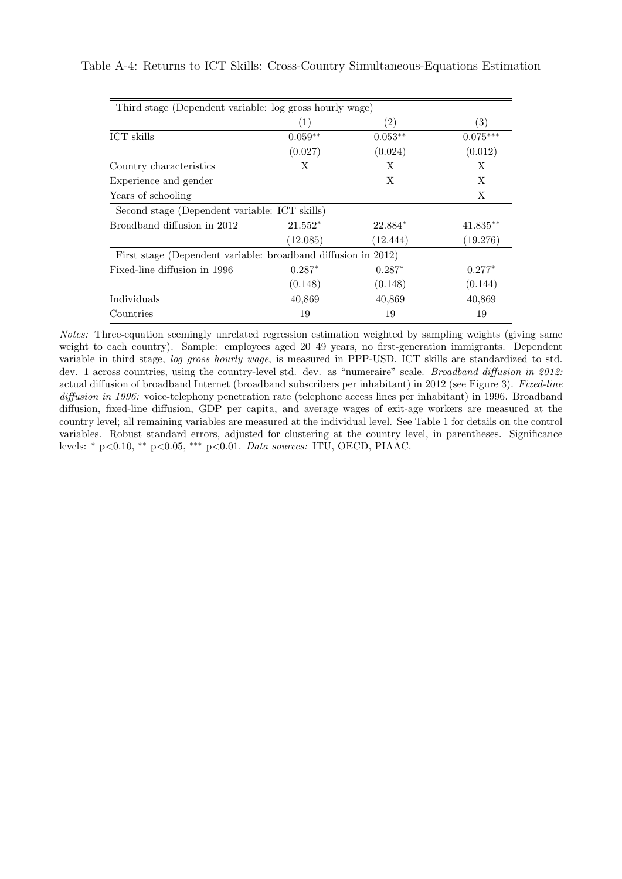| Third stage (Dependent variable: log gross hourly wage)       |           |                   |            |  |  |  |  |  |
|---------------------------------------------------------------|-----------|-------------------|------------|--|--|--|--|--|
|                                                               | (1)       | $\left( 2\right)$ | (3)        |  |  |  |  |  |
| ICT skills                                                    | $0.059**$ | $0.053**$         | $0.075***$ |  |  |  |  |  |
|                                                               | (0.027)   | (0.024)           | (0.012)    |  |  |  |  |  |
| Country characteristics                                       | X         | X                 | X          |  |  |  |  |  |
| Experience and gender                                         |           | X                 | X          |  |  |  |  |  |
| Years of schooling                                            |           |                   | X          |  |  |  |  |  |
| Second stage (Dependent variable: ICT skills)                 |           |                   |            |  |  |  |  |  |
| Broadband diffusion in 2012                                   | $21.552*$ | 22.884*           | $41.835**$ |  |  |  |  |  |
|                                                               | (12.085)  | (12.444)          | (19.276)   |  |  |  |  |  |
| First stage (Dependent variable: broadband diffusion in 2012) |           |                   |            |  |  |  |  |  |
| Fixed-line diffusion in 1996                                  | $0.287*$  | $0.287*$          | $0.277*$   |  |  |  |  |  |
|                                                               | (0.148)   | (0.148)           | (0.144)    |  |  |  |  |  |
| Individuals                                                   | 40,869    | 40,869            | 40,869     |  |  |  |  |  |
| Countries                                                     | 19        | 19                | 19         |  |  |  |  |  |

Table A-4: Returns to ICT Skills: Cross-Country Simultaneous-Equations Estimation

Notes: Three-equation seemingly unrelated regression estimation weighted by sampling weights (giving same weight to each country). Sample: employees aged 20–49 years, no first-generation immigrants. Dependent variable in third stage, log gross hourly wage, is measured in PPP-USD. ICT skills are standardized to std. dev. 1 across countries, using the country-level std. dev. as "numeraire" scale. Broadband diffusion in 2012: actual diffusion of broadband Internet (broadband subscribers per inhabitant) in 2012 (see Figure 3). Fixed-line diffusion in 1996: voice-telephony penetration rate (telephone access lines per inhabitant) in 1996. Broadband diffusion, fixed-line diffusion, GDP per capita, and average wages of exit-age workers are measured at the country level; all remaining variables are measured at the individual level. See Table 1 for details on the control variables. Robust standard errors, adjusted for clustering at the country level, in parentheses. Significance levels: <sup>∗</sup> p<0.10, ∗∗ p<0.05, ∗∗∗ p<0.01. Data sources: ITU, OECD, PIAAC.